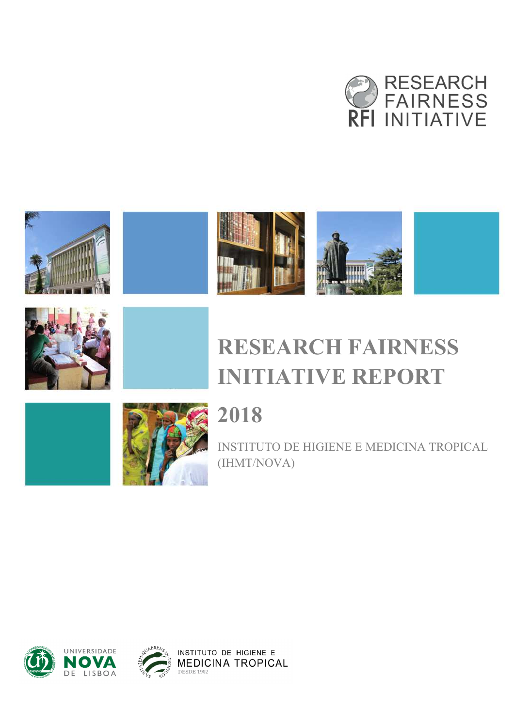











# **RESEARCH FAIRNESS INITIATIVE REPORT**





# **2018**

INSTITUTO DE HIGIENE E MEDICINA TROPICAL (IHMT/NOVA)

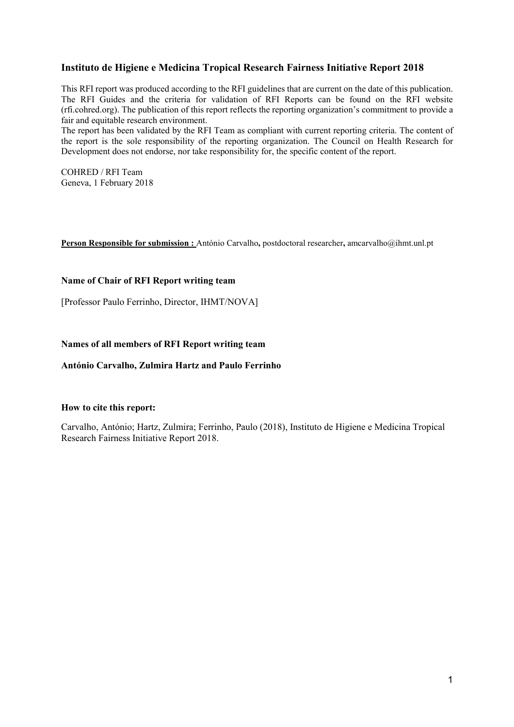#### **Instituto de Higiene e Medicina Tropical Research Fairness Initiative Report 2018**

This RFI report was produced according to the RFI guidelines that are current on the date of this publication. The RFI Guides and the criteria for validation of RFI Reports can be found on the RFI website (rfi.cohred.org). The publication of this report reflects the reporting organization's commitment to provide a fair and equitable research environment.

The report has been validated by the RFI Team as compliant with current reporting criteria. The content of the report is the sole responsibility of the reporting organization. The Council on Health Research for Development does not endorse, nor take responsibility for, the specific content of the report.

COHRED / RFI Team Geneva, 1 February 2018

**Person Responsible for submission :** António Carvalho**,** postdoctoral researcher**,** amcarvalho@ihmt.unl.pt

#### **Name of Chair of RFI Report writing team**

[Professor Paulo Ferrinho, Director, IHMT/NOVA]

#### **Names of all members of RFI Report writing team**

**António Carvalho, Zulmira Hartz and Paulo Ferrinho** 

#### **How to cite this report:**

Carvalho, António; Hartz, Zulmira; Ferrinho, Paulo (2018), Instituto de Higiene e Medicina Tropical Research Fairness Initiative Report 2018.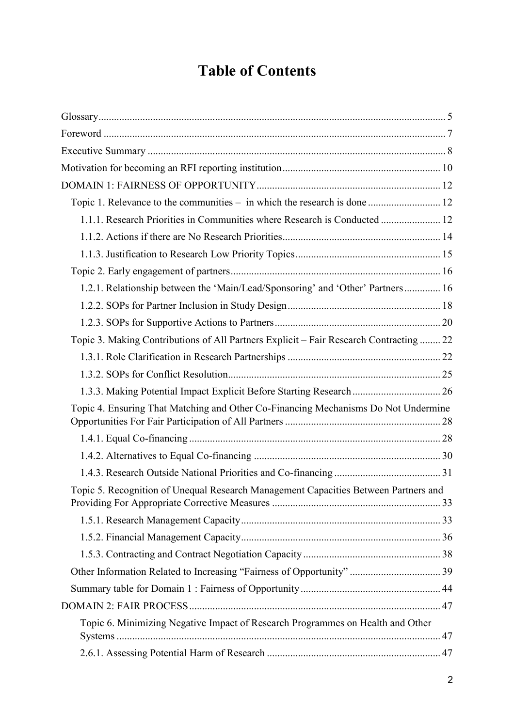# **Table of Contents**

| Topic 1. Relevance to the communities - in which the research is done  12              |  |
|----------------------------------------------------------------------------------------|--|
| 1.1.1. Research Priorities in Communities where Research is Conducted  12              |  |
|                                                                                        |  |
|                                                                                        |  |
|                                                                                        |  |
| 1.2.1. Relationship between the 'Main/Lead/Sponsoring' and 'Other' Partners 16         |  |
|                                                                                        |  |
|                                                                                        |  |
| Topic 3. Making Contributions of All Partners Explicit - Fair Research Contracting  22 |  |
|                                                                                        |  |
|                                                                                        |  |
| 1.3.3. Making Potential Impact Explicit Before Starting Research  26                   |  |
| Topic 4. Ensuring That Matching and Other Co-Financing Mechanisms Do Not Undermine     |  |
|                                                                                        |  |
|                                                                                        |  |
|                                                                                        |  |
| Topic 5. Recognition of Unequal Research Management Capacities Between Partners and    |  |
|                                                                                        |  |
|                                                                                        |  |
|                                                                                        |  |
|                                                                                        |  |
|                                                                                        |  |
|                                                                                        |  |
| Topic 6. Minimizing Negative Impact of Research Programmes on Health and Other         |  |
|                                                                                        |  |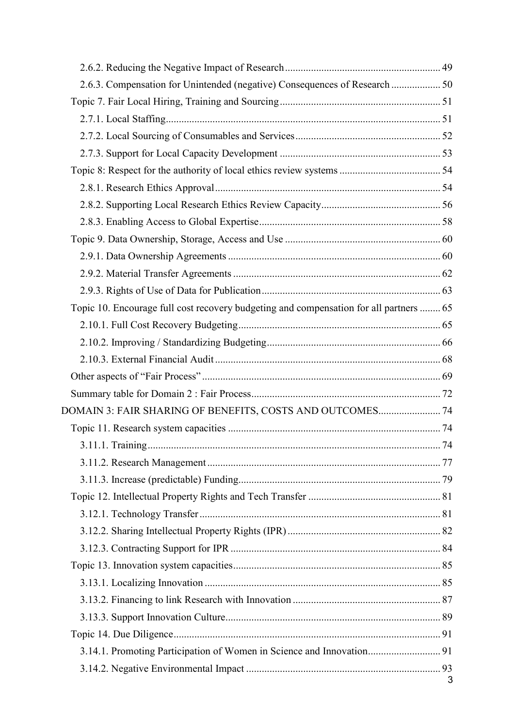| 2.6.3. Compensation for Unintended (negative) Consequences of Research  50             |   |
|----------------------------------------------------------------------------------------|---|
|                                                                                        |   |
|                                                                                        |   |
|                                                                                        |   |
|                                                                                        |   |
|                                                                                        |   |
|                                                                                        |   |
|                                                                                        |   |
|                                                                                        |   |
|                                                                                        |   |
|                                                                                        |   |
|                                                                                        |   |
|                                                                                        |   |
| Topic 10. Encourage full cost recovery budgeting and compensation for all partners  65 |   |
|                                                                                        |   |
|                                                                                        |   |
|                                                                                        |   |
|                                                                                        |   |
|                                                                                        |   |
| DOMAIN 3: FAIR SHARING OF BENEFITS, COSTS AND OUTCOMES 74                              |   |
|                                                                                        |   |
|                                                                                        |   |
|                                                                                        |   |
|                                                                                        |   |
|                                                                                        |   |
|                                                                                        |   |
|                                                                                        |   |
|                                                                                        |   |
|                                                                                        |   |
|                                                                                        |   |
|                                                                                        |   |
|                                                                                        |   |
|                                                                                        |   |
| 3.14.1. Promoting Participation of Women in Science and Innovation 91                  |   |
|                                                                                        |   |
|                                                                                        | 3 |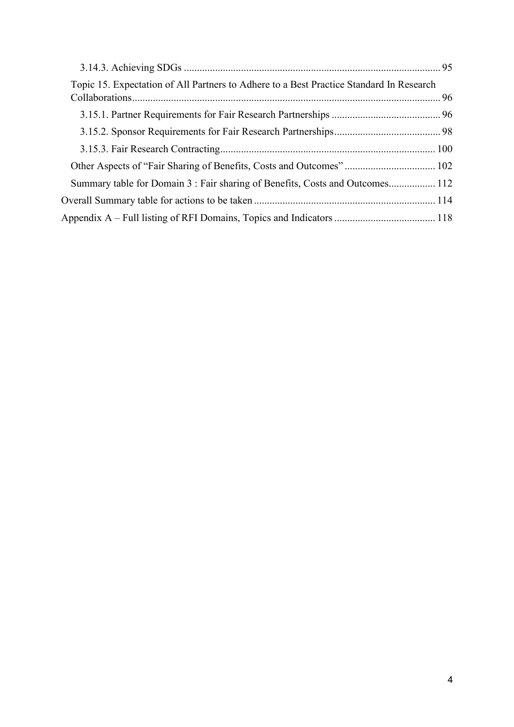| Topic 15. Expectation of All Partners to Adhere to a Best Practice Standard In Research |  |
|-----------------------------------------------------------------------------------------|--|
|                                                                                         |  |
|                                                                                         |  |
|                                                                                         |  |
|                                                                                         |  |
| Summary table for Domain 3: Fair sharing of Benefits, Costs and Outcomes 112            |  |
|                                                                                         |  |
|                                                                                         |  |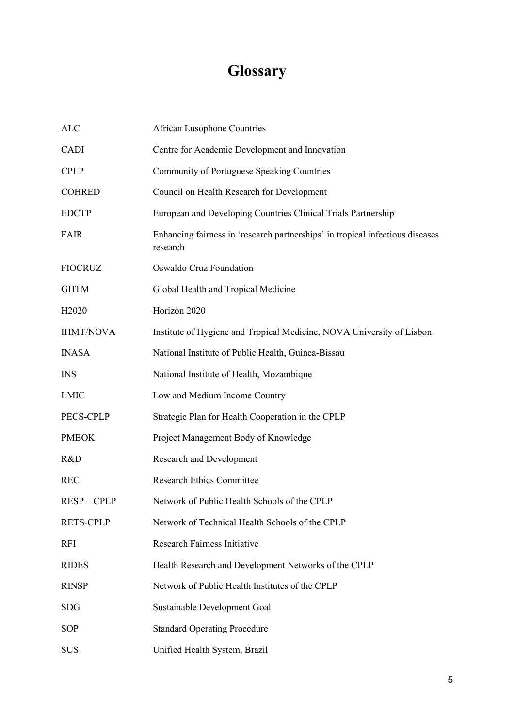# **Glossary**

| <b>ALC</b>         | <b>African Lusophone Countries</b>                                                        |
|--------------------|-------------------------------------------------------------------------------------------|
| <b>CADI</b>        | Centre for Academic Development and Innovation                                            |
| <b>CPLP</b>        | Community of Portuguese Speaking Countries                                                |
| <b>COHRED</b>      | Council on Health Research for Development                                                |
| <b>EDCTP</b>       | European and Developing Countries Clinical Trials Partnership                             |
| <b>FAIR</b>        | Enhancing fairness in 'research partnerships' in tropical infectious diseases<br>research |
| <b>FIOCRUZ</b>     | Oswaldo Cruz Foundation                                                                   |
| <b>GHTM</b>        | Global Health and Tropical Medicine                                                       |
| H <sub>2</sub> 020 | Horizon 2020                                                                              |
| <b>IHMT/NOVA</b>   | Institute of Hygiene and Tropical Medicine, NOVA University of Lisbon                     |
| <b>INASA</b>       | National Institute of Public Health, Guinea-Bissau                                        |
| <b>INS</b>         | National Institute of Health, Mozambique                                                  |
| <b>LMIC</b>        | Low and Medium Income Country                                                             |
| PECS-CPLP          | Strategic Plan for Health Cooperation in the CPLP                                         |
| <b>PMBOK</b>       | Project Management Body of Knowledge                                                      |
| R&D                | Research and Development                                                                  |
| <b>REC</b>         | <b>Research Ethics Committee</b>                                                          |
| <b>RESP-CPLP</b>   | Network of Public Health Schools of the CPLP                                              |
| <b>RETS-CPLP</b>   | Network of Technical Health Schools of the CPLP                                           |
| <b>RFI</b>         | <b>Research Fairness Initiative</b>                                                       |
| <b>RIDES</b>       | Health Research and Development Networks of the CPLP                                      |
| <b>RINSP</b>       | Network of Public Health Institutes of the CPLP                                           |
| <b>SDG</b>         | Sustainable Development Goal                                                              |
| <b>SOP</b>         | <b>Standard Operating Procedure</b>                                                       |
| <b>SUS</b>         | Unified Health System, Brazil                                                             |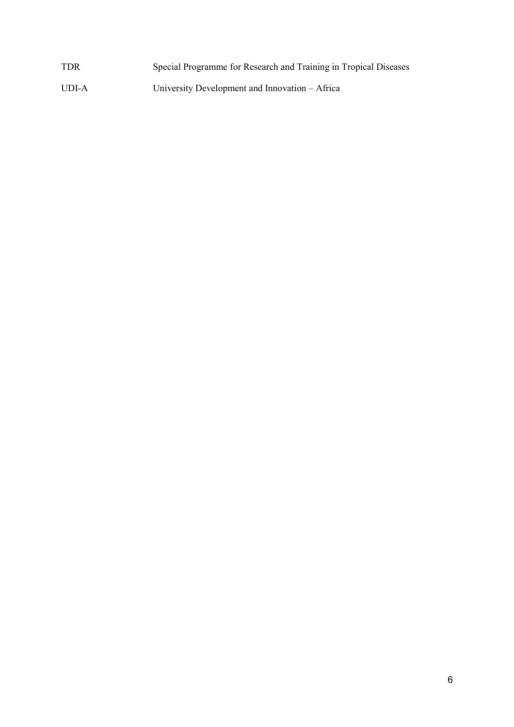| <b>TDR</b> | Special Programme for Research and Training in Tropical Diseases |
|------------|------------------------------------------------------------------|
| UDI-A      | University Development and Innovation – Africa                   |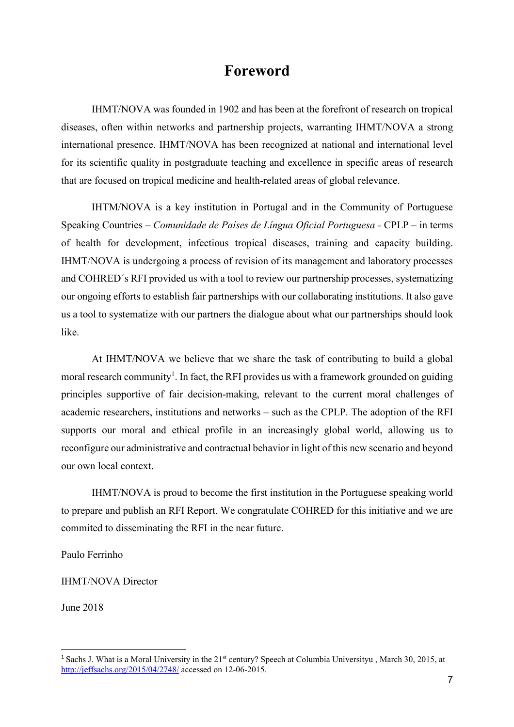# **Foreword**

IHMT/NOVA was founded in 1902 and has been at the forefront of research on tropical diseases, often within networks and partnership projects, warranting IHMT/NOVA a strong international presence. IHMT/NOVA has been recognized at national and international level for its scientific quality in postgraduate teaching and excellence in specific areas of research that are focused on tropical medicine and health-related areas of global relevance.

IHTM/NOVA is a key institution in Portugal and in the Community of Portuguese Speaking Countries *– Comunidade de Países de Língua Oficial Portuguesa -* CPLP – in terms of health for development, infectious tropical diseases, training and capacity building. IHMT/NOVA is undergoing a process of revision of its management and laboratory processes and COHRED´s RFI provided us with a tool to review our partnership processes, systematizing our ongoing efforts to establish fair partnerships with our collaborating institutions. It also gave us a tool to systematize with our partners the dialogue about what our partnerships should look like.

At IHMT/NOVA we believe that we share the task of contributing to build a global moral research community<sup>1</sup>. In fact, the RFI provides us with a framework grounded on guiding principles supportive of fair decision-making, relevant to the current moral challenges of academic researchers, institutions and networks – such as the CPLP. The adoption of the RFI supports our moral and ethical profile in an increasingly global world, allowing us to reconfigure our administrative and contractual behavior in light of this new scenario and beyond our own local context.

IHMT/NOVA is proud to become the first institution in the Portuguese speaking world to prepare and publish an RFI Report. We congratulate COHRED for this initiative and we are commited to disseminating the RFI in the near future.

Paulo Ferrinho

IHMT/NOVA Director

June 2018

<sup>&</sup>lt;sup>1</sup> Sachs J. What is a Moral University in the 21<sup>st</sup> century? Speech at Columbia Universityu, March 30, 2015, at http://jeffsachs.org/2015/04/2748/ accessed on 12-06-2015.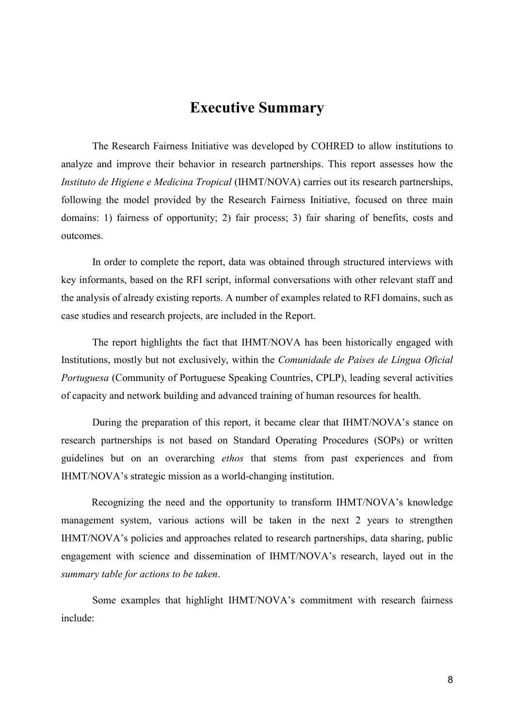# **Executive Summary**

The Research Fairness Initiative was developed by COHRED to allow institutions to analyze and improve their behavior in research partnerships. This report assesses how the *Instituto de Higiene e Medicina Tropical* (IHMT/NOVA) carries out its research partnerships, following the model provided by the Research Fairness Initiative, focused on three main domains: 1) fairness of opportunity; 2) fair process; 3) fair sharing of benefits, costs and outcomes.

In order to complete the report, data was obtained through structured interviews with key informants, based on the RFI script, informal conversations with other relevant staff and the analysis of already existing reports. A number of examples related to RFI domains, such as case studies and research projects, are included in the Report.

The report highlights the fact that IHMT/NOVA has been historically engaged with Institutions, mostly but not exclusively, within the *Comunidade de Países de Língua Oficial Portuguesa* (Community of Portuguese Speaking Countries, CPLP), leading several activities of capacity and network building and advanced training of human resources for health.

During the preparation of this report, it became clear that IHMT/NOVA's stance on research partnerships is not based on Standard Operating Procedures (SOPs) or written guidelines but on an overarching *ethos* that stems from past experiences and from IHMT/NOVA's strategic mission as a world-changing institution.

Recognizing the need and the opportunity to transform IHMT/NOVA's knowledge management system, various actions will be taken in the next 2 years to strengthen IHMT/NOVA's policies and approaches related to research partnerships, data sharing, public engagement with science and dissemination of IHMT/NOVA's research, layed out in the *summary table for actions to be taken*.

Some examples that highlight IHMT/NOVA's commitment with research fairness include: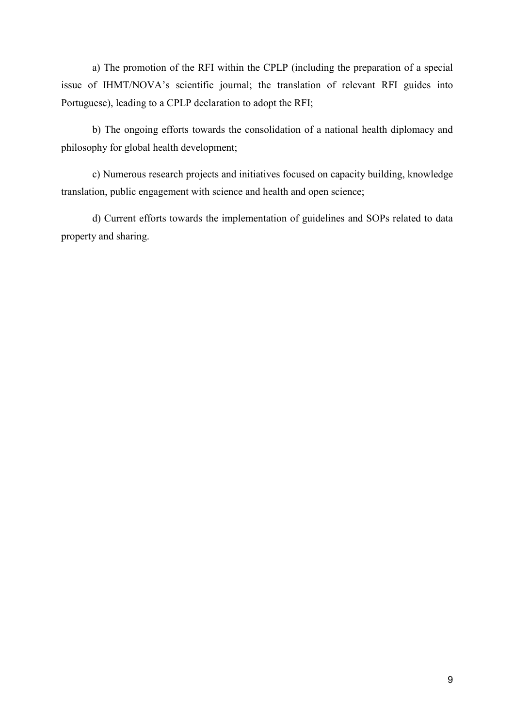a) The promotion of the RFI within the CPLP (including the preparation of a special issue of IHMT/NOVA's scientific journal; the translation of relevant RFI guides into Portuguese), leading to a CPLP declaration to adopt the RFI;

b) The ongoing efforts towards the consolidation of a national health diplomacy and philosophy for global health development;

c) Numerous research projects and initiatives focused on capacity building, knowledge translation, public engagement with science and health and open science;

d) Current efforts towards the implementation of guidelines and SOPs related to data property and sharing.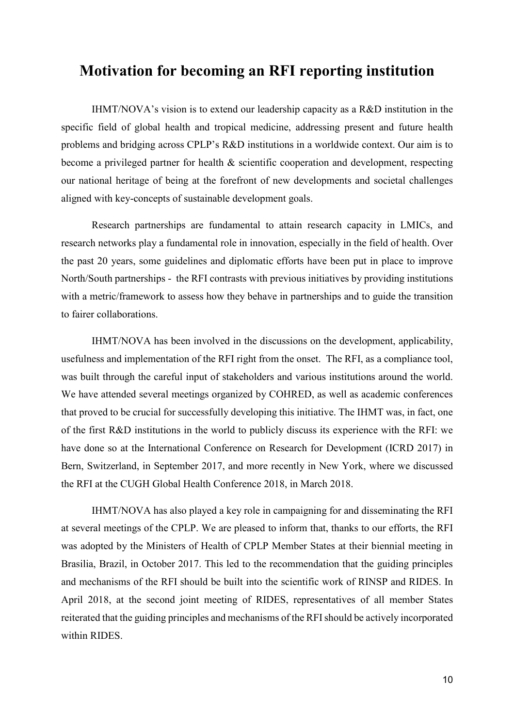# **Motivation for becoming an RFI reporting institution**

IHMT/NOVA's vision is to extend our leadership capacity as a R&D institution in the specific field of global health and tropical medicine, addressing present and future health problems and bridging across CPLP's R&D institutions in a worldwide context. Our aim is to become a privileged partner for health & scientific cooperation and development, respecting our national heritage of being at the forefront of new developments and societal challenges aligned with key-concepts of sustainable development goals.

Research partnerships are fundamental to attain research capacity in LMICs, and research networks play a fundamental role in innovation, especially in the field of health. Over the past 20 years, some guidelines and diplomatic efforts have been put in place to improve North/South partnerships - the RFI contrasts with previous initiatives by providing institutions with a metric/framework to assess how they behave in partnerships and to guide the transition to fairer collaborations.

IHMT/NOVA has been involved in the discussions on the development, applicability, usefulness and implementation of the RFI right from the onset. The RFI, as a compliance tool, was built through the careful input of stakeholders and various institutions around the world. We have attended several meetings organized by COHRED, as well as academic conferences that proved to be crucial for successfully developing this initiative. The IHMT was, in fact, one of the first R&D institutions in the world to publicly discuss its experience with the RFI: we have done so at the International Conference on Research for Development (ICRD 2017) in Bern, Switzerland, in September 2017, and more recently in New York, where we discussed the RFI at the CUGH Global Health Conference 2018, in March 2018.

IHMT/NOVA has also played a key role in campaigning for and disseminating the RFI at several meetings of the CPLP. We are pleased to inform that, thanks to our efforts, the RFI was adopted by the Ministers of Health of CPLP Member States at their biennial meeting in Brasilia, Brazil, in October 2017. This led to the recommendation that the guiding principles and mechanisms of the RFI should be built into the scientific work of RINSP and RIDES. In April 2018, at the second joint meeting of RIDES, representatives of all member States reiterated that the guiding principles and mechanisms of the RFI should be actively incorporated within RIDES.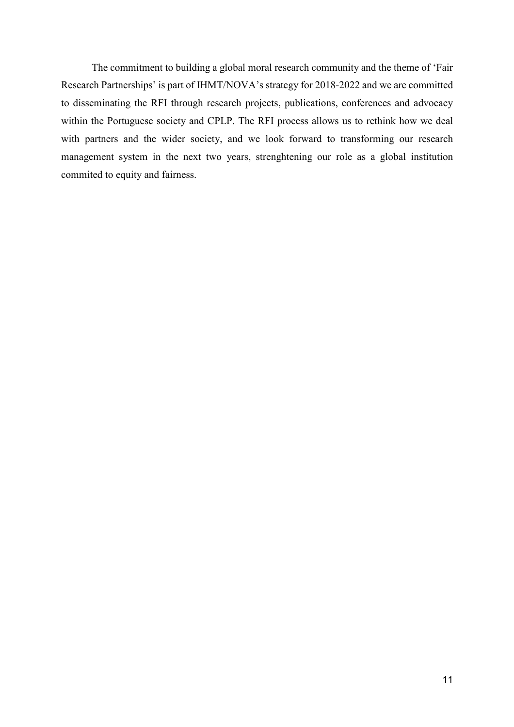The commitment to building a global moral research community and the theme of 'Fair Research Partnerships' is part of IHMT/NOVA's strategy for 2018-2022 and we are committed to disseminating the RFI through research projects, publications, conferences and advocacy within the Portuguese society and CPLP. The RFI process allows us to rethink how we deal with partners and the wider society, and we look forward to transforming our research management system in the next two years, strenghtening our role as a global institution commited to equity and fairness.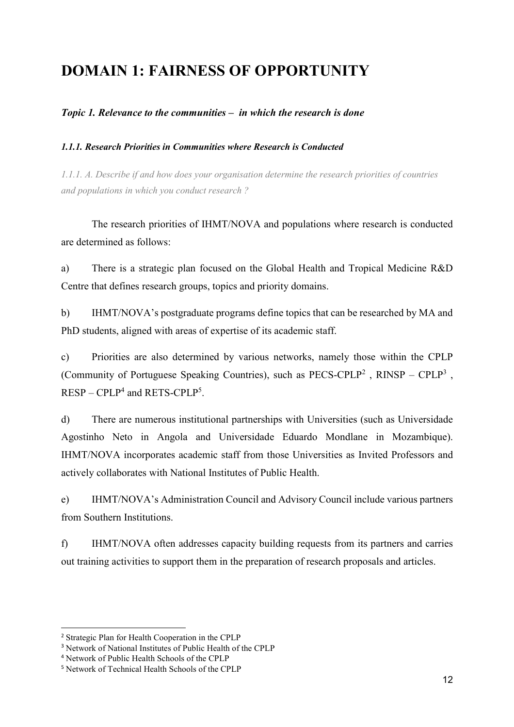# **DOMAIN 1: FAIRNESS OF OPPORTUNITY**

## *Topic 1. Relevance to the communities – in which the research is done*

### *1.1.1. Research Priorities in Communities where Research is Conducted*

*1.1.1. A. Describe if and how does your organisation determine the research priorities of countries and populations in which you conduct research ?* 

The research priorities of IHMT/NOVA and populations where research is conducted are determined as follows:

a) There is a strategic plan focused on the Global Health and Tropical Medicine R&D Centre that defines research groups, topics and priority domains.

b) IHMT/NOVA's postgraduate programs define topics that can be researched by MA and PhD students, aligned with areas of expertise of its academic staff.

c) Priorities are also determined by various networks, namely those within the CPLP (Community of Portuguese Speaking Countries), such as  $PECS-CPLP<sup>2</sup>$ ,  $RINSP - CPLP<sup>3</sup>$ ,  $RESP - CPLP<sup>4</sup>$  and  $RETS-CPLP<sup>5</sup>$ .

d) There are numerous institutional partnerships with Universities (such as Universidade Agostinho Neto in Angola and Universidade Eduardo Mondlane in Mozambique). IHMT/NOVA incorporates academic staff from those Universities as Invited Professors and actively collaborates with National Institutes of Public Health.

e) IHMT/NOVA's Administration Council and Advisory Council include various partners from Southern Institutions.

f) IHMT/NOVA often addresses capacity building requests from its partners and carries out training activities to support them in the preparation of research proposals and articles.

<sup>2</sup> Strategic Plan for Health Cooperation in the CPLP

<sup>3</sup> Network of National Institutes of Public Health of the CPLP

<sup>4</sup> Network of Public Health Schools of the CPLP

<sup>5</sup> Network of Technical Health Schools of the CPLP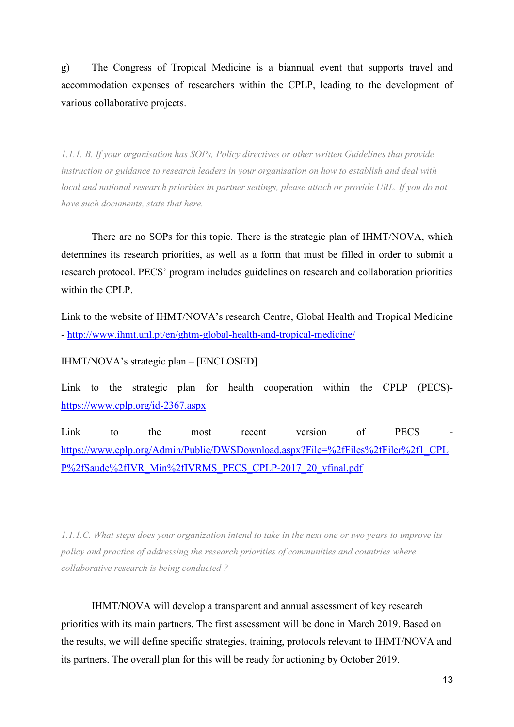g) The Congress of Tropical Medicine is a biannual event that supports travel and accommodation expenses of researchers within the CPLP, leading to the development of various collaborative projects.

*1.1.1. B. If your organisation has SOPs, Policy directives or other written Guidelines that provide instruction or guidance to research leaders in your organisation on how to establish and deal with local and national research priorities in partner settings, please attach or provide URL. If you do not have such documents, state that here.* 

There are no SOPs for this topic. There is the strategic plan of IHMT/NOVA, which determines its research priorities, as well as a form that must be filled in order to submit a research protocol. PECS' program includes guidelines on research and collaboration priorities within the CPLP.

Link to the website of IHMT/NOVA's research Centre, Global Health and Tropical Medicine - http://www.ihmt.unl.pt/en/ghtm-global-health-and-tropical-medicine/

IHMT/NOVA's strategic plan – [ENCLOSED]

Link to the strategic plan for health cooperation within the CPLP (PECS) https://www.cplp.org/id-2367.aspx

Link to the most recent version of PECS https://www.cplp.org/Admin/Public/DWSDownload.aspx?File=%2fFiles%2fFiler%2f1\_CPL P%2fSaude%2fIVR\_Min%2fIVRMS\_PECS\_CPLP-2017\_20\_vfinal.pdf

*1.1.1.C. What steps does your organization intend to take in the next one or two years to improve its policy and practice of addressing the research priorities of communities and countries where collaborative research is being conducted ?* 

IHMT/NOVA will develop a transparent and annual assessment of key research priorities with its main partners. The first assessment will be done in March 2019. Based on the results, we will define specific strategies, training, protocols relevant to IHMT/NOVA and its partners. The overall plan for this will be ready for actioning by October 2019.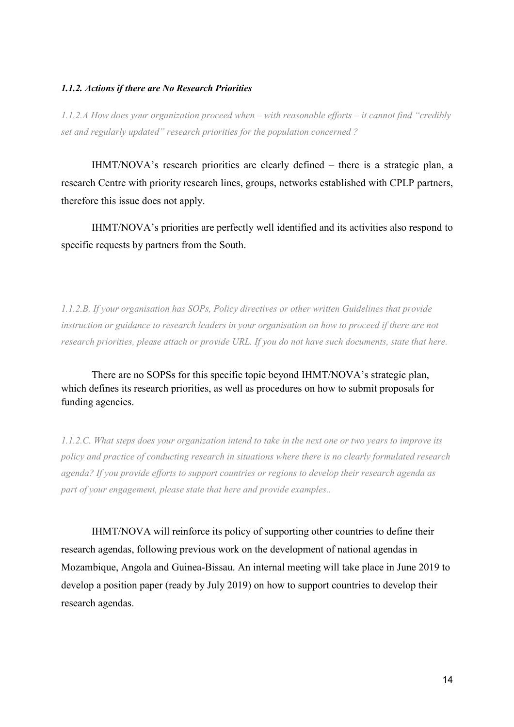#### *1.1.2. Actions if there are No Research Priorities*

*1.1.2.A How does your organization proceed when – with reasonable efforts – it cannot find "credibly set and regularly updated" research priorities for the population concerned ?* 

IHMT/NOVA's research priorities are clearly defined – there is a strategic plan, a research Centre with priority research lines, groups, networks established with CPLP partners, therefore this issue does not apply.

IHMT/NOVA's priorities are perfectly well identified and its activities also respond to specific requests by partners from the South.

*1.1.2.B. If your organisation has SOPs, Policy directives or other written Guidelines that provide instruction or guidance to research leaders in your organisation on how to proceed if there are not research priorities, please attach or provide URL. If you do not have such documents, state that here.* 

There are no SOPSs for this specific topic beyond IHMT/NOVA's strategic plan, which defines its research priorities, as well as procedures on how to submit proposals for funding agencies.

*1.1.2.C. What steps does your organization intend to take in the next one or two years to improve its policy and practice of conducting research in situations where there is no clearly formulated research agenda? If you provide efforts to support countries or regions to develop their research agenda as part of your engagement, please state that here and provide examples..* 

IHMT/NOVA will reinforce its policy of supporting other countries to define their research agendas, following previous work on the development of national agendas in Mozambique, Angola and Guinea-Bissau. An internal meeting will take place in June 2019 to develop a position paper (ready by July 2019) on how to support countries to develop their research agendas.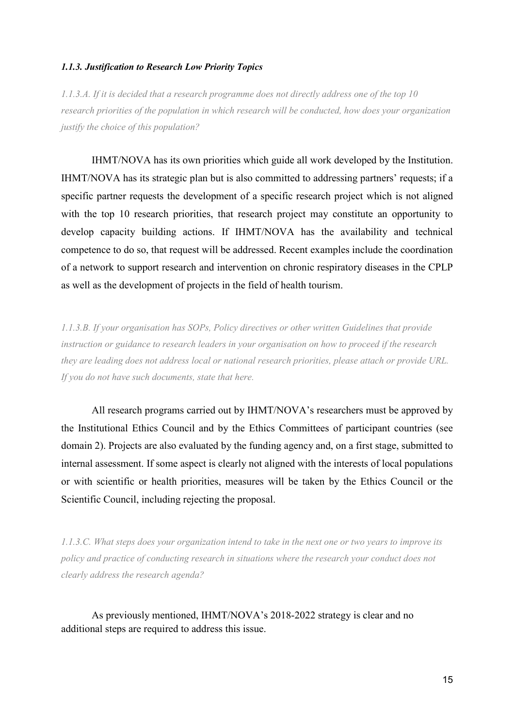#### *1.1.3. Justification to Research Low Priority Topics*

*1.1.3.A. If it is decided that a research programme does not directly address one of the top 10 research priorities of the population in which research will be conducted, how does your organization justify the choice of this population?* 

IHMT/NOVA has its own priorities which guide all work developed by the Institution. IHMT/NOVA has its strategic plan but is also committed to addressing partners' requests; if a specific partner requests the development of a specific research project which is not aligned with the top 10 research priorities, that research project may constitute an opportunity to develop capacity building actions. If IHMT/NOVA has the availability and technical competence to do so, that request will be addressed. Recent examples include the coordination of a network to support research and intervention on chronic respiratory diseases in the CPLP as well as the development of projects in the field of health tourism.

*1.1.3.B. If your organisation has SOPs, Policy directives or other written Guidelines that provide instruction or guidance to research leaders in your organisation on how to proceed if the research they are leading does not address local or national research priorities, please attach or provide URL. If you do not have such documents, state that here.* 

All research programs carried out by IHMT/NOVA's researchers must be approved by the Institutional Ethics Council and by the Ethics Committees of participant countries (see domain 2). Projects are also evaluated by the funding agency and, on a first stage, submitted to internal assessment. If some aspect is clearly not aligned with the interests of local populations or with scientific or health priorities, measures will be taken by the Ethics Council or the Scientific Council, including rejecting the proposal.

*1.1.3.C. What steps does your organization intend to take in the next one or two years to improve its policy and practice of conducting research in situations where the research your conduct does not clearly address the research agenda?* 

As previously mentioned, IHMT/NOVA's 2018-2022 strategy is clear and no additional steps are required to address this issue.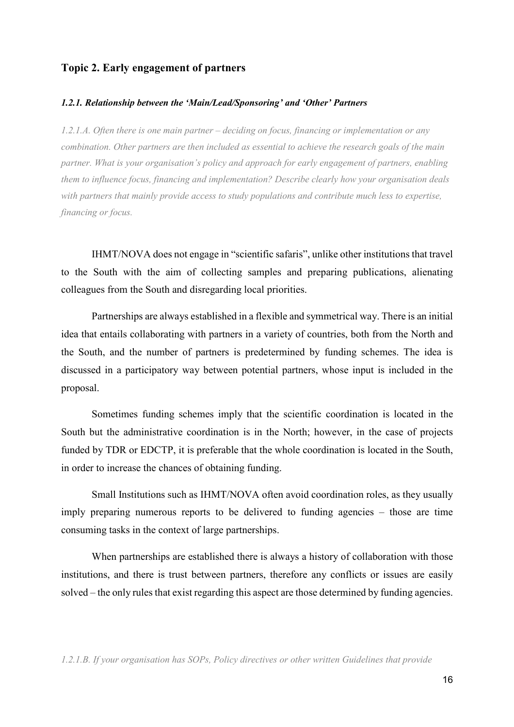#### **Topic 2. Early engagement of partners**

#### *1.2.1. Relationship between the 'Main/Lead/Sponsoring' and 'Other' Partners*

*1.2.1.A. Often there is one main partner – deciding on focus, financing or implementation or any combination. Other partners are then included as essential to achieve the research goals of the main partner. What is your organisation's policy and approach for early engagement of partners, enabling them to influence focus, financing and implementation? Describe clearly how your organisation deals with partners that mainly provide access to study populations and contribute much less to expertise, financing or focus.* 

IHMT/NOVA does not engage in "scientific safaris", unlike other institutions that travel to the South with the aim of collecting samples and preparing publications, alienating colleagues from the South and disregarding local priorities.

 Partnerships are always established in a flexible and symmetrical way. There is an initial idea that entails collaborating with partners in a variety of countries, both from the North and the South, and the number of partners is predetermined by funding schemes. The idea is discussed in a participatory way between potential partners, whose input is included in the proposal.

 Sometimes funding schemes imply that the scientific coordination is located in the South but the administrative coordination is in the North; however, in the case of projects funded by TDR or EDCTP, it is preferable that the whole coordination is located in the South, in order to increase the chances of obtaining funding.

 Small Institutions such as IHMT/NOVA often avoid coordination roles, as they usually imply preparing numerous reports to be delivered to funding agencies – those are time consuming tasks in the context of large partnerships.

 When partnerships are established there is always a history of collaboration with those institutions, and there is trust between partners, therefore any conflicts or issues are easily solved – the only rules that exist regarding this aspect are those determined by funding agencies.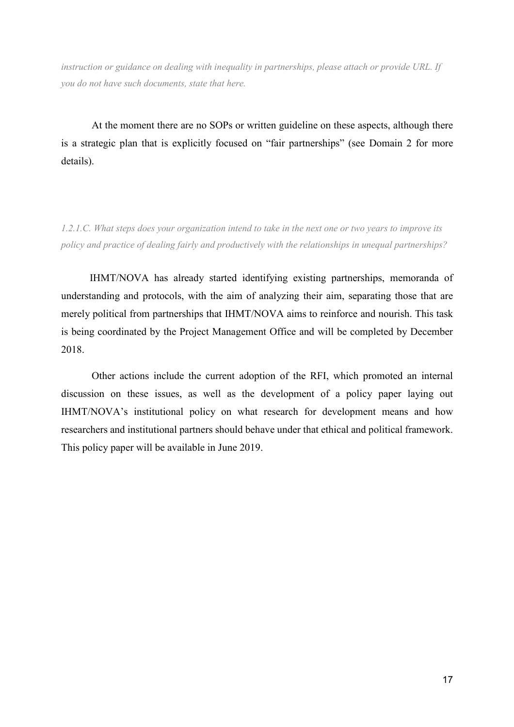*instruction or guidance on dealing with inequality in partnerships, please attach or provide URL. If you do not have such documents, state that here.* 

At the moment there are no SOPs or written guideline on these aspects, although there is a strategic plan that is explicitly focused on "fair partnerships" (see Domain 2 for more details).

*1.2.1.C. What steps does your organization intend to take in the next one or two years to improve its policy and practice of dealing fairly and productively with the relationships in unequal partnerships?* 

 IHMT/NOVA has already started identifying existing partnerships, memoranda of understanding and protocols, with the aim of analyzing their aim, separating those that are merely political from partnerships that IHMT/NOVA aims to reinforce and nourish. This task is being coordinated by the Project Management Office and will be completed by December 2018.

 Other actions include the current adoption of the RFI, which promoted an internal discussion on these issues, as well as the development of a policy paper laying out IHMT/NOVA's institutional policy on what research for development means and how researchers and institutional partners should behave under that ethical and political framework. This policy paper will be available in June 2019.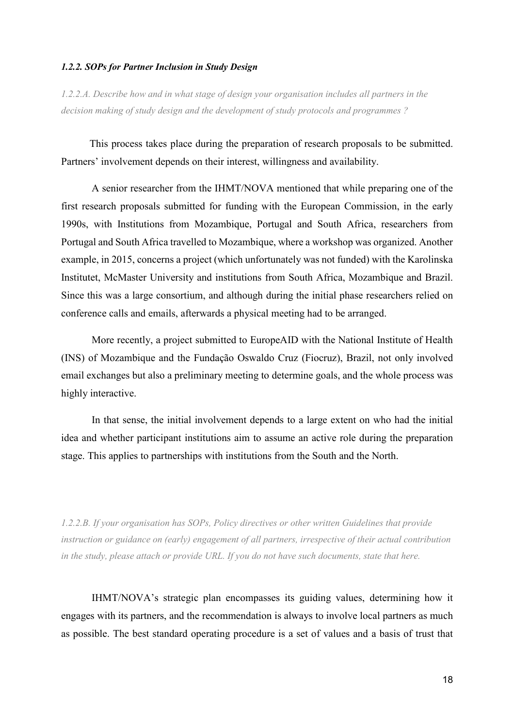#### *1.2.2. SOPs for Partner Inclusion in Study Design*

*1.2.2.A. Describe how and in what stage of design your organisation includes all partners in the decision making of study design and the development of study protocols and programmes ?* 

 This process takes place during the preparation of research proposals to be submitted. Partners' involvement depends on their interest, willingness and availability.

 A senior researcher from the IHMT/NOVA mentioned that while preparing one of the first research proposals submitted for funding with the European Commission, in the early 1990s, with Institutions from Mozambique, Portugal and South Africa, researchers from Portugal and South Africa travelled to Mozambique, where a workshop was organized. Another example, in 2015, concerns a project (which unfortunately was not funded) with the Karolinska Institutet, McMaster University and institutions from South Africa, Mozambique and Brazil. Since this was a large consortium, and although during the initial phase researchers relied on conference calls and emails, afterwards a physical meeting had to be arranged.

 More recently, a project submitted to EuropeAID with the National Institute of Health (INS) of Mozambique and the Fundação Oswaldo Cruz (Fiocruz), Brazil, not only involved email exchanges but also a preliminary meeting to determine goals, and the whole process was highly interactive.

 In that sense, the initial involvement depends to a large extent on who had the initial idea and whether participant institutions aim to assume an active role during the preparation stage. This applies to partnerships with institutions from the South and the North.

*1.2.2.B. If your organisation has SOPs, Policy directives or other written Guidelines that provide instruction or guidance on (early) engagement of all partners, irrespective of their actual contribution in the study, please attach or provide URL. If you do not have such documents, state that here.* 

IHMT/NOVA's strategic plan encompasses its guiding values, determining how it engages with its partners, and the recommendation is always to involve local partners as much as possible. The best standard operating procedure is a set of values and a basis of trust that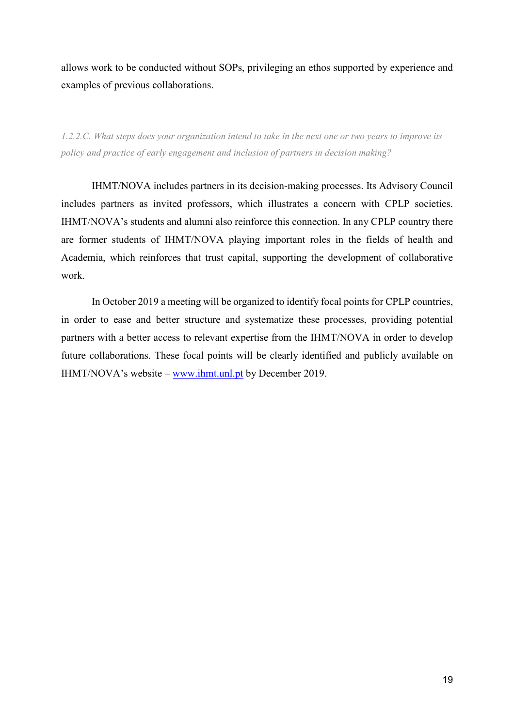allows work to be conducted without SOPs, privileging an ethos supported by experience and examples of previous collaborations.

*1.2.2.C. What steps does your organization intend to take in the next one or two years to improve its policy and practice of early engagement and inclusion of partners in decision making?* 

IHMT/NOVA includes partners in its decision-making processes. Its Advisory Council includes partners as invited professors, which illustrates a concern with CPLP societies. IHMT/NOVA's students and alumni also reinforce this connection. In any CPLP country there are former students of IHMT/NOVA playing important roles in the fields of health and Academia, which reinforces that trust capital, supporting the development of collaborative work.

In October 2019 a meeting will be organized to identify focal points for CPLP countries, in order to ease and better structure and systematize these processes, providing potential partners with a better access to relevant expertise from the IHMT/NOVA in order to develop future collaborations. These focal points will be clearly identified and publicly available on IHMT/NOVA's website – www.ihmt.unl.pt by December 2019.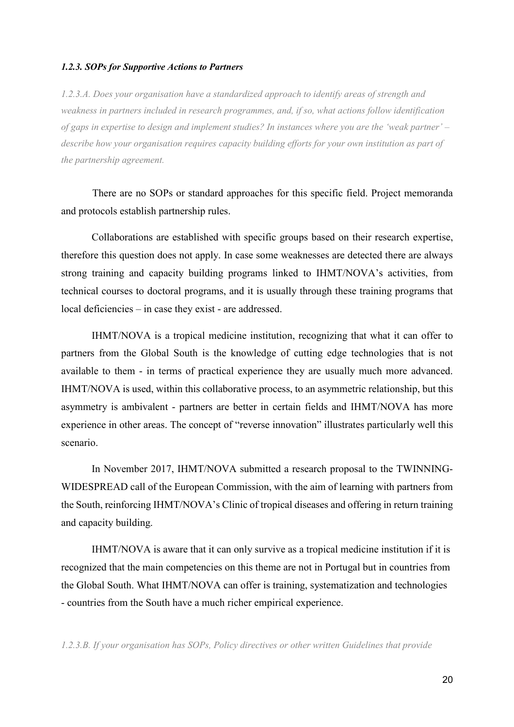#### *1.2.3. SOPs for Supportive Actions to Partners*

*1.2.3.A. Does your organisation have a standardized approach to identify areas of strength and weakness in partners included in research programmes, and, if so, what actions follow identification of gaps in expertise to design and implement studies? In instances where you are the 'weak partner' – describe how your organisation requires capacity building efforts for your own institution as part of the partnership agreement.* 

 There are no SOPs or standard approaches for this specific field. Project memoranda and protocols establish partnership rules.

 Collaborations are established with specific groups based on their research expertise, therefore this question does not apply. In case some weaknesses are detected there are always strong training and capacity building programs linked to IHMT/NOVA's activities, from technical courses to doctoral programs, and it is usually through these training programs that local deficiencies – in case they exist - are addressed.

 IHMT/NOVA is a tropical medicine institution, recognizing that what it can offer to partners from the Global South is the knowledge of cutting edge technologies that is not available to them - in terms of practical experience they are usually much more advanced. IHMT/NOVA is used, within this collaborative process, to an asymmetric relationship, but this asymmetry is ambivalent - partners are better in certain fields and IHMT/NOVA has more experience in other areas. The concept of "reverse innovation" illustrates particularly well this scenario.

 In November 2017, IHMT/NOVA submitted a research proposal to the TWINNING-WIDESPREAD call of the European Commission, with the aim of learning with partners from the South, reinforcing IHMT/NOVA's Clinic of tropical diseases and offering in return training and capacity building.

 IHMT/NOVA is aware that it can only survive as a tropical medicine institution if it is recognized that the main competencies on this theme are not in Portugal but in countries from the Global South. What IHMT/NOVA can offer is training, systematization and technologies - countries from the South have a much richer empirical experience.

*1.2.3.B. If your organisation has SOPs, Policy directives or other written Guidelines that provide*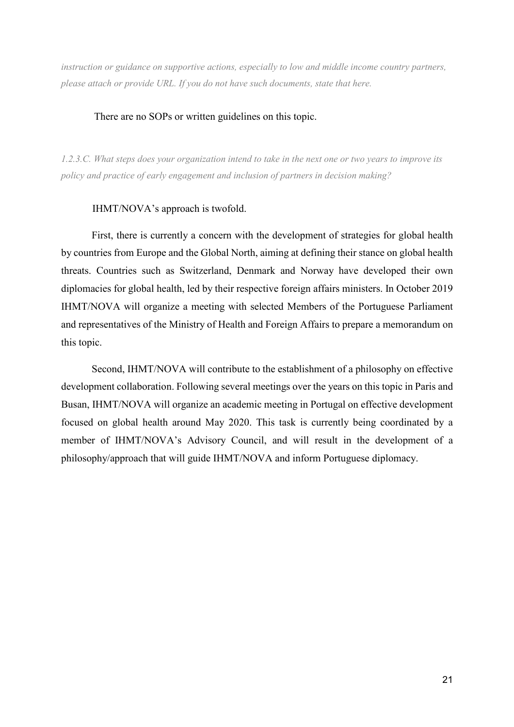*instruction or guidance on supportive actions, especially to low and middle income country partners, please attach or provide URL. If you do not have such documents, state that here.* 

#### There are no SOPs or written guidelines on this topic.

*1.2.3.C. What steps does your organization intend to take in the next one or two years to improve its policy and practice of early engagement and inclusion of partners in decision making?* 

#### IHMT/NOVA's approach is twofold.

 First, there is currently a concern with the development of strategies for global health by countries from Europe and the Global North, aiming at defining their stance on global health threats. Countries such as Switzerland, Denmark and Norway have developed their own diplomacies for global health, led by their respective foreign affairs ministers. In October 2019 IHMT/NOVA will organize a meeting with selected Members of the Portuguese Parliament and representatives of the Ministry of Health and Foreign Affairs to prepare a memorandum on this topic.

 Second, IHMT/NOVA will contribute to the establishment of a philosophy on effective development collaboration. Following several meetings over the years on this topic in Paris and Busan, IHMT/NOVA will organize an academic meeting in Portugal on effective development focused on global health around May 2020. This task is currently being coordinated by a member of IHMT/NOVA's Advisory Council, and will result in the development of a philosophy/approach that will guide IHMT/NOVA and inform Portuguese diplomacy.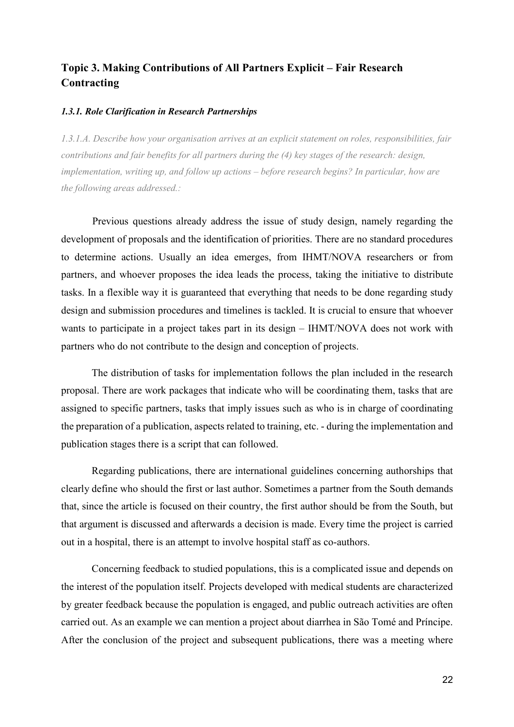# **Topic 3. Making Contributions of All Partners Explicit – Fair Research Contracting**

#### *1.3.1. Role Clarification in Research Partnerships*

*1.3.1.A. Describe how your organisation arrives at an explicit statement on roles, responsibilities, fair contributions and fair benefits for all partners during the (4) key stages of the research: design, implementation, writing up, and follow up actions – before research begins? In particular, how are the following areas addressed.:* 

 Previous questions already address the issue of study design, namely regarding the development of proposals and the identification of priorities. There are no standard procedures to determine actions. Usually an idea emerges, from IHMT/NOVA researchers or from partners, and whoever proposes the idea leads the process, taking the initiative to distribute tasks. In a flexible way it is guaranteed that everything that needs to be done regarding study design and submission procedures and timelines is tackled. It is crucial to ensure that whoever wants to participate in a project takes part in its design – IHMT/NOVA does not work with partners who do not contribute to the design and conception of projects.

 The distribution of tasks for implementation follows the plan included in the research proposal. There are work packages that indicate who will be coordinating them, tasks that are assigned to specific partners, tasks that imply issues such as who is in charge of coordinating the preparation of a publication, aspects related to training, etc. - during the implementation and publication stages there is a script that can followed.

 Regarding publications, there are international guidelines concerning authorships that clearly define who should the first or last author. Sometimes a partner from the South demands that, since the article is focused on their country, the first author should be from the South, but that argument is discussed and afterwards a decision is made. Every time the project is carried out in a hospital, there is an attempt to involve hospital staff as co-authors.

 Concerning feedback to studied populations, this is a complicated issue and depends on the interest of the population itself. Projects developed with medical students are characterized by greater feedback because the population is engaged, and public outreach activities are often carried out. As an example we can mention a project about diarrhea in São Tomé and Príncipe. After the conclusion of the project and subsequent publications, there was a meeting where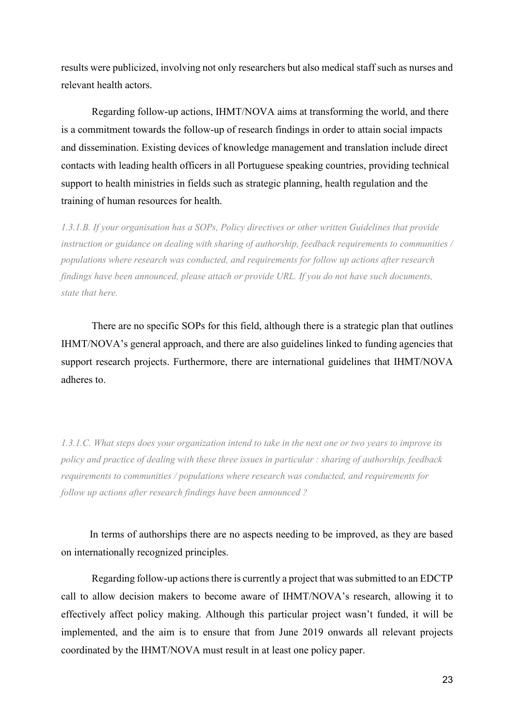results were publicized, involving not only researchers but also medical staff such as nurses and relevant health actors.

 Regarding follow-up actions, IHMT/NOVA aims at transforming the world, and there is a commitment towards the follow-up of research findings in order to attain social impacts and dissemination. Existing devices of knowledge management and translation include direct contacts with leading health officers in all Portuguese speaking countries, providing technical support to health ministries in fields such as strategic planning, health regulation and the training of human resources for health.

*1.3.1.B. If your organisation has a SOPs, Policy directives or other written Guidelines that provide instruction or guidance on dealing with sharing of authorship, feedback requirements to communities / populations where research was conducted, and requirements for follow up actions after research findings have been announced, please attach or provide URL. If you do not have such documents, state that here.* 

There are no specific SOPs for this field, although there is a strategic plan that outlines IHMT/NOVA's general approach, and there are also guidelines linked to funding agencies that support research projects. Furthermore, there are international guidelines that IHMT/NOVA adheres to.

*1.3.1.C. What steps does your organization intend to take in the next one or two years to improve its policy and practice of dealing with these three issues in particular : sharing of authorship, feedback requirements to communities / populations where research was conducted, and requirements for follow up actions after research findings have been announced ?* 

 In terms of authorships there are no aspects needing to be improved, as they are based on internationally recognized principles.

 Regarding follow-up actions there is currently a project that was submitted to an EDCTP call to allow decision makers to become aware of IHMT/NOVA's research, allowing it to effectively affect policy making. Although this particular project wasn't funded, it will be implemented, and the aim is to ensure that from June 2019 onwards all relevant projects coordinated by the IHMT/NOVA must result in at least one policy paper.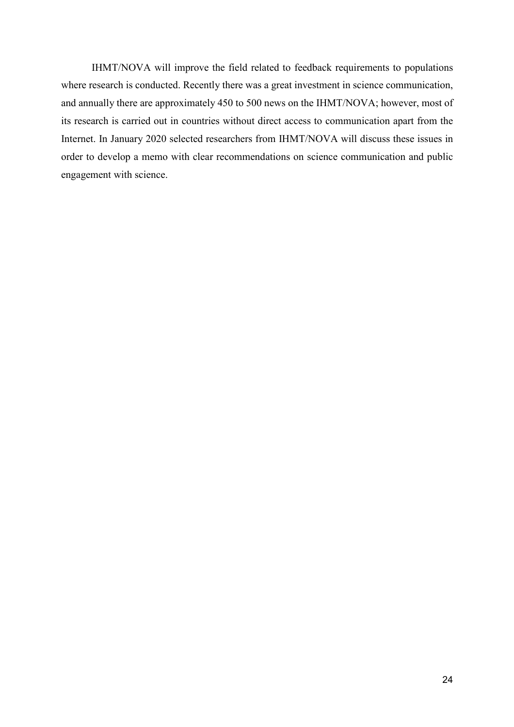IHMT/NOVA will improve the field related to feedback requirements to populations where research is conducted. Recently there was a great investment in science communication, and annually there are approximately 450 to 500 news on the IHMT/NOVA; however, most of its research is carried out in countries without direct access to communication apart from the Internet. In January 2020 selected researchers from IHMT/NOVA will discuss these issues in order to develop a memo with clear recommendations on science communication and public engagement with science.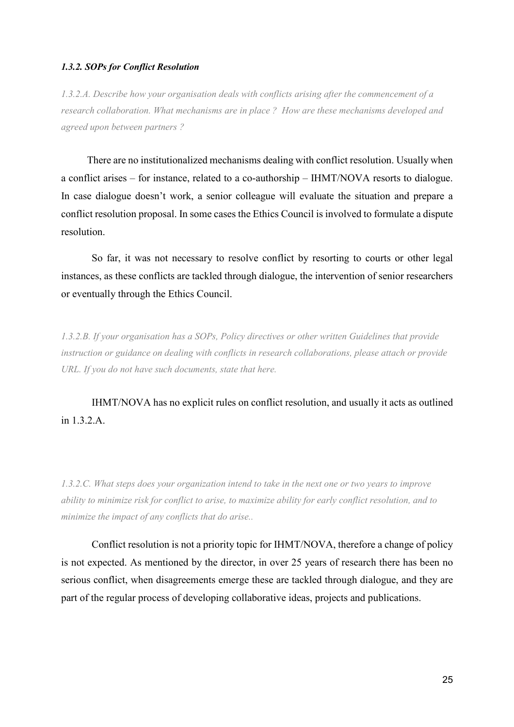#### *1.3.2. SOPs for Conflict Resolution*

*1.3.2.A. Describe how your organisation deals with conflicts arising after the commencement of a research collaboration. What mechanisms are in place ? How are these mechanisms developed and agreed upon between partners ?* 

 There are no institutionalized mechanisms dealing with conflict resolution. Usually when a conflict arises – for instance, related to a co-authorship – IHMT/NOVA resorts to dialogue. In case dialogue doesn't work, a senior colleague will evaluate the situation and prepare a conflict resolution proposal. In some cases the Ethics Council is involved to formulate a dispute resolution.

 So far, it was not necessary to resolve conflict by resorting to courts or other legal instances, as these conflicts are tackled through dialogue, the intervention of senior researchers or eventually through the Ethics Council.

*1.3.2.B. If your organisation has a SOPs, Policy directives or other written Guidelines that provide instruction or guidance on dealing with conflicts in research collaborations, please attach or provide URL. If you do not have such documents, state that here.* 

IHMT/NOVA has no explicit rules on conflict resolution, and usually it acts as outlined in 1.3.2 A

*1.3.2.C. What steps does your organization intend to take in the next one or two years to improve ability to minimize risk for conflict to arise, to maximize ability for early conflict resolution, and to minimize the impact of any conflicts that do arise..* 

Conflict resolution is not a priority topic for IHMT/NOVA, therefore a change of policy is not expected. As mentioned by the director, in over 25 years of research there has been no serious conflict, when disagreements emerge these are tackled through dialogue, and they are part of the regular process of developing collaborative ideas, projects and publications.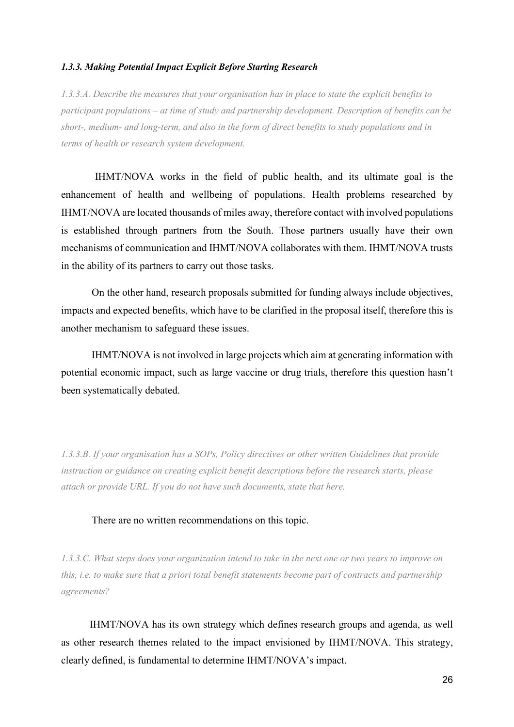#### *1.3.3. Making Potential Impact Explicit Before Starting Research*

*1.3.3.A. Describe the measures that your organisation has in place to state the explicit benefits to participant populations – at time of study and partnership development. Description of benefits can be short-, medium- and long-term, and also in the form of direct benefits to study populations and in terms of health or research system development.* 

 IHMT/NOVA works in the field of public health, and its ultimate goal is the enhancement of health and wellbeing of populations. Health problems researched by IHMT/NOVA are located thousands of miles away, therefore contact with involved populations is established through partners from the South. Those partners usually have their own mechanisms of communication and IHMT/NOVA collaborates with them. IHMT/NOVA trusts in the ability of its partners to carry out those tasks.

 On the other hand, research proposals submitted for funding always include objectives, impacts and expected benefits, which have to be clarified in the proposal itself, therefore this is another mechanism to safeguard these issues.

 IHMT/NOVA is not involved in large projects which aim at generating information with potential economic impact, such as large vaccine or drug trials, therefore this question hasn't been systematically debated.

*1.3.3.B. If your organisation has a SOPs, Policy directives or other written Guidelines that provide instruction or guidance on creating explicit benefit descriptions before the research starts, please attach or provide URL. If you do not have such documents, state that here.* 

#### There are no written recommendations on this topic.

*1.3.3.C. What steps does your organization intend to take in the next one or two years to improve on this, i.e. to make sure that a priori total benefit statements become part of contracts and partnership agreements?* 

 IHMT/NOVA has its own strategy which defines research groups and agenda, as well as other research themes related to the impact envisioned by IHMT/NOVA. This strategy, clearly defined, is fundamental to determine IHMT/NOVA's impact.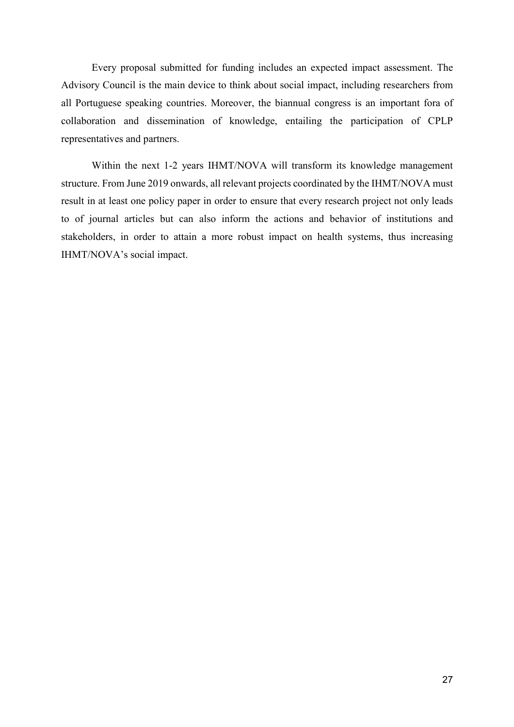Every proposal submitted for funding includes an expected impact assessment. The Advisory Council is the main device to think about social impact, including researchers from all Portuguese speaking countries. Moreover, the biannual congress is an important fora of collaboration and dissemination of knowledge, entailing the participation of CPLP representatives and partners.

 Within the next 1-2 years IHMT/NOVA will transform its knowledge management structure. From June 2019 onwards, all relevant projects coordinated by the IHMT/NOVA must result in at least one policy paper in order to ensure that every research project not only leads to of journal articles but can also inform the actions and behavior of institutions and stakeholders, in order to attain a more robust impact on health systems, thus increasing IHMT/NOVA's social impact.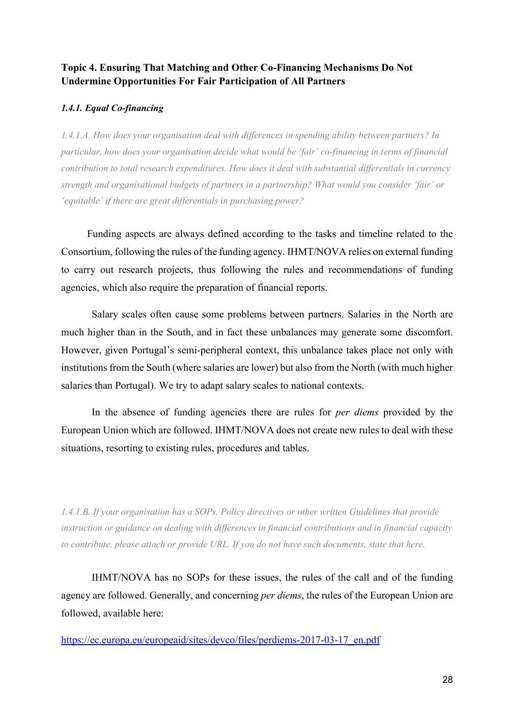## **Topic 4. Ensuring That Matching and Other Co-Financing Mechanisms Do Not Undermine Opportunities For Fair Participation of All Partners**

### *1.4.1. Equal Co-financing*

*1.4.1.A. How does your organisation deal with differences in spending ability between partners? In particular, how does your organisation decide what would be 'fair' co-financing in terms of financial contribution to total research expenditures. How does it deal with substantial differentials in currency strength and organisational budgets of partners in a partnership? What would you consider 'fair' or 'equitable' if there are great differentials in purchasing power?*

 Funding aspects are always defined according to the tasks and timeline related to the Consortium, following the rules of the funding agency. IHMT/NOVA relies on external funding to carry out research projects, thus following the rules and recommendations of funding agencies, which also require the preparation of financial reports.

 Salary scales often cause some problems between partners. Salaries in the North are much higher than in the South, and in fact these unbalances may generate some discomfort. However, given Portugal's semi-peripheral context, this unbalance takes place not only with institutions from the South (where salaries are lower) but also from the North (with much higher salaries than Portugal). We try to adapt salary scales to national contexts.

 In the absence of funding agencies there are rules for *per diems* provided by the European Union which are followed. IHMT/NOVA does not create new rules to deal with these situations, resorting to existing rules, procedures and tables.

*1.4.1.B. If your organisation has a SOPs, Policy directives or other written Guidelines that provide instruction or guidance on dealing with differences in financial contributions and in financial capacity to contribute, please attach or provide URL. If you do not have such documents, state that here.* 

IHMT/NOVA has no SOPs for these issues, the rules of the call and of the funding agency are followed. Generally, and concerning *per diems*, the rules of the European Union are followed, available here:

https://ec.europa.eu/europeaid/sites/devco/files/perdiems-2017-03-17\_en.pdf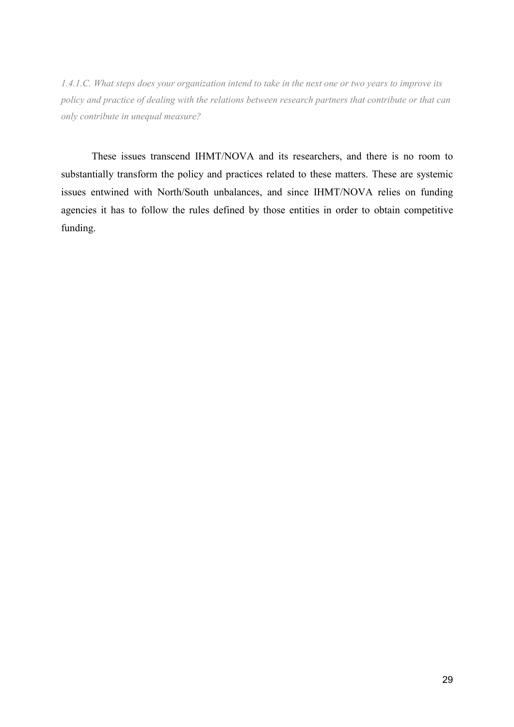*1.4.1.C. What steps does your organization intend to take in the next one or two years to improve its policy and practice of dealing with the relations between research partners that contribute or that can only contribute in unequal measure?* 

These issues transcend IHMT/NOVA and its researchers, and there is no room to substantially transform the policy and practices related to these matters. These are systemic issues entwined with North/South unbalances, and since IHMT/NOVA relies on funding agencies it has to follow the rules defined by those entities in order to obtain competitive funding.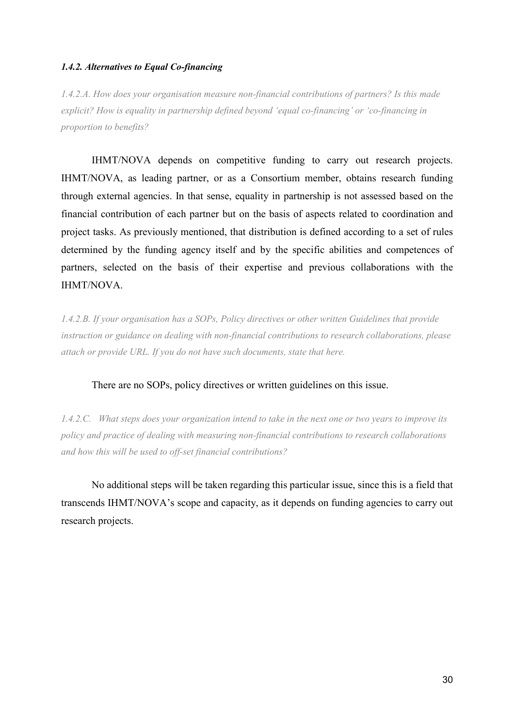#### *1.4.2. Alternatives to Equal Co-financing*

*1.4.2.A. How does your organisation measure non-financial contributions of partners? Is this made explicit? How is equality in partnership defined beyond 'equal co-financing' or 'co-financing in proportion to benefits?* 

IHMT/NOVA depends on competitive funding to carry out research projects. IHMT/NOVA, as leading partner, or as a Consortium member, obtains research funding through external agencies. In that sense, equality in partnership is not assessed based on the financial contribution of each partner but on the basis of aspects related to coordination and project tasks. As previously mentioned, that distribution is defined according to a set of rules determined by the funding agency itself and by the specific abilities and competences of partners, selected on the basis of their expertise and previous collaborations with the IHMT/NOVA.

*1.4.2.B. If your organisation has a SOPs, Policy directives or other written Guidelines that provide instruction or guidance on dealing with non-financial contributions to research collaborations, please attach or provide URL. If you do not have such documents, state that here.* 

#### There are no SOPs, policy directives or written guidelines on this issue.

*1.4.2.C. What steps does your organization intend to take in the next one or two years to improve its policy and practice of dealing with measuring non-financial contributions to research collaborations and how this will be used to off-set financial contributions?* 

No additional steps will be taken regarding this particular issue, since this is a field that transcends IHMT/NOVA's scope and capacity, as it depends on funding agencies to carry out research projects.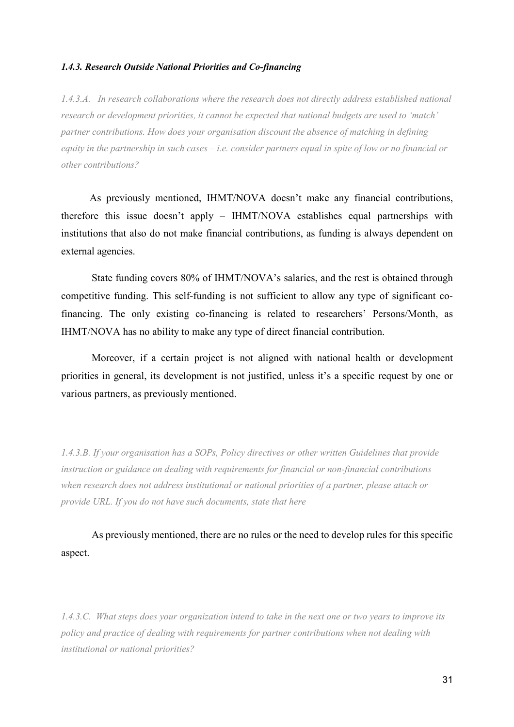#### *1.4.3. Research Outside National Priorities and Co-financing*

*1.4.3.A. In research collaborations where the research does not directly address established national research or development priorities, it cannot be expected that national budgets are used to 'match' partner contributions. How does your organisation discount the absence of matching in defining equity in the partnership in such cases – i.e. consider partners equal in spite of low or no financial or other contributions?* 

 As previously mentioned, IHMT/NOVA doesn't make any financial contributions, therefore this issue doesn't apply – IHMT/NOVA establishes equal partnerships with institutions that also do not make financial contributions, as funding is always dependent on external agencies.

 State funding covers 80% of IHMT/NOVA's salaries, and the rest is obtained through competitive funding. This self-funding is not sufficient to allow any type of significant cofinancing. The only existing co-financing is related to researchers' Persons/Month, as IHMT/NOVA has no ability to make any type of direct financial contribution.

 Moreover, if a certain project is not aligned with national health or development priorities in general, its development is not justified, unless it's a specific request by one or various partners, as previously mentioned.

*1.4.3.B. If your organisation has a SOPs, Policy directives or other written Guidelines that provide instruction or guidance on dealing with requirements for financial or non-financial contributions when research does not address institutional or national priorities of a partner, please attach or provide URL. If you do not have such documents, state that here* 

As previously mentioned, there are no rules or the need to develop rules for this specific aspect.

*1.4.3.C. What steps does your organization intend to take in the next one or two years to improve its policy and practice of dealing with requirements for partner contributions when not dealing with institutional or national priorities?*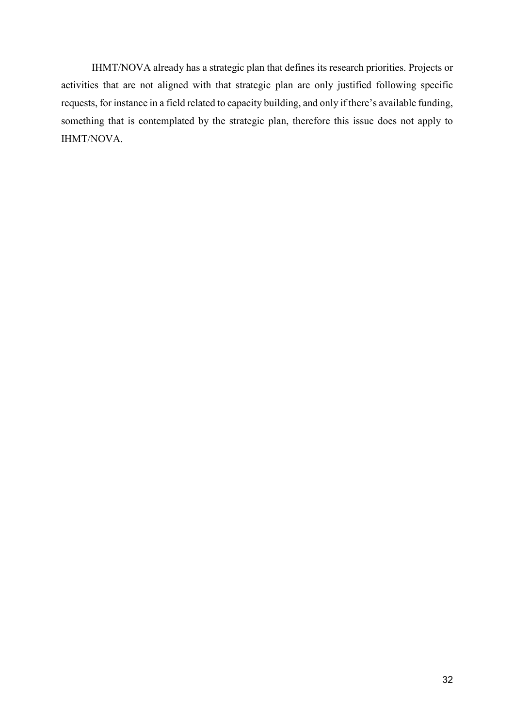IHMT/NOVA already has a strategic plan that defines its research priorities. Projects or activities that are not aligned with that strategic plan are only justified following specific requests, for instance in a field related to capacity building, and only if there's available funding, something that is contemplated by the strategic plan, therefore this issue does not apply to IHMT/NOVA.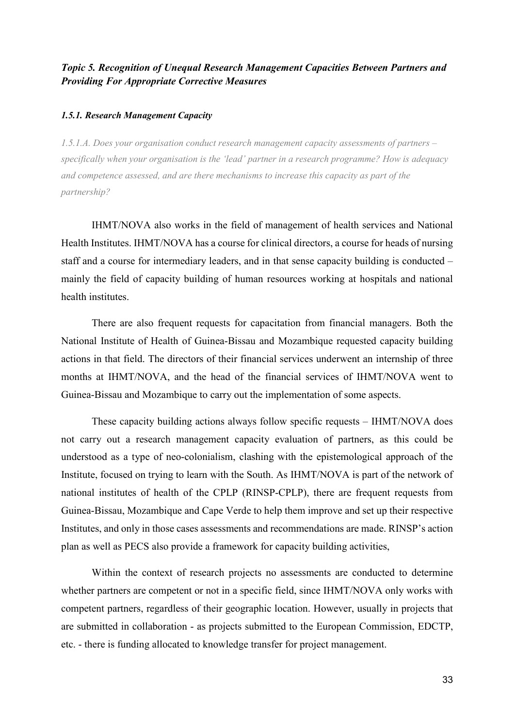### *Topic 5. Recognition of Unequal Research Management Capacities Between Partners and Providing For Appropriate Corrective Measures*

#### *1.5.1. Research Management Capacity*

*1.5.1.A. Does your organisation conduct research management capacity assessments of partners – specifically when your organisation is the 'lead' partner in a research programme? How is adequacy and competence assessed, and are there mechanisms to increase this capacity as part of the partnership?* 

IHMT/NOVA also works in the field of management of health services and National Health Institutes. IHMT/NOVA has a course for clinical directors, a course for heads of nursing staff and a course for intermediary leaders, and in that sense capacity building is conducted – mainly the field of capacity building of human resources working at hospitals and national health institutes.

There are also frequent requests for capacitation from financial managers. Both the National Institute of Health of Guinea-Bissau and Mozambique requested capacity building actions in that field. The directors of their financial services underwent an internship of three months at IHMT/NOVA, and the head of the financial services of IHMT/NOVA went to Guinea-Bissau and Mozambique to carry out the implementation of some aspects.

 These capacity building actions always follow specific requests – IHMT/NOVA does not carry out a research management capacity evaluation of partners, as this could be understood as a type of neo-colonialism, clashing with the epistemological approach of the Institute, focused on trying to learn with the South. As IHMT/NOVA is part of the network of national institutes of health of the CPLP (RINSP-CPLP), there are frequent requests from Guinea-Bissau, Mozambique and Cape Verde to help them improve and set up their respective Institutes, and only in those cases assessments and recommendations are made. RINSP's action plan as well as PECS also provide a framework for capacity building activities,

 Within the context of research projects no assessments are conducted to determine whether partners are competent or not in a specific field, since IHMT/NOVA only works with competent partners, regardless of their geographic location. However, usually in projects that are submitted in collaboration - as projects submitted to the European Commission, EDCTP, etc. - there is funding allocated to knowledge transfer for project management.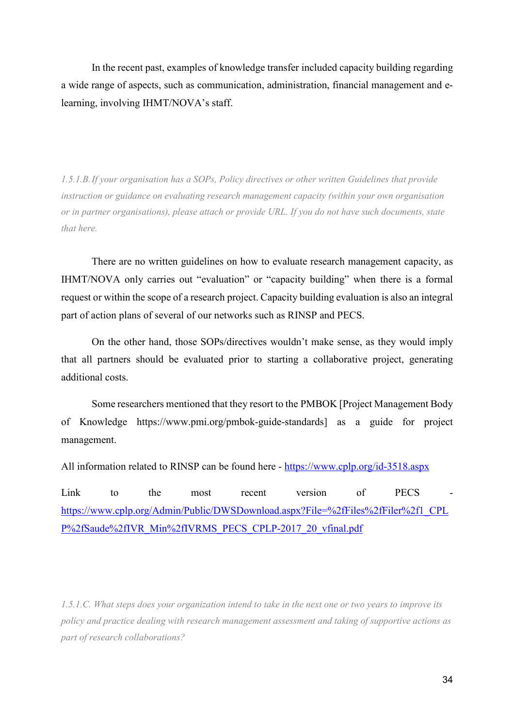In the recent past, examples of knowledge transfer included capacity building regarding a wide range of aspects, such as communication, administration, financial management and elearning, involving IHMT/NOVA's staff.

*1.5.1.B. If your organisation has a SOPs, Policy directives or other written Guidelines that provide instruction or guidance on evaluating research management capacity (within your own organisation or in partner organisations), please attach or provide URL. If you do not have such documents, state that here.* 

There are no written guidelines on how to evaluate research management capacity, as IHMT/NOVA only carries out "evaluation" or "capacity building" when there is a formal request or within the scope of a research project. Capacity building evaluation is also an integral part of action plans of several of our networks such as RINSP and PECS.

On the other hand, those SOPs/directives wouldn't make sense, as they would imply that all partners should be evaluated prior to starting a collaborative project, generating additional costs.

Some researchers mentioned that they resort to the PMBOK [Project Management Body of Knowledge https://www.pmi.org/pmbok-guide-standards] as a guide for project management.

All information related to RINSP can be found here - https://www.cplp.org/id-3518.aspx

Link to the most recent version of PECS https://www.cplp.org/Admin/Public/DWSDownload.aspx?File=%2fFiles%2fFiler%2f1\_CPL P%2fSaude%2fIVR\_Min%2fIVRMS\_PECS\_CPLP-2017\_20\_vfinal.pdf

*1.5.1.C. What steps does your organization intend to take in the next one or two years to improve its policy and practice dealing with research management assessment and taking of supportive actions as part of research collaborations?*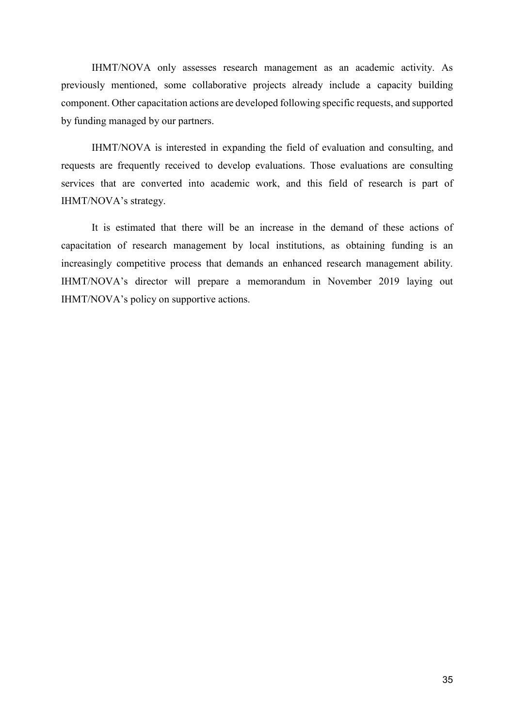IHMT/NOVA only assesses research management as an academic activity. As previously mentioned, some collaborative projects already include a capacity building component. Other capacitation actions are developed following specific requests, and supported by funding managed by our partners.

 IHMT/NOVA is interested in expanding the field of evaluation and consulting, and requests are frequently received to develop evaluations. Those evaluations are consulting services that are converted into academic work, and this field of research is part of IHMT/NOVA's strategy.

 It is estimated that there will be an increase in the demand of these actions of capacitation of research management by local institutions, as obtaining funding is an increasingly competitive process that demands an enhanced research management ability. IHMT/NOVA's director will prepare a memorandum in November 2019 laying out IHMT/NOVA's policy on supportive actions.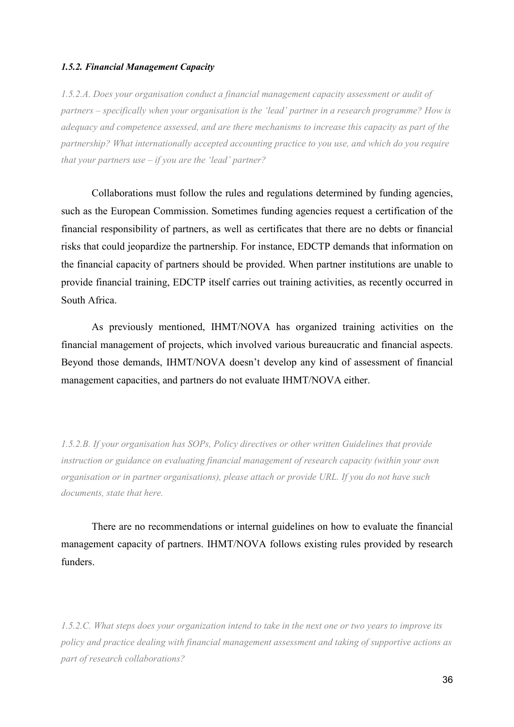### *1.5.2. Financial Management Capacity*

*1.5.2.A. Does your organisation conduct a financial management capacity assessment or audit of partners – specifically when your organisation is the 'lead' partner in a research programme? How is adequacy and competence assessed, and are there mechanisms to increase this capacity as part of the partnership? What internationally accepted accounting practice to you use, and which do you require that your partners use – if you are the 'lead' partner?* 

Collaborations must follow the rules and regulations determined by funding agencies, such as the European Commission. Sometimes funding agencies request a certification of the financial responsibility of partners, as well as certificates that there are no debts or financial risks that could jeopardize the partnership. For instance, EDCTP demands that information on the financial capacity of partners should be provided. When partner institutions are unable to provide financial training, EDCTP itself carries out training activities, as recently occurred in South Africa.

 As previously mentioned, IHMT/NOVA has organized training activities on the financial management of projects, which involved various bureaucratic and financial aspects. Beyond those demands, IHMT/NOVA doesn't develop any kind of assessment of financial management capacities, and partners do not evaluate IHMT/NOVA either.

*1.5.2.B. If your organisation has SOPs, Policy directives or other written Guidelines that provide instruction or guidance on evaluating financial management of research capacity (within your own organisation or in partner organisations), please attach or provide URL. If you do not have such documents, state that here.* 

There are no recommendations or internal guidelines on how to evaluate the financial management capacity of partners. IHMT/NOVA follows existing rules provided by research funders.

*1.5.2.C. What steps does your organization intend to take in the next one or two years to improve its policy and practice dealing with financial management assessment and taking of supportive actions as part of research collaborations?*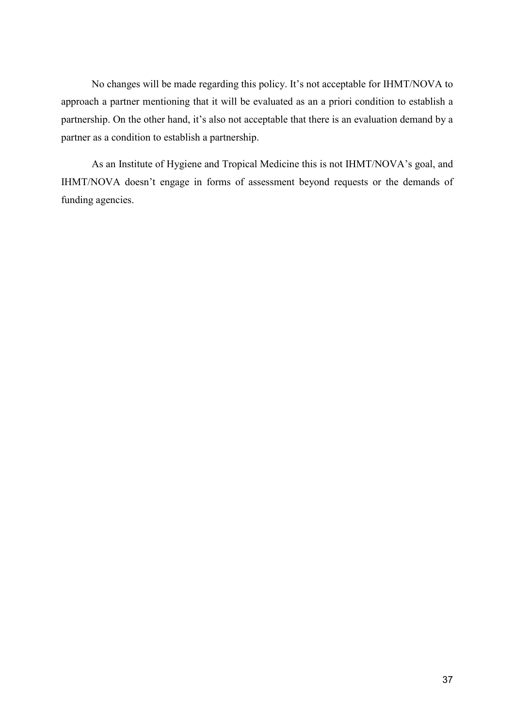No changes will be made regarding this policy. It's not acceptable for IHMT/NOVA to approach a partner mentioning that it will be evaluated as an a priori condition to establish a partnership. On the other hand, it's also not acceptable that there is an evaluation demand by a partner as a condition to establish a partnership.

 As an Institute of Hygiene and Tropical Medicine this is not IHMT/NOVA's goal, and IHMT/NOVA doesn't engage in forms of assessment beyond requests or the demands of funding agencies.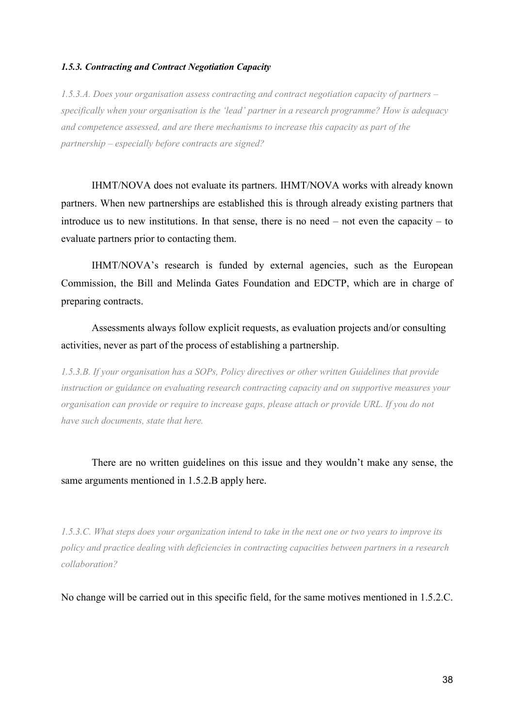# *1.5.3. Contracting and Contract Negotiation Capacity*

*1.5.3.A. Does your organisation assess contracting and contract negotiation capacity of partners – specifically when your organisation is the 'lead' partner in a research programme? How is adequacy and competence assessed, and are there mechanisms to increase this capacity as part of the partnership – especially before contracts are signed?* 

IHMT/NOVA does not evaluate its partners. IHMT/NOVA works with already known partners. When new partnerships are established this is through already existing partners that introduce us to new institutions. In that sense, there is no need – not even the capacity – to evaluate partners prior to contacting them.

 IHMT/NOVA's research is funded by external agencies, such as the European Commission, the Bill and Melinda Gates Foundation and EDCTP, which are in charge of preparing contracts.

 Assessments always follow explicit requests, as evaluation projects and/or consulting activities, never as part of the process of establishing a partnership.

*1.5.3.B. If your organisation has a SOPs, Policy directives or other written Guidelines that provide instruction or guidance on evaluating research contracting capacity and on supportive measures your organisation can provide or require to increase gaps, please attach or provide URL. If you do not have such documents, state that here.* 

There are no written guidelines on this issue and they wouldn't make any sense, the same arguments mentioned in 1.5.2.B apply here.

*1.5.3.C. What steps does your organization intend to take in the next one or two years to improve its policy and practice dealing with deficiencies in contracting capacities between partners in a research collaboration?* 

No change will be carried out in this specific field, for the same motives mentioned in 1.5.2.C.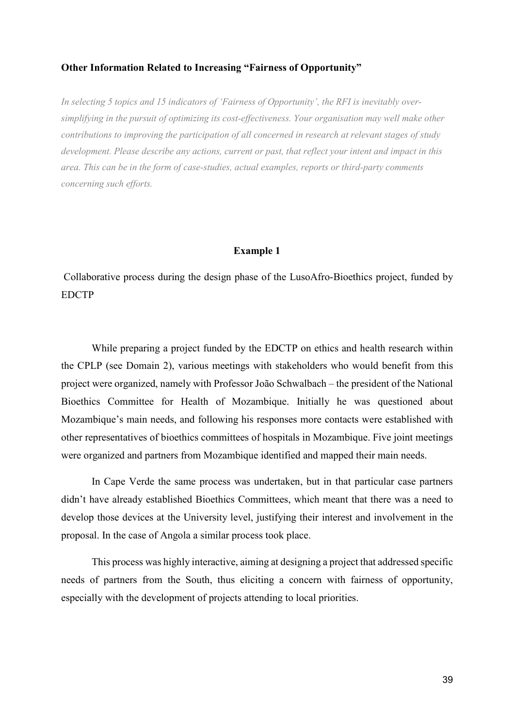# **Other Information Related to Increasing "Fairness of Opportunity"**

*In selecting 5 topics and 15 indicators of 'Fairness of Opportunity', the RFI is inevitably oversimplifying in the pursuit of optimizing its cost-effectiveness. Your organisation may well make other contributions to improving the participation of all concerned in research at relevant stages of study development. Please describe any actions, current or past, that reflect your intent and impact in this area. This can be in the form of case-studies, actual examples, reports or third-party comments concerning such efforts.* 

# **Example 1**

 Collaborative process during the design phase of the LusoAfro-Bioethics project, funded by EDCTP

 While preparing a project funded by the EDCTP on ethics and health research within the CPLP (see Domain 2), various meetings with stakeholders who would benefit from this project were organized, namely with Professor João Schwalbach – the president of the National Bioethics Committee for Health of Mozambique. Initially he was questioned about Mozambique's main needs, and following his responses more contacts were established with other representatives of bioethics committees of hospitals in Mozambique. Five joint meetings were organized and partners from Mozambique identified and mapped their main needs.

 In Cape Verde the same process was undertaken, but in that particular case partners didn't have already established Bioethics Committees, which meant that there was a need to develop those devices at the University level, justifying their interest and involvement in the proposal. In the case of Angola a similar process took place.

 This process was highly interactive, aiming at designing a project that addressed specific needs of partners from the South, thus eliciting a concern with fairness of opportunity, especially with the development of projects attending to local priorities.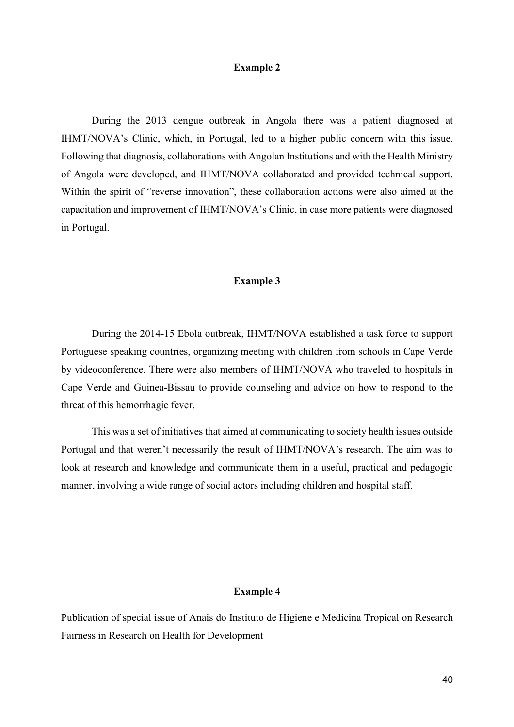# **Example 2**

 During the 2013 dengue outbreak in Angola there was a patient diagnosed at IHMT/NOVA's Clinic, which, in Portugal, led to a higher public concern with this issue. Following that diagnosis, collaborations with Angolan Institutions and with the Health Ministry of Angola were developed, and IHMT/NOVA collaborated and provided technical support. Within the spirit of "reverse innovation", these collaboration actions were also aimed at the capacitation and improvement of IHMT/NOVA's Clinic, in case more patients were diagnosed in Portugal.

#### **Example 3**

 During the 2014-15 Ebola outbreak, IHMT/NOVA established a task force to support Portuguese speaking countries, organizing meeting with children from schools in Cape Verde by videoconference. There were also members of IHMT/NOVA who traveled to hospitals in Cape Verde and Guinea-Bissau to provide counseling and advice on how to respond to the threat of this hemorrhagic fever.

 This was a set of initiatives that aimed at communicating to society health issues outside Portugal and that weren't necessarily the result of IHMT/NOVA's research. The aim was to look at research and knowledge and communicate them in a useful, practical and pedagogic manner, involving a wide range of social actors including children and hospital staff.

# **Example 4**

Publication of special issue of Anais do Instituto de Higiene e Medicina Tropical on Research Fairness in Research on Health for Development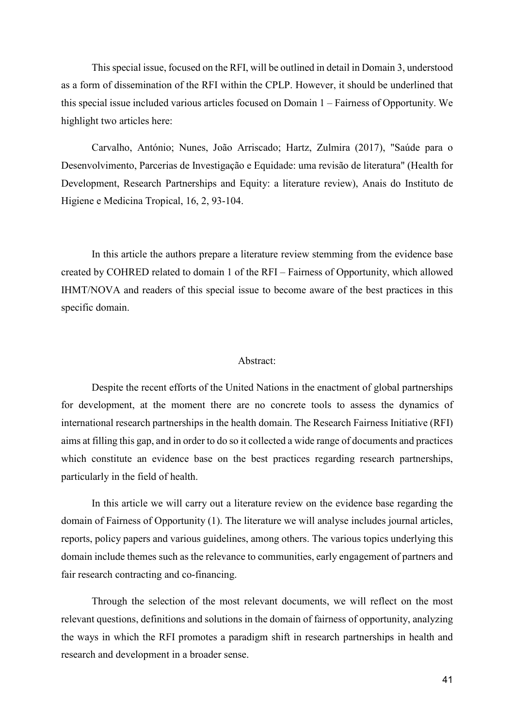This special issue, focused on the RFI, will be outlined in detail in Domain 3, understood as a form of dissemination of the RFI within the CPLP. However, it should be underlined that this special issue included various articles focused on Domain 1 – Fairness of Opportunity. We highlight two articles here:

 Carvalho, António; Nunes, João Arriscado; Hartz, Zulmira (2017), "Saúde para o Desenvolvimento, Parcerias de Investigação e Equidade: uma revisão de literatura" (Health for Development, Research Partnerships and Equity: a literature review), Anais do Instituto de Higiene e Medicina Tropical, 16, 2, 93-104.

 In this article the authors prepare a literature review stemming from the evidence base created by COHRED related to domain 1 of the RFI – Fairness of Opportunity, which allowed IHMT/NOVA and readers of this special issue to become aware of the best practices in this specific domain.

#### Abstract:

 Despite the recent efforts of the United Nations in the enactment of global partnerships for development, at the moment there are no concrete tools to assess the dynamics of international research partnerships in the health domain. The Research Fairness Initiative (RFI) aims at filling this gap, and in order to do so it collected a wide range of documents and practices which constitute an evidence base on the best practices regarding research partnerships, particularly in the field of health.

 In this article we will carry out a literature review on the evidence base regarding the domain of Fairness of Opportunity (1). The literature we will analyse includes journal articles, reports, policy papers and various guidelines, among others. The various topics underlying this domain include themes such as the relevance to communities, early engagement of partners and fair research contracting and co-financing.

 Through the selection of the most relevant documents, we will reflect on the most relevant questions, definitions and solutions in the domain of fairness of opportunity, analyzing the ways in which the RFI promotes a paradigm shift in research partnerships in health and research and development in a broader sense.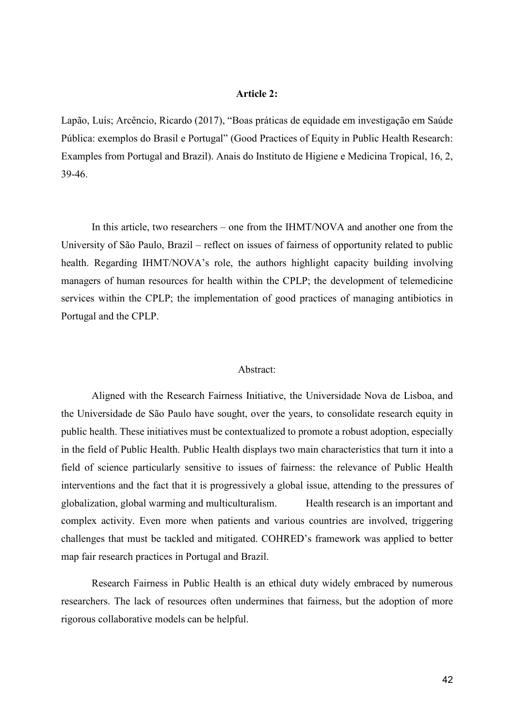### **Article 2:**

Lapão, Luís; Arcêncio, Ricardo (2017), "Boas práticas de equidade em investigação em Saúde Pública: exemplos do Brasil e Portugal" (Good Practices of Equity in Public Health Research: Examples from Portugal and Brazil). Anais do Instituto de Higiene e Medicina Tropical, 16, 2, 39-46.

 In this article, two researchers – one from the IHMT/NOVA and another one from the University of São Paulo, Brazil – reflect on issues of fairness of opportunity related to public health. Regarding IHMT/NOVA's role, the authors highlight capacity building involving managers of human resources for health within the CPLP; the development of telemedicine services within the CPLP; the implementation of good practices of managing antibiotics in Portugal and the CPLP.

### Abstract:

 Aligned with the Research Fairness Initiative, the Universidade Nova de Lisboa, and the Universidade de São Paulo have sought, over the years, to consolidate research equity in public health. These initiatives must be contextualized to promote a robust adoption, especially in the field of Public Health. Public Health displays two main characteristics that turn it into a field of science particularly sensitive to issues of fairness: the relevance of Public Health interventions and the fact that it is progressively a global issue, attending to the pressures of globalization, global warming and multiculturalism. Health research is an important and complex activity. Even more when patients and various countries are involved, triggering challenges that must be tackled and mitigated. COHRED's framework was applied to better map fair research practices in Portugal and Brazil.

 Research Fairness in Public Health is an ethical duty widely embraced by numerous researchers. The lack of resources often undermines that fairness, but the adoption of more rigorous collaborative models can be helpful.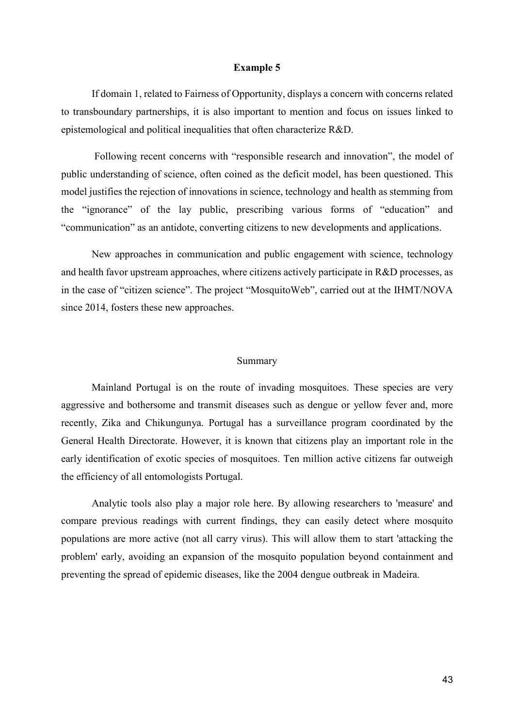#### **Example 5**

 If domain 1, related to Fairness of Opportunity, displays a concern with concerns related to transboundary partnerships, it is also important to mention and focus on issues linked to epistemological and political inequalities that often characterize R&D.

 Following recent concerns with "responsible research and innovation", the model of public understanding of science, often coined as the deficit model, has been questioned. This model justifies the rejection of innovations in science, technology and health as stemming from the "ignorance" of the lay public, prescribing various forms of "education" and "communication" as an antidote, converting citizens to new developments and applications.

 New approaches in communication and public engagement with science, technology and health favor upstream approaches, where citizens actively participate in R&D processes, as in the case of "citizen science". The project "MosquitoWeb", carried out at the IHMT/NOVA since 2014, fosters these new approaches.

#### Summary

 Mainland Portugal is on the route of invading mosquitoes. These species are very aggressive and bothersome and transmit diseases such as dengue or yellow fever and, more recently, Zika and Chikungunya. Portugal has a surveillance program coordinated by the General Health Directorate. However, it is known that citizens play an important role in the early identification of exotic species of mosquitoes. Ten million active citizens far outweigh the efficiency of all entomologists Portugal.

 Analytic tools also play a major role here. By allowing researchers to 'measure' and compare previous readings with current findings, they can easily detect where mosquito populations are more active (not all carry virus). This will allow them to start 'attacking the problem' early, avoiding an expansion of the mosquito population beyond containment and preventing the spread of epidemic diseases, like the 2004 dengue outbreak in Madeira.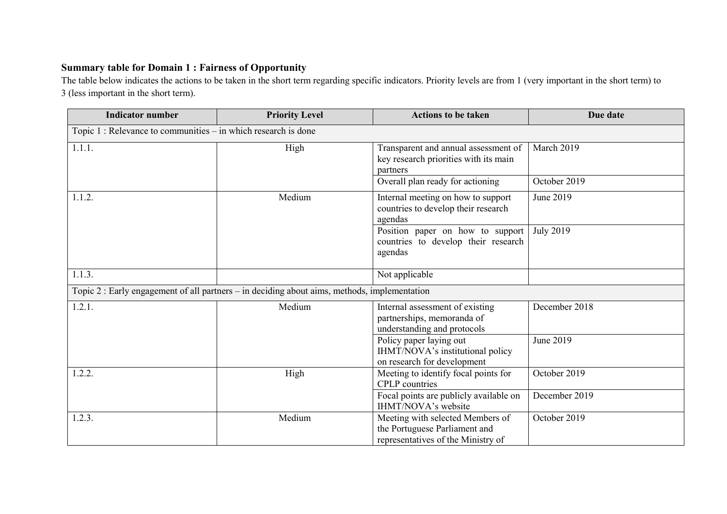# **Summary table for Domain 1 : Fairness of Opportunity**

 The table below indicates the actions to be taken in the short term regarding specific indicators. Priority levels are from 1 (very important in the short term) to 3 (less important in the short term).

| <b>Indicator number</b>                                                                      | <b>Priority Level</b> | <b>Actions to be taken</b>                                                                              | Due date         |  |  |  |
|----------------------------------------------------------------------------------------------|-----------------------|---------------------------------------------------------------------------------------------------------|------------------|--|--|--|
| Topic $1:$ Relevance to communities $-$ in which research is done                            |                       |                                                                                                         |                  |  |  |  |
| 1.1.1.                                                                                       | High                  | Transparent and annual assessment of<br>key research priorities with its main<br>partners               | March 2019       |  |  |  |
|                                                                                              |                       | Overall plan ready for actioning                                                                        | October 2019     |  |  |  |
| 1.1.2.                                                                                       | Medium                | Internal meeting on how to support<br>countries to develop their research<br>agendas                    | June 2019        |  |  |  |
|                                                                                              |                       | Position paper on how to support<br>countries to develop their research<br>agendas                      | <b>July 2019</b> |  |  |  |
| 1.1.3.                                                                                       |                       | Not applicable                                                                                          |                  |  |  |  |
| Topic 2 : Early engagement of all partners – in deciding about aims, methods, implementation |                       |                                                                                                         |                  |  |  |  |
| 1.2.1.                                                                                       | Medium                | Internal assessment of existing<br>partnerships, memoranda of<br>understanding and protocols            | December 2018    |  |  |  |
|                                                                                              |                       | Policy paper laying out<br>IHMT/NOVA's institutional policy<br>on research for development              | June 2019        |  |  |  |
| 1.2.2.                                                                                       | High                  | Meeting to identify focal points for<br><b>CPLP</b> countries                                           | October 2019     |  |  |  |
|                                                                                              |                       | Focal points are publicly available on<br>IHMT/NOVA's website                                           | December 2019    |  |  |  |
| 1.2.3.                                                                                       | Medium                | Meeting with selected Members of<br>the Portuguese Parliament and<br>representatives of the Ministry of | October 2019     |  |  |  |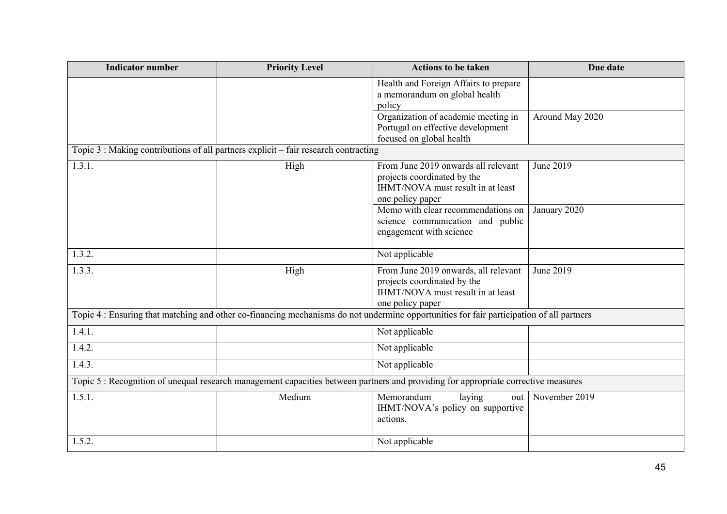| <b>Indicator number</b>                                                                                                                  | <b>Priority Level</b> | <b>Actions to be taken</b>                                                                                                   | Due date        |  |  |  |
|------------------------------------------------------------------------------------------------------------------------------------------|-----------------------|------------------------------------------------------------------------------------------------------------------------------|-----------------|--|--|--|
|                                                                                                                                          |                       | Health and Foreign Affairs to prepare<br>a memorandum on global health<br>policy                                             |                 |  |  |  |
|                                                                                                                                          |                       | Organization of academic meeting in<br>Portugal on effective development<br>focused on global health                         | Around May 2020 |  |  |  |
| Topic 3 : Making contributions of all partners explicit – fair research contracting                                                      |                       |                                                                                                                              |                 |  |  |  |
| 1.3.1.                                                                                                                                   | High                  | From June 2019 onwards all relevant<br>projects coordinated by the<br>IHMT/NOVA must result in at least<br>one policy paper  | June 2019       |  |  |  |
|                                                                                                                                          |                       | Memo with clear recommendations on<br>science communication and public<br>engagement with science                            | January 2020    |  |  |  |
| 1.3.2.                                                                                                                                   |                       | Not applicable                                                                                                               |                 |  |  |  |
| 1.3.3.                                                                                                                                   | High                  | From June 2019 onwards, all relevant<br>projects coordinated by the<br>IHMT/NOVA must result in at least<br>one policy paper | June 2019       |  |  |  |
| Topic 4 : Ensuring that matching and other co-financing mechanisms do not undermine opportunities for fair participation of all partners |                       |                                                                                                                              |                 |  |  |  |
| 1.4.1.                                                                                                                                   |                       | Not applicable                                                                                                               |                 |  |  |  |
| 1.4.2.                                                                                                                                   |                       | Not applicable                                                                                                               |                 |  |  |  |
| 1.4.3.                                                                                                                                   |                       | Not applicable                                                                                                               |                 |  |  |  |
| Topic 5: Recognition of unequal research management capacities between partners and providing for appropriate corrective measures        |                       |                                                                                                                              |                 |  |  |  |
| 1.5.1.                                                                                                                                   | Medium                | Memorandum<br>laying<br>out<br>IHMT/NOVA's policy on supportive<br>actions.                                                  | November 2019   |  |  |  |
| 1.5.2.                                                                                                                                   |                       | Not applicable                                                                                                               |                 |  |  |  |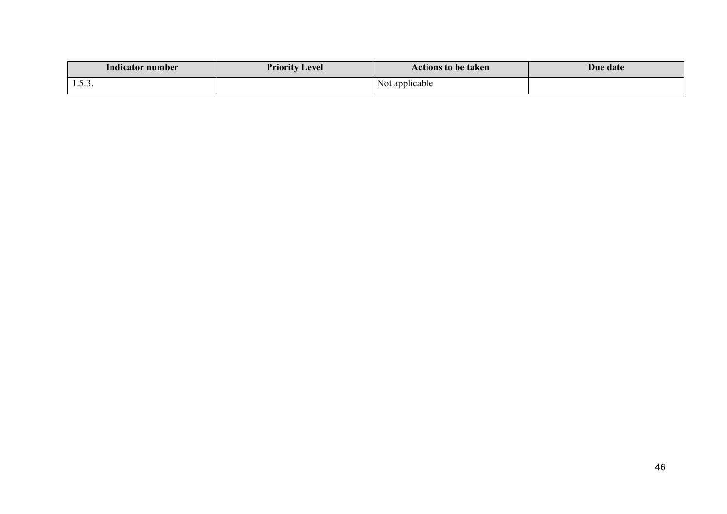| .<br>Indicator number | <b>Priority Level</b> | <b>Actions to be taken</b> | <b>Due date</b> |
|-----------------------|-----------------------|----------------------------|-----------------|
|                       |                       | Not applicable             |                 |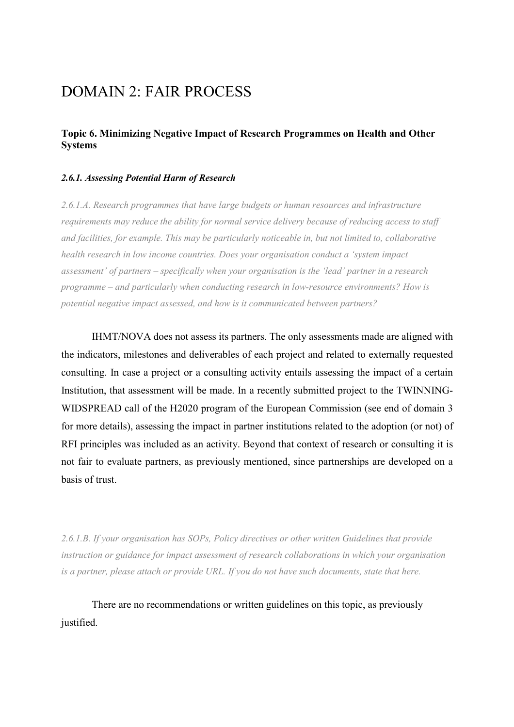# DOMAIN 2: FAIR PROCESS

# **Topic 6. Minimizing Negative Impact of Research Programmes on Health and Other Systems**

# *2.6.1. Assessing Potential Harm of Research*

*2.6.1.A. Research programmes that have large budgets or human resources and infrastructure requirements may reduce the ability for normal service delivery because of reducing access to staff and facilities, for example. This may be particularly noticeable in, but not limited to, collaborative health research in low income countries. Does your organisation conduct a 'system impact assessment' of partners – specifically when your organisation is the 'lead' partner in a research programme – and particularly when conducting research in low-resource environments? How is potential negative impact assessed, and how is it communicated between partners?* 

IHMT/NOVA does not assess its partners. The only assessments made are aligned with the indicators, milestones and deliverables of each project and related to externally requested consulting. In case a project or a consulting activity entails assessing the impact of a certain Institution, that assessment will be made. In a recently submitted project to the TWINNING-WIDSPREAD call of the H2020 program of the European Commission (see end of domain 3 for more details), assessing the impact in partner institutions related to the adoption (or not) of RFI principles was included as an activity. Beyond that context of research or consulting it is not fair to evaluate partners, as previously mentioned, since partnerships are developed on a basis of trust.

*2.6.1.B. If your organisation has SOPs, Policy directives or other written Guidelines that provide instruction or guidance for impact assessment of research collaborations in which your organisation is a partner, please attach or provide URL. If you do not have such documents, state that here.* 

There are no recommendations or written guidelines on this topic, as previously justified.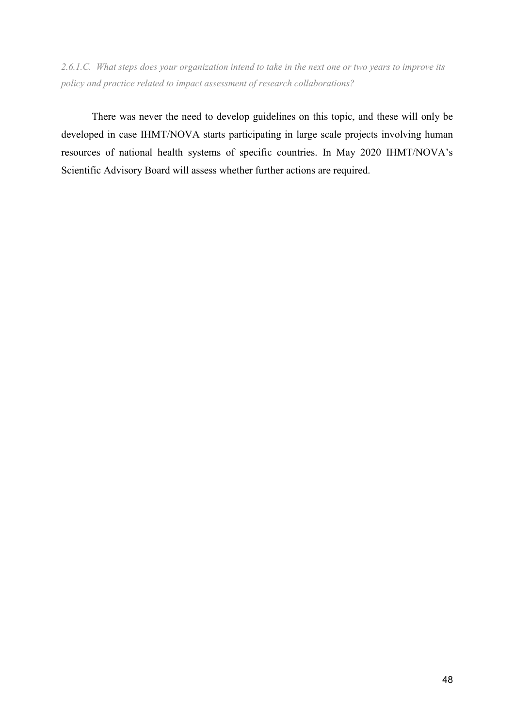*2.6.1.C. What steps does your organization intend to take in the next one or two years to improve its policy and practice related to impact assessment of research collaborations?* 

There was never the need to develop guidelines on this topic, and these will only be developed in case IHMT/NOVA starts participating in large scale projects involving human resources of national health systems of specific countries. In May 2020 IHMT/NOVA's Scientific Advisory Board will assess whether further actions are required.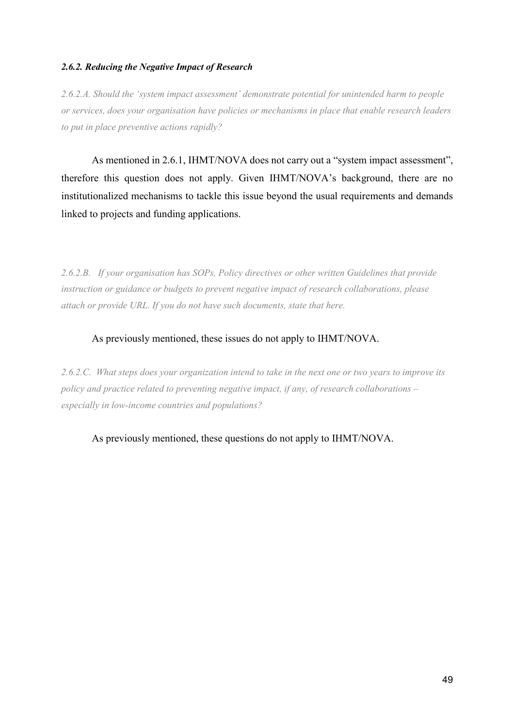# *2.6.2. Reducing the Negative Impact of Research*

*2.6.2.A. Should the 'system impact assessment' demonstrate potential for unintended harm to people or services, does your organisation have policies or mechanisms in place that enable research leaders to put in place preventive actions rapidly?* 

As mentioned in 2.6.1, IHMT/NOVA does not carry out a "system impact assessment", therefore this question does not apply. Given IHMT/NOVA's background, there are no institutionalized mechanisms to tackle this issue beyond the usual requirements and demands linked to projects and funding applications.

*2.6.2.B. If your organisation has SOPs, Policy directives or other written Guidelines that provide instruction or guidance or budgets to prevent negative impact of research collaborations, please attach or provide URL. If you do not have such documents, state that here.* 

# As previously mentioned, these issues do not apply to IHMT/NOVA.

*2.6.2.C. What steps does your organization intend to take in the next one or two years to improve its policy and practice related to preventing negative impact, if any, of research collaborations – especially in low-income countries and populations?* 

As previously mentioned, these questions do not apply to IHMT/NOVA.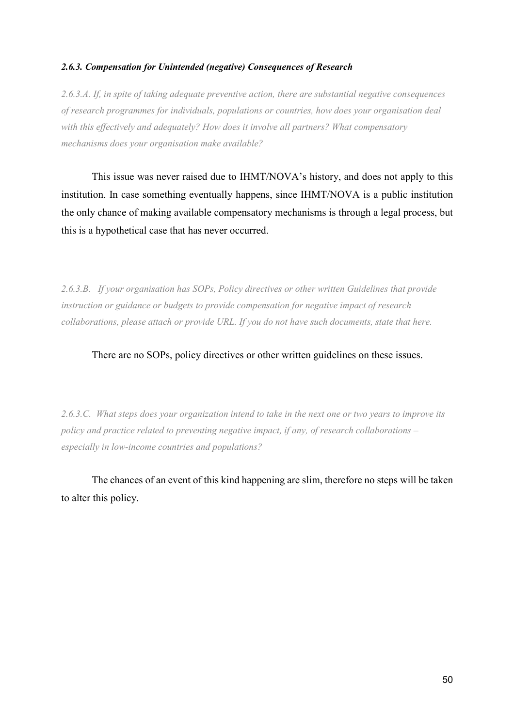# *2.6.3. Compensation for Unintended (negative) Consequences of Research*

*2.6.3.A. If, in spite of taking adequate preventive action, there are substantial negative consequences of research programmes for individuals, populations or countries, how does your organisation deal with this effectively and adequately? How does it involve all partners? What compensatory mechanisms does your organisation make available?* 

This issue was never raised due to IHMT/NOVA's history, and does not apply to this institution. In case something eventually happens, since IHMT/NOVA is a public institution the only chance of making available compensatory mechanisms is through a legal process, but this is a hypothetical case that has never occurred.

*2.6.3.B. If your organisation has SOPs, Policy directives or other written Guidelines that provide instruction or guidance or budgets to provide compensation for negative impact of research collaborations, please attach or provide URL. If you do not have such documents, state that here.* 

There are no SOPs, policy directives or other written guidelines on these issues.

*2.6.3.C. What steps does your organization intend to take in the next one or two years to improve its policy and practice related to preventing negative impact, if any, of research collaborations – especially in low-income countries and populations?* 

The chances of an event of this kind happening are slim, therefore no steps will be taken to alter this policy.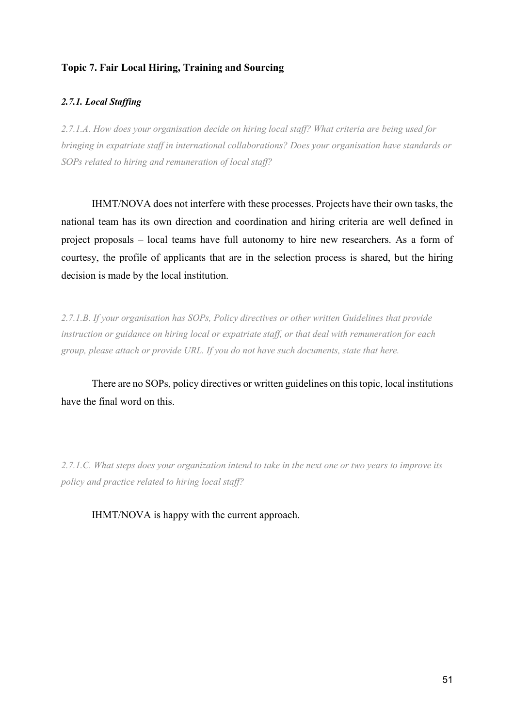# **Topic 7. Fair Local Hiring, Training and Sourcing**

# *2.7.1. Local Staffing*

*2.7.1.A. How does your organisation decide on hiring local staff? What criteria are being used for bringing in expatriate staff in international collaborations? Does your organisation have standards or SOPs related to hiring and remuneration of local staff?* 

IHMT/NOVA does not interfere with these processes. Projects have their own tasks, the national team has its own direction and coordination and hiring criteria are well defined in project proposals – local teams have full autonomy to hire new researchers. As a form of courtesy, the profile of applicants that are in the selection process is shared, but the hiring decision is made by the local institution.

*2.7.1.B. If your organisation has SOPs, Policy directives or other written Guidelines that provide instruction or guidance on hiring local or expatriate staff, or that deal with remuneration for each group, please attach or provide URL. If you do not have such documents, state that here.* 

There are no SOPs, policy directives or written guidelines on this topic, local institutions have the final word on this.

*2.7.1.C. What steps does your organization intend to take in the next one or two years to improve its policy and practice related to hiring local staff?* 

IHMT/NOVA is happy with the current approach.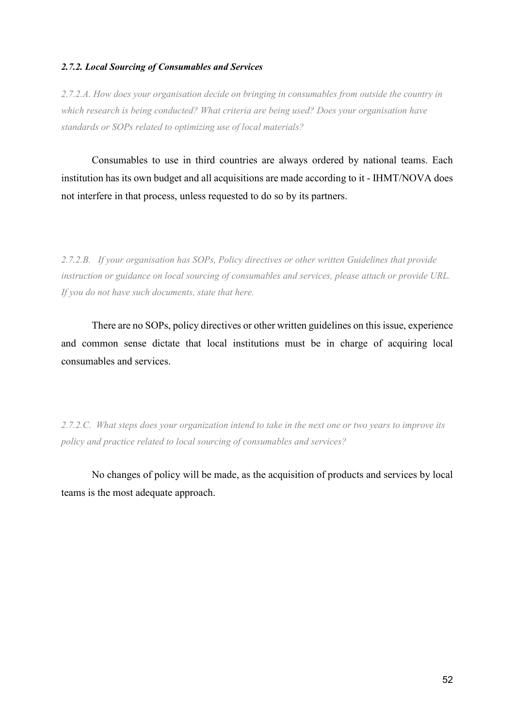# *2.7.2. Local Sourcing of Consumables and Services*

*2.7.2.A. How does your organisation decide on bringing in consumables from outside the country in which research is being conducted? What criteria are being used? Does your organisation have standards or SOPs related to optimizing use of local materials?* 

Consumables to use in third countries are always ordered by national teams. Each institution has its own budget and all acquisitions are made according to it - IHMT/NOVA does not interfere in that process, unless requested to do so by its partners.

*2.7.2.B. If your organisation has SOPs, Policy directives or other written Guidelines that provide instruction or guidance on local sourcing of consumables and services, please attach or provide URL. If you do not have such documents, state that here.* 

There are no SOPs, policy directives or other written guidelines on this issue, experience and common sense dictate that local institutions must be in charge of acquiring local consumables and services.

*2.7.2.C. What steps does your organization intend to take in the next one or two years to improve its policy and practice related to local sourcing of consumables and services?* 

No changes of policy will be made, as the acquisition of products and services by local teams is the most adequate approach.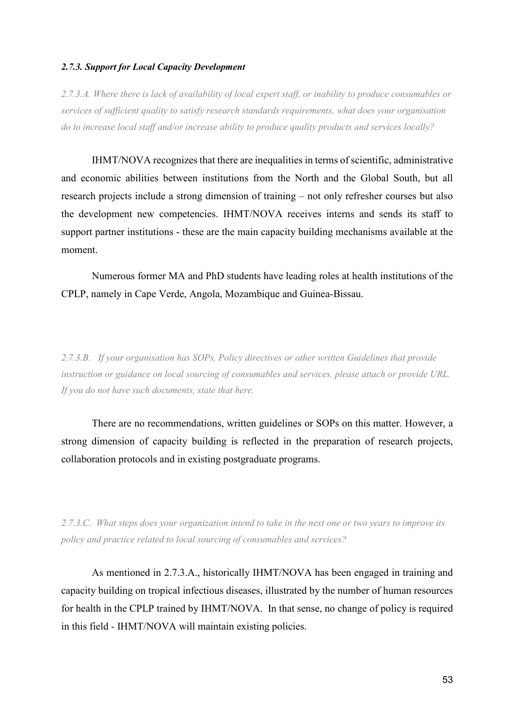# *2.7.3. Support for Local Capacity Development*

*2.7.3.A. Where there is lack of availability of local expert staff, or inability to produce consumables or services of sufficient quality to satisfy research standards requirements, what does your organisation do to increase local staff and/or increase ability to produce quality products and services locally?* 

IHMT/NOVA recognizes that there are inequalities in terms of scientific, administrative and economic abilities between institutions from the North and the Global South, but all research projects include a strong dimension of training – not only refresher courses but also the development new competencies. IHMT/NOVA receives interns and sends its staff to support partner institutions - these are the main capacity building mechanisms available at the moment.

Numerous former MA and PhD students have leading roles at health institutions of the CPLP, namely in Cape Verde, Angola, Mozambique and Guinea-Bissau.

*2.7.3.B. If your organisation has SOPs, Policy directives or other written Guidelines that provide instruction or guidance on local sourcing of consumables and services, please attach or provide URL. If you do not have such documents, state that here.* 

There are no recommendations, written guidelines or SOPs on this matter. However, a strong dimension of capacity building is reflected in the preparation of research projects, collaboration protocols and in existing postgraduate programs.

*2.7.3.C. What steps does your organization intend to take in the next one or two years to improve its policy and practice related to local sourcing of consumables and services?* 

As mentioned in 2.7.3.A., historically IHMT/NOVA has been engaged in training and capacity building on tropical infectious diseases, illustrated by the number of human resources for health in the CPLP trained by IHMT/NOVA. In that sense, no change of policy is required in this field - IHMT/NOVA will maintain existing policies.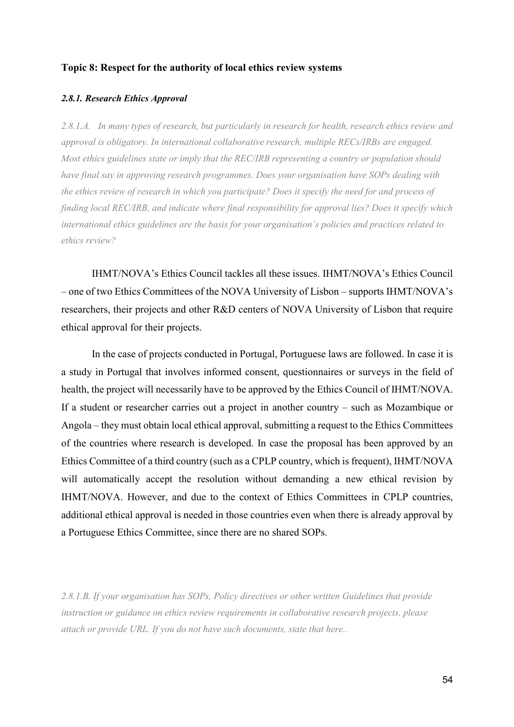### **Topic 8: Respect for the authority of local ethics review systems**

#### *2.8.1. Research Ethics Approval*

*2.8.1.A. In many types of research, but particularly in research for health, research ethics review and approval is obligatory. In international collaborative research, multiple RECs/IRBs are engaged. Most ethics guidelines state or imply that the REC/IRB representing a country or population should have final say in approving research programmes. Does your organisation have SOPs dealing with the ethics review of research in which you participate? Does it specify the need for and process of finding local REC/IRB, and indicate where final responsibility for approval lies? Does it specify which international ethics guidelines are the basis for your organisation's policies and practices related to ethics review?* 

IHMT/NOVA's Ethics Council tackles all these issues. IHMT/NOVA's Ethics Council – one of two Ethics Committees of the NOVA University of Lisbon – supports IHMT/NOVA's researchers, their projects and other R&D centers of NOVA University of Lisbon that require ethical approval for their projects.

 In the case of projects conducted in Portugal, Portuguese laws are followed. In case it is a study in Portugal that involves informed consent, questionnaires or surveys in the field of health, the project will necessarily have to be approved by the Ethics Council of IHMT/NOVA. If a student or researcher carries out a project in another country – such as Mozambique or Angola – they must obtain local ethical approval, submitting a request to the Ethics Committees of the countries where research is developed. In case the proposal has been approved by an Ethics Committee of a third country (such as a CPLP country, which is frequent), IHMT/NOVA will automatically accept the resolution without demanding a new ethical revision by IHMT/NOVA. However, and due to the context of Ethics Committees in CPLP countries, additional ethical approval is needed in those countries even when there is already approval by a Portuguese Ethics Committee, since there are no shared SOPs.

*2.8.1.B. If your organisation has SOPs, Policy directives or other written Guidelines that provide instruction or guidance on ethics review requirements in collaborative research projects, please attach or provide URL. If you do not have such documents, state that here..*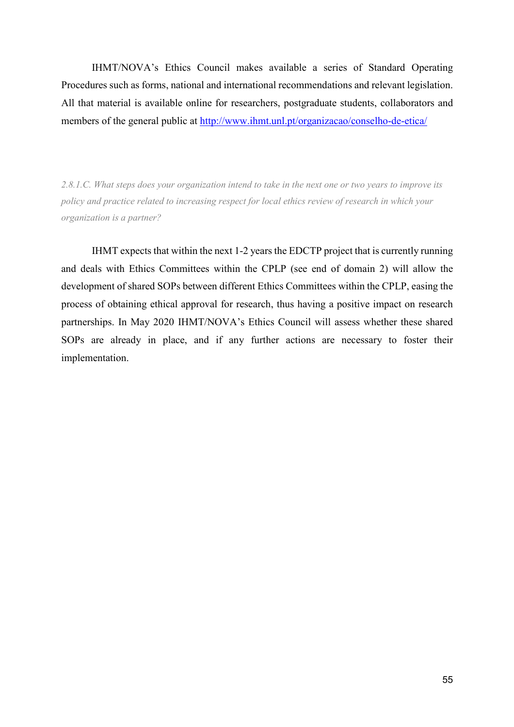IHMT/NOVA's Ethics Council makes available a series of Standard Operating Procedures such as forms, national and international recommendations and relevant legislation. All that material is available online for researchers, postgraduate students, collaborators and members of the general public at http://www.ihmt.unl.pt/organizacao/conselho-de-etica/

*2.8.1.C. What steps does your organization intend to take in the next one or two years to improve its policy and practice related to increasing respect for local ethics review of research in which your organization is a partner?* 

IHMT expects that within the next 1-2 years the EDCTP project that is currently running and deals with Ethics Committees within the CPLP (see end of domain 2) will allow the development of shared SOPs between different Ethics Committees within the CPLP, easing the process of obtaining ethical approval for research, thus having a positive impact on research partnerships. In May 2020 IHMT/NOVA's Ethics Council will assess whether these shared SOPs are already in place, and if any further actions are necessary to foster their implementation.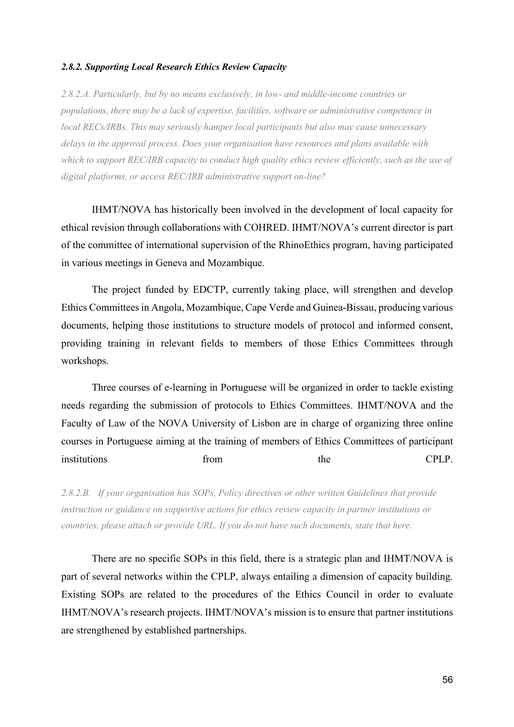#### *2.8.2. Supporting Local Research Ethics Review Capacity*

*2.8.2.A. Particularly, but by no means exclusively, in low- and middle-income countries or populations, there may be a lack of expertise, facilities, software or administrative competence in local RECs/IRBs. This may seriously hamper local participants but also may cause unnecessary delays in the approval process. Does your organisation have resources and plans available with which to support REC/IRB capacity to conduct high quality ethics review efficiently, such as the use of digital platforms, or access REC/IRB administrative support on-line?* 

IHMT/NOVA has historically been involved in the development of local capacity for ethical revision through collaborations with COHRED. IHMT/NOVA's current director is part of the committee of international supervision of the RhinoEthics program, having participated in various meetings in Geneva and Mozambique.

 The project funded by EDCTP, currently taking place, will strengthen and develop Ethics Committees in Angola, Mozambique, Cape Verde and Guinea-Bissau, producing various documents, helping those institutions to structure models of protocol and informed consent, providing training in relevant fields to members of those Ethics Committees through workshops.

 Three courses of e-learning in Portuguese will be organized in order to tackle existing needs regarding the submission of protocols to Ethics Committees. IHMT/NOVA and the Faculty of Law of the NOVA University of Lisbon are in charge of organizing three online courses in Portuguese aiming at the training of members of Ethics Committees of participant institutions from the CPLP.

*2.8.2.B. If your organisation has SOPs, Policy directives or other written Guidelines that provide instruction or guidance on supportive actions for ethics review capacity in partner institutions or countries, please attach or provide URL. If you do not have such documents, state that here.* 

There are no specific SOPs in this field, there is a strategic plan and IHMT/NOVA is part of several networks within the CPLP, always entailing a dimension of capacity building. Existing SOPs are related to the procedures of the Ethics Council in order to evaluate IHMT/NOVA's research projects. IHMT/NOVA's mission is to ensure that partner institutions are strengthened by established partnerships.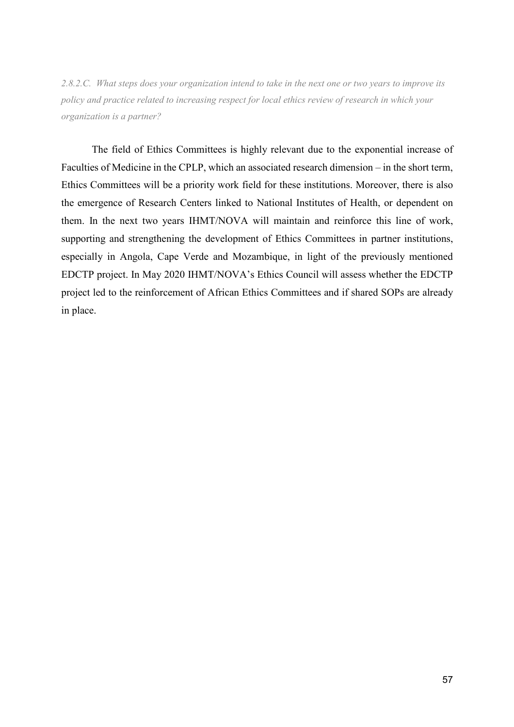*2.8.2.C. What steps does your organization intend to take in the next one or two years to improve its policy and practice related to increasing respect for local ethics review of research in which your organization is a partner?* 

The field of Ethics Committees is highly relevant due to the exponential increase of Faculties of Medicine in the CPLP, which an associated research dimension – in the short term, Ethics Committees will be a priority work field for these institutions. Moreover, there is also the emergence of Research Centers linked to National Institutes of Health, or dependent on them. In the next two years IHMT/NOVA will maintain and reinforce this line of work, supporting and strengthening the development of Ethics Committees in partner institutions, especially in Angola, Cape Verde and Mozambique, in light of the previously mentioned EDCTP project. In May 2020 IHMT/NOVA's Ethics Council will assess whether the EDCTP project led to the reinforcement of African Ethics Committees and if shared SOPs are already in place.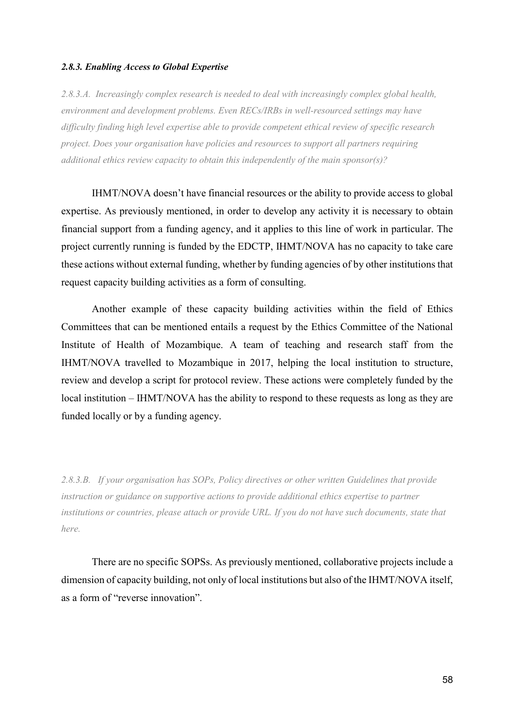#### *2.8.3. Enabling Access to Global Expertise*

*2.8.3.A. Increasingly complex research is needed to deal with increasingly complex global health, environment and development problems. Even RECs/IRBs in well-resourced settings may have difficulty finding high level expertise able to provide competent ethical review of specific research project. Does your organisation have policies and resources to support all partners requiring additional ethics review capacity to obtain this independently of the main sponsor(s)?* 

IHMT/NOVA doesn't have financial resources or the ability to provide access to global expertise. As previously mentioned, in order to develop any activity it is necessary to obtain financial support from a funding agency, and it applies to this line of work in particular. The project currently running is funded by the EDCTP, IHMT/NOVA has no capacity to take care these actions without external funding, whether by funding agencies of by other institutions that request capacity building activities as a form of consulting.

 Another example of these capacity building activities within the field of Ethics Committees that can be mentioned entails a request by the Ethics Committee of the National Institute of Health of Mozambique. A team of teaching and research staff from the IHMT/NOVA travelled to Mozambique in 2017, helping the local institution to structure, review and develop a script for protocol review. These actions were completely funded by the local institution – IHMT/NOVA has the ability to respond to these requests as long as they are funded locally or by a funding agency.

*2.8.3.B. If your organisation has SOPs, Policy directives or other written Guidelines that provide instruction or guidance on supportive actions to provide additional ethics expertise to partner institutions or countries, please attach or provide URL. If you do not have such documents, state that here.* 

There are no specific SOPSs. As previously mentioned, collaborative projects include a dimension of capacity building, not only of local institutions but also of the IHMT/NOVA itself, as a form of "reverse innovation".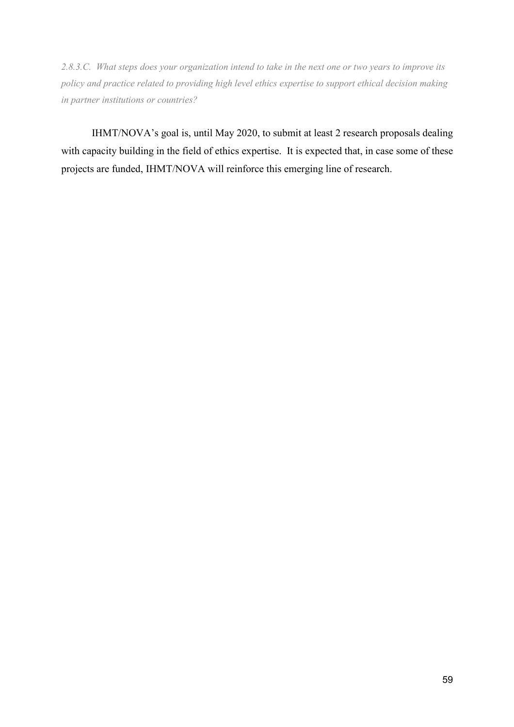*2.8.3.C. What steps does your organization intend to take in the next one or two years to improve its policy and practice related to providing high level ethics expertise to support ethical decision making in partner institutions or countries?* 

IHMT/NOVA's goal is, until May 2020, to submit at least 2 research proposals dealing with capacity building in the field of ethics expertise. It is expected that, in case some of these projects are funded, IHMT/NOVA will reinforce this emerging line of research.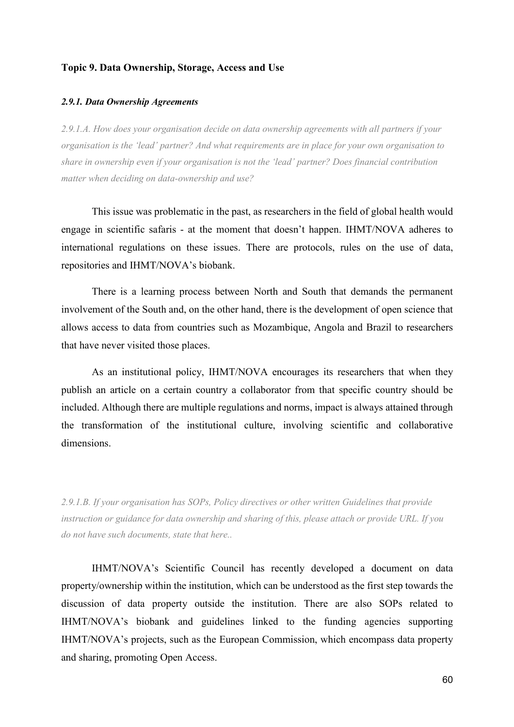# **Topic 9. Data Ownership, Storage, Access and Use**

#### *2.9.1. Data Ownership Agreements*

*2.9.1.A. How does your organisation decide on data ownership agreements with all partners if your organisation is the 'lead' partner? And what requirements are in place for your own organisation to share in ownership even if your organisation is not the 'lead' partner? Does financial contribution matter when deciding on data-ownership and use?* 

This issue was problematic in the past, as researchers in the field of global health would engage in scientific safaris - at the moment that doesn't happen. IHMT/NOVA adheres to international regulations on these issues. There are protocols, rules on the use of data, repositories and IHMT/NOVA's biobank.

There is a learning process between North and South that demands the permanent involvement of the South and, on the other hand, there is the development of open science that allows access to data from countries such as Mozambique, Angola and Brazil to researchers that have never visited those places.

 As an institutional policy, IHMT/NOVA encourages its researchers that when they publish an article on a certain country a collaborator from that specific country should be included. Although there are multiple regulations and norms, impact is always attained through the transformation of the institutional culture, involving scientific and collaborative dimensions.

*2.9.1.B. If your organisation has SOPs, Policy directives or other written Guidelines that provide instruction or guidance for data ownership and sharing of this, please attach or provide URL. If you do not have such documents, state that here..* 

IHMT/NOVA's Scientific Council has recently developed a document on data property/ownership within the institution, which can be understood as the first step towards the discussion of data property outside the institution. There are also SOPs related to IHMT/NOVA's biobank and guidelines linked to the funding agencies supporting IHMT/NOVA's projects, such as the European Commission, which encompass data property and sharing, promoting Open Access.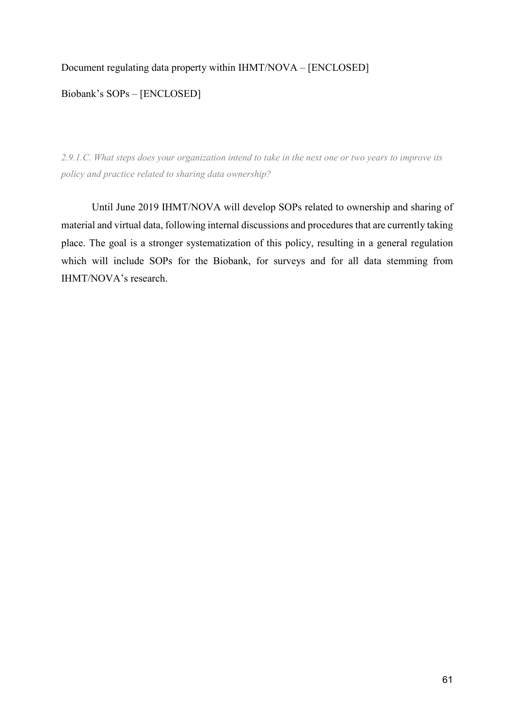# Document regulating data property within IHMT/NOVA – [ENCLOSED]

# Biobank's SOPs – [ENCLOSED]

*2.9.1.C. What steps does your organization intend to take in the next one or two years to improve its policy and practice related to sharing data ownership?* 

Until June 2019 IHMT/NOVA will develop SOPs related to ownership and sharing of material and virtual data, following internal discussions and procedures that are currently taking place. The goal is a stronger systematization of this policy, resulting in a general regulation which will include SOPs for the Biobank, for surveys and for all data stemming from IHMT/NOVA's research.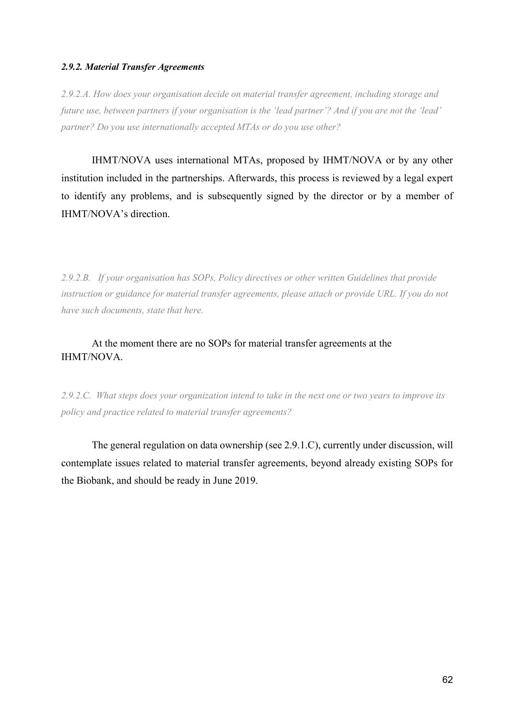# *2.9.2. Material Transfer Agreements*

*2.9.2.A. How does your organisation decide on material transfer agreement, including storage and future use, between partners if your organisation is the 'lead partner'? And if you are not the 'lead' partner? Do you use internationally accepted MTAs or do you use other?* 

IHMT/NOVA uses international MTAs, proposed by IHMT/NOVA or by any other institution included in the partnerships. Afterwards, this process is reviewed by a legal expert to identify any problems, and is subsequently signed by the director or by a member of IHMT/NOVA's direction.

*2.9.2.B. If your organisation has SOPs, Policy directives or other written Guidelines that provide instruction or guidance for material transfer agreements, please attach or provide URL. If you do not have such documents, state that here.* 

# At the moment there are no SOPs for material transfer agreements at the IHMT/NOVA.

*2.9.2.C. What steps does your organization intend to take in the next one or two years to improve its policy and practice related to material transfer agreements?* 

The general regulation on data ownership (see 2.9.1.C), currently under discussion, will contemplate issues related to material transfer agreements, beyond already existing SOPs for the Biobank, and should be ready in June 2019.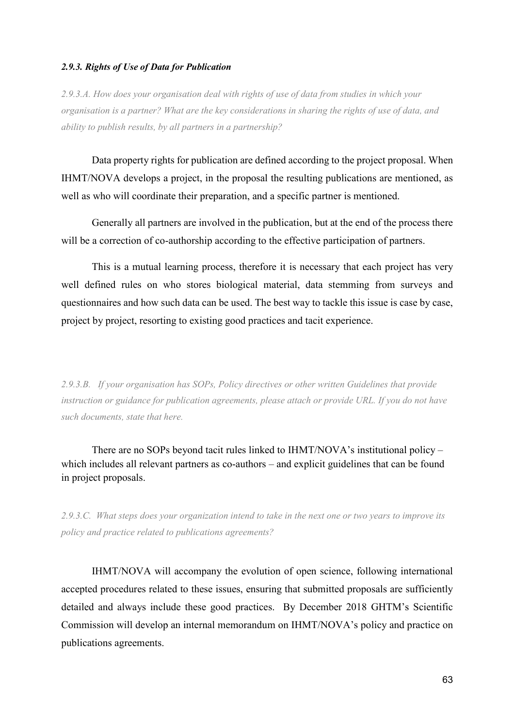# *2.9.3. Rights of Use of Data for Publication*

*2.9.3.A. How does your organisation deal with rights of use of data from studies in which your organisation is a partner? What are the key considerations in sharing the rights of use of data, and ability to publish results, by all partners in a partnership?* 

Data property rights for publication are defined according to the project proposal. When IHMT/NOVA develops a project, in the proposal the resulting publications are mentioned, as well as who will coordinate their preparation, and a specific partner is mentioned.

 Generally all partners are involved in the publication, but at the end of the process there will be a correction of co-authorship according to the effective participation of partners.

 This is a mutual learning process, therefore it is necessary that each project has very well defined rules on who stores biological material, data stemming from surveys and questionnaires and how such data can be used. The best way to tackle this issue is case by case, project by project, resorting to existing good practices and tacit experience.

*2.9.3.B. If your organisation has SOPs, Policy directives or other written Guidelines that provide instruction or guidance for publication agreements, please attach or provide URL. If you do not have such documents, state that here.* 

There are no SOPs beyond tacit rules linked to IHMT/NOVA's institutional policy – which includes all relevant partners as co-authors – and explicit guidelines that can be found in project proposals.

*2.9.3.C. What steps does your organization intend to take in the next one or two years to improve its policy and practice related to publications agreements?* 

IHMT/NOVA will accompany the evolution of open science, following international accepted procedures related to these issues, ensuring that submitted proposals are sufficiently detailed and always include these good practices. By December 2018 GHTM's Scientific Commission will develop an internal memorandum on IHMT/NOVA's policy and practice on publications agreements.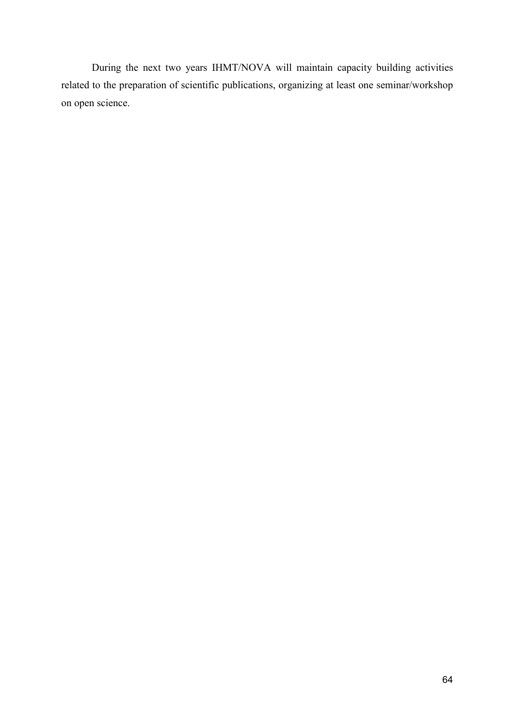During the next two years IHMT/NOVA will maintain capacity building activities related to the preparation of scientific publications, organizing at least one seminar/workshop on open science.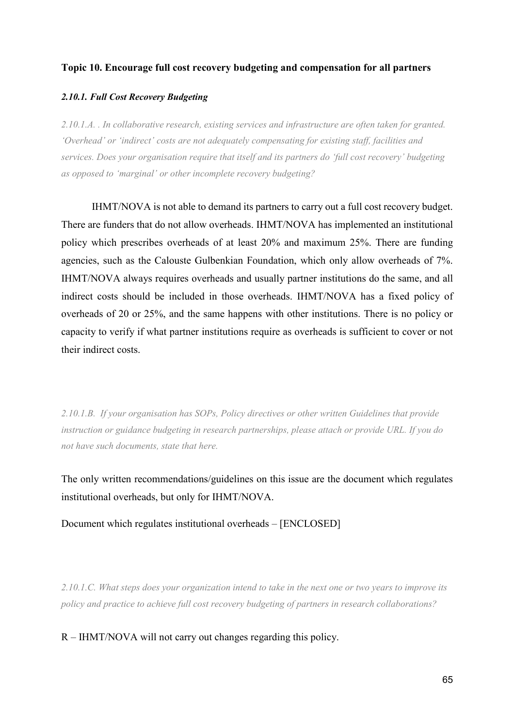# **Topic 10. Encourage full cost recovery budgeting and compensation for all partners**

# *2.10.1. Full Cost Recovery Budgeting*

*2.10.1.A. . In collaborative research, existing services and infrastructure are often taken for granted. 'Overhead' or 'indirect' costs are not adequately compensating for existing staff, facilities and services. Does your organisation require that itself and its partners do 'full cost recovery' budgeting as opposed to 'marginal' or other incomplete recovery budgeting?* 

IHMT/NOVA is not able to demand its partners to carry out a full cost recovery budget. There are funders that do not allow overheads. IHMT/NOVA has implemented an institutional policy which prescribes overheads of at least 20% and maximum 25%. There are funding agencies, such as the Calouste Gulbenkian Foundation, which only allow overheads of 7%. IHMT/NOVA always requires overheads and usually partner institutions do the same, and all indirect costs should be included in those overheads. IHMT/NOVA has a fixed policy of overheads of 20 or 25%, and the same happens with other institutions. There is no policy or capacity to verify if what partner institutions require as overheads is sufficient to cover or not their indirect costs.

*2.10.1.B. If your organisation has SOPs, Policy directives or other written Guidelines that provide instruction or guidance budgeting in research partnerships, please attach or provide URL. If you do not have such documents, state that here.* 

The only written recommendations/guidelines on this issue are the document which regulates institutional overheads, but only for IHMT/NOVA.

Document which regulates institutional overheads – [ENCLOSED]

*2.10.1.C. What steps does your organization intend to take in the next one or two years to improve its policy and practice to achieve full cost recovery budgeting of partners in research collaborations?* 

R – IHMT/NOVA will not carry out changes regarding this policy.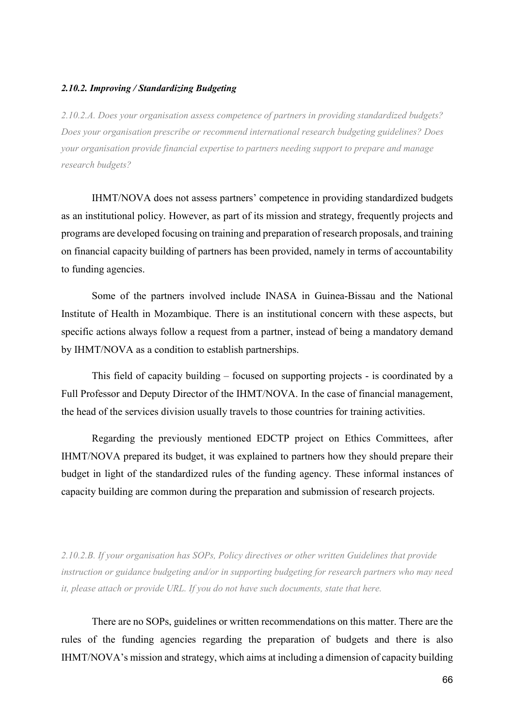# *2.10.2. Improving / Standardizing Budgeting*

*2.10.2.A. Does your organisation assess competence of partners in providing standardized budgets? Does your organisation prescribe or recommend international research budgeting guidelines? Does your organisation provide financial expertise to partners needing support to prepare and manage research budgets?* 

IHMT/NOVA does not assess partners' competence in providing standardized budgets as an institutional policy. However, as part of its mission and strategy, frequently projects and programs are developed focusing on training and preparation of research proposals, and training on financial capacity building of partners has been provided, namely in terms of accountability to funding agencies.

 Some of the partners involved include INASA in Guinea-Bissau and the National Institute of Health in Mozambique. There is an institutional concern with these aspects, but specific actions always follow a request from a partner, instead of being a mandatory demand by IHMT/NOVA as a condition to establish partnerships.

 This field of capacity building – focused on supporting projects - is coordinated by a Full Professor and Deputy Director of the IHMT/NOVA. In the case of financial management, the head of the services division usually travels to those countries for training activities.

 Regarding the previously mentioned EDCTP project on Ethics Committees, after IHMT/NOVA prepared its budget, it was explained to partners how they should prepare their budget in light of the standardized rules of the funding agency. These informal instances of capacity building are common during the preparation and submission of research projects.

*2.10.2.B. If your organisation has SOPs, Policy directives or other written Guidelines that provide instruction or guidance budgeting and/or in supporting budgeting for research partners who may need it, please attach or provide URL. If you do not have such documents, state that here.* 

There are no SOPs, guidelines or written recommendations on this matter. There are the rules of the funding agencies regarding the preparation of budgets and there is also IHMT/NOVA's mission and strategy, which aims at including a dimension of capacity building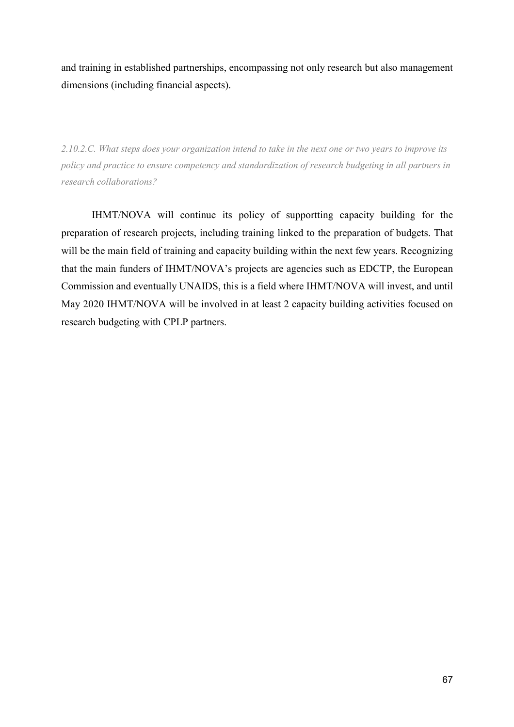and training in established partnerships, encompassing not only research but also management dimensions (including financial aspects).

*2.10.2.C. What steps does your organization intend to take in the next one or two years to improve its policy and practice to ensure competency and standardization of research budgeting in all partners in research collaborations?* 

IHMT/NOVA will continue its policy of supportting capacity building for the preparation of research projects, including training linked to the preparation of budgets. That will be the main field of training and capacity building within the next few years. Recognizing that the main funders of IHMT/NOVA's projects are agencies such as EDCTP, the European Commission and eventually UNAIDS, this is a field where IHMT/NOVA will invest, and until May 2020 IHMT/NOVA will be involved in at least 2 capacity building activities focused on research budgeting with CPLP partners.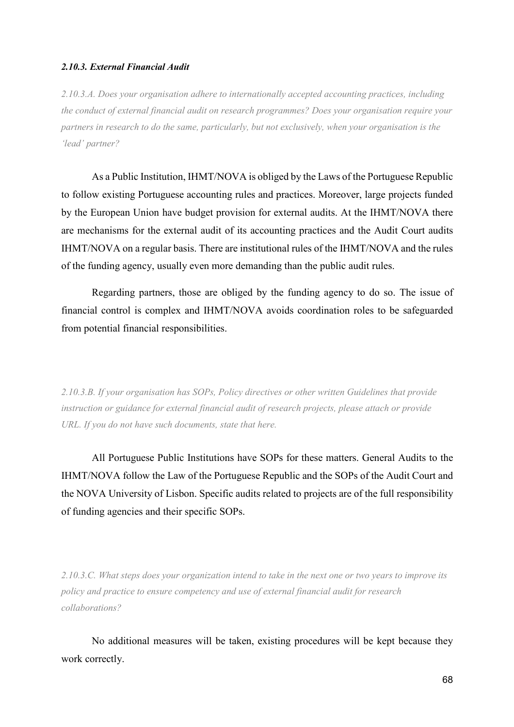# *2.10.3. External Financial Audit*

*2.10.3.A. Does your organisation adhere to internationally accepted accounting practices, including the conduct of external financial audit on research programmes? Does your organisation require your partners in research to do the same, particularly, but not exclusively, when your organisation is the 'lead' partner?* 

As a Public Institution, IHMT/NOVA is obliged by the Laws of the Portuguese Republic to follow existing Portuguese accounting rules and practices. Moreover, large projects funded by the European Union have budget provision for external audits. At the IHMT/NOVA there are mechanisms for the external audit of its accounting practices and the Audit Court audits IHMT/NOVA on a regular basis. There are institutional rules of the IHMT/NOVA and the rules of the funding agency, usually even more demanding than the public audit rules.

Regarding partners, those are obliged by the funding agency to do so. The issue of financial control is complex and IHMT/NOVA avoids coordination roles to be safeguarded from potential financial responsibilities.

*2.10.3.B. If your organisation has SOPs, Policy directives or other written Guidelines that provide instruction or guidance for external financial audit of research projects, please attach or provide URL. If you do not have such documents, state that here.* 

All Portuguese Public Institutions have SOPs for these matters. General Audits to the IHMT/NOVA follow the Law of the Portuguese Republic and the SOPs of the Audit Court and the NOVA University of Lisbon. Specific audits related to projects are of the full responsibility of funding agencies and their specific SOPs.

*2.10.3.C. What steps does your organization intend to take in the next one or two years to improve its policy and practice to ensure competency and use of external financial audit for research collaborations?* 

No additional measures will be taken, existing procedures will be kept because they work correctly.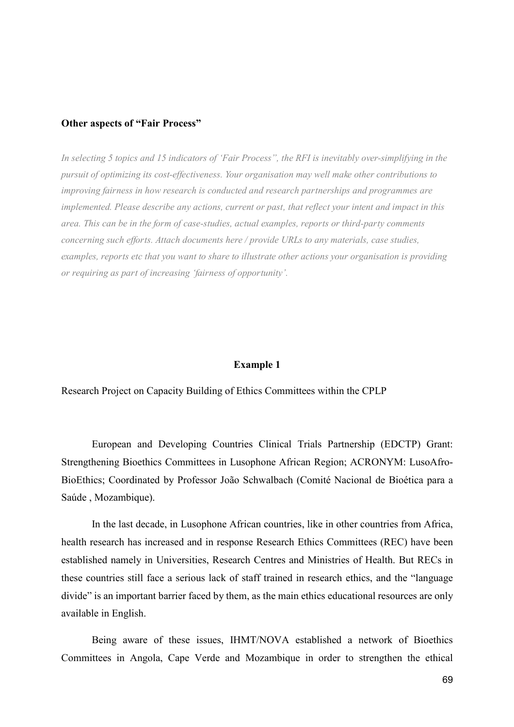#### **Other aspects of "Fair Process"**

*In selecting 5 topics and 15 indicators of 'Fair Process", the RFI is inevitably over-simplifying in the pursuit of optimizing its cost-effectiveness. Your organisation may well make other contributions to improving fairness in how research is conducted and research partnerships and programmes are implemented. Please describe any actions, current or past, that reflect your intent and impact in this area. This can be in the form of case-studies, actual examples, reports or third-party comments concerning such efforts. Attach documents here / provide URLs to any materials, case studies, examples, reports etc that you want to share to illustrate other actions your organisation is providing or requiring as part of increasing 'fairness of opportunity'.* 

# **Example 1**

Research Project on Capacity Building of Ethics Committees within the CPLP

 European and Developing Countries Clinical Trials Partnership (EDCTP) Grant: Strengthening Bioethics Committees in Lusophone African Region; ACRONYM: LusoAfro-BioEthics; Coordinated by Professor João Schwalbach (Comité Nacional de Bioética para a Saúde , Mozambique).

 In the last decade, in Lusophone African countries, like in other countries from Africa, health research has increased and in response Research Ethics Committees (REC) have been established namely in Universities, Research Centres and Ministries of Health. But RECs in these countries still face a serious lack of staff trained in research ethics, and the "language divide" is an important barrier faced by them, as the main ethics educational resources are only available in English.

 Being aware of these issues, IHMT/NOVA established a network of Bioethics Committees in Angola, Cape Verde and Mozambique in order to strengthen the ethical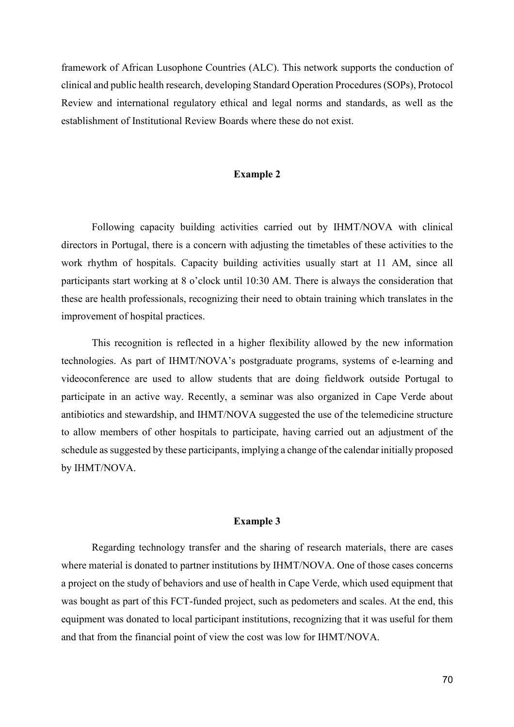framework of African Lusophone Countries (ALC). This network supports the conduction of clinical and public health research, developing Standard Operation Procedures (SOPs), Protocol Review and international regulatory ethical and legal norms and standards, as well as the establishment of Institutional Review Boards where these do not exist.

#### **Example 2**

 Following capacity building activities carried out by IHMT/NOVA with clinical directors in Portugal, there is a concern with adjusting the timetables of these activities to the work rhythm of hospitals. Capacity building activities usually start at 11 AM, since all participants start working at 8 o'clock until 10:30 AM. There is always the consideration that these are health professionals, recognizing their need to obtain training which translates in the improvement of hospital practices.

 This recognition is reflected in a higher flexibility allowed by the new information technologies. As part of IHMT/NOVA's postgraduate programs, systems of e-learning and videoconference are used to allow students that are doing fieldwork outside Portugal to participate in an active way. Recently, a seminar was also organized in Cape Verde about antibiotics and stewardship, and IHMT/NOVA suggested the use of the telemedicine structure to allow members of other hospitals to participate, having carried out an adjustment of the schedule as suggested by these participants, implying a change of the calendar initially proposed by IHMT/NOVA.

### **Example 3**

 Regarding technology transfer and the sharing of research materials, there are cases where material is donated to partner institutions by IHMT/NOVA. One of those cases concerns a project on the study of behaviors and use of health in Cape Verde, which used equipment that was bought as part of this FCT-funded project, such as pedometers and scales. At the end, this equipment was donated to local participant institutions, recognizing that it was useful for them and that from the financial point of view the cost was low for IHMT/NOVA.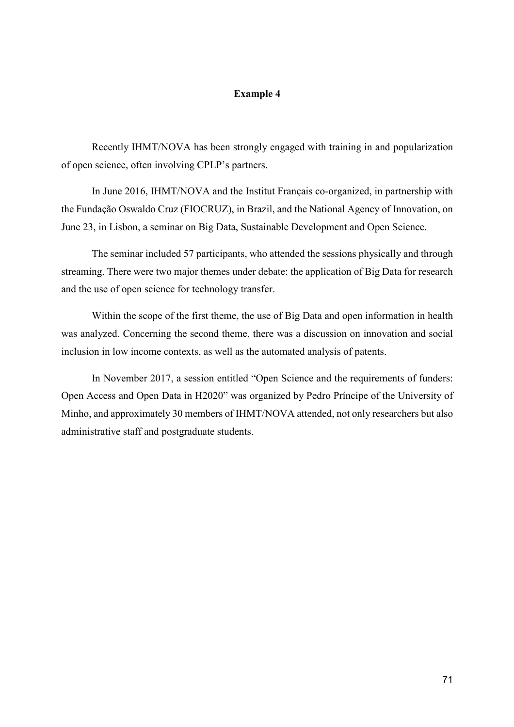# **Example 4**

 Recently IHMT/NOVA has been strongly engaged with training in and popularization of open science, often involving CPLP's partners.

 In June 2016, IHMT/NOVA and the Institut Français co-organized, in partnership with the Fundação Oswaldo Cruz (FIOCRUZ), in Brazil, and the National Agency of Innovation, on June 23, in Lisbon, a seminar on Big Data, Sustainable Development and Open Science.

 The seminar included 57 participants, who attended the sessions physically and through streaming. There were two major themes under debate: the application of Big Data for research and the use of open science for technology transfer.

 Within the scope of the first theme, the use of Big Data and open information in health was analyzed. Concerning the second theme, there was a discussion on innovation and social inclusion in low income contexts, as well as the automated analysis of patents.

 In November 2017, a session entitled "Open Science and the requirements of funders: Open Access and Open Data in H2020" was organized by Pedro Príncipe of the University of Minho, and approximately 30 members of IHMT/NOVA attended, not only researchers but also administrative staff and postgraduate students.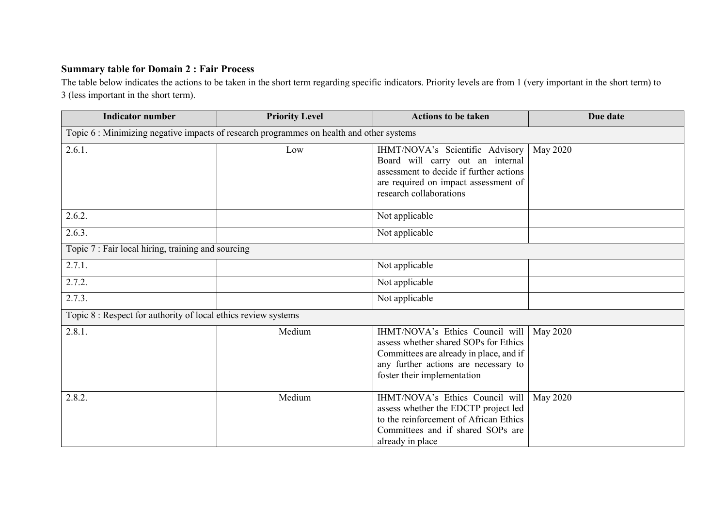# **Summary table for Domain 2 : Fair Process**

 The table below indicates the actions to be taken in the short term regarding specific indicators. Priority levels are from 1 (very important in the short term) to 3 (less important in the short term).

| <b>Indicator number</b>                                                                 | <b>Priority Level</b> | <b>Actions to be taken</b>                                                                                                                                                                 | Due date |  |  |
|-----------------------------------------------------------------------------------------|-----------------------|--------------------------------------------------------------------------------------------------------------------------------------------------------------------------------------------|----------|--|--|
| Topic 6: Minimizing negative impacts of research programmes on health and other systems |                       |                                                                                                                                                                                            |          |  |  |
| 2.6.1.                                                                                  | Low                   | IHMT/NOVA's Scientific Advisory<br>Board will carry out an internal<br>assessment to decide if further actions<br>are required on impact assessment of<br>research collaborations          | May 2020 |  |  |
| 2.6.2.                                                                                  |                       | Not applicable                                                                                                                                                                             |          |  |  |
| 2.6.3.                                                                                  |                       | Not applicable                                                                                                                                                                             |          |  |  |
| Topic 7 : Fair local hiring, training and sourcing                                      |                       |                                                                                                                                                                                            |          |  |  |
| 2.7.1.                                                                                  |                       | Not applicable                                                                                                                                                                             |          |  |  |
| 2.7.2.                                                                                  |                       | Not applicable                                                                                                                                                                             |          |  |  |
| 2.7.3.                                                                                  |                       | Not applicable                                                                                                                                                                             |          |  |  |
| Topic 8 : Respect for authority of local ethics review systems                          |                       |                                                                                                                                                                                            |          |  |  |
| 2.8.1.                                                                                  | Medium                | IHMT/NOVA's Ethics Council will<br>assess whether shared SOPs for Ethics<br>Committees are already in place, and if<br>any further actions are necessary to<br>foster their implementation | May 2020 |  |  |
| 2.8.2.                                                                                  | Medium                | IHMT/NOVA's Ethics Council will<br>assess whether the EDCTP project led<br>to the reinforcement of African Ethics<br>Committees and if shared SOPs are<br>already in place                 | May 2020 |  |  |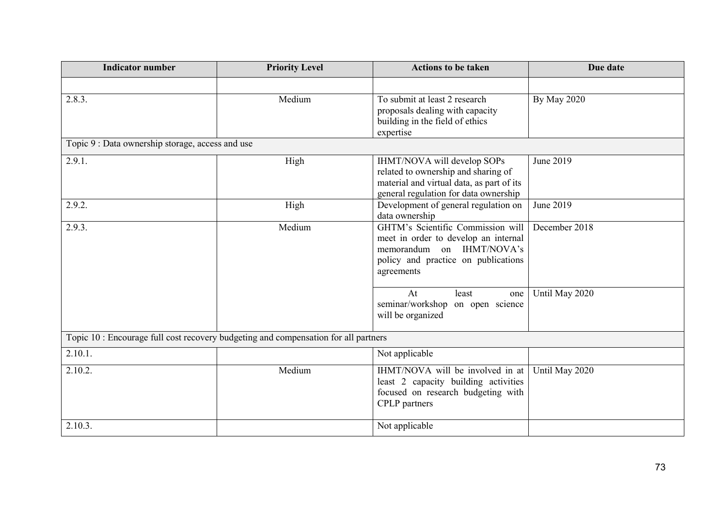| <b>Indicator number</b>                                                             | <b>Priority Level</b> | <b>Actions to be taken</b>                                                                                                                                  | Due date           |  |
|-------------------------------------------------------------------------------------|-----------------------|-------------------------------------------------------------------------------------------------------------------------------------------------------------|--------------------|--|
|                                                                                     |                       |                                                                                                                                                             |                    |  |
| 2.8.3.                                                                              | Medium                | To submit at least 2 research<br>proposals dealing with capacity<br>building in the field of ethics<br>expertise                                            | <b>By May 2020</b> |  |
| Topic 9 : Data ownership storage, access and use                                    |                       |                                                                                                                                                             |                    |  |
| 2.9.1.                                                                              | High                  | IHMT/NOVA will develop SOPs<br>related to ownership and sharing of<br>material and virtual data, as part of its<br>general regulation for data ownership    | June 2019          |  |
| 2.9.2.                                                                              | High                  | Development of general regulation on<br>data ownership                                                                                                      | June 2019          |  |
| 2.9.3.                                                                              | Medium                | GHTM's Scientific Commission will<br>meet in order to develop an internal<br>memorandum on IHMT/NOVA's<br>policy and practice on publications<br>agreements | December 2018      |  |
|                                                                                     |                       | At<br>least<br>one<br>seminar/workshop on open science<br>will be organized                                                                                 | Until May 2020     |  |
| Topic 10 : Encourage full cost recovery budgeting and compensation for all partners |                       |                                                                                                                                                             |                    |  |
| 2.10.1.                                                                             |                       | Not applicable                                                                                                                                              |                    |  |
| 2.10.2.                                                                             | Medium                | IHMT/NOVA will be involved in at<br>least 2 capacity building activities<br>focused on research budgeting with<br><b>CPLP</b> partners                      | Until May 2020     |  |
| 2.10.3.                                                                             |                       | Not applicable                                                                                                                                              |                    |  |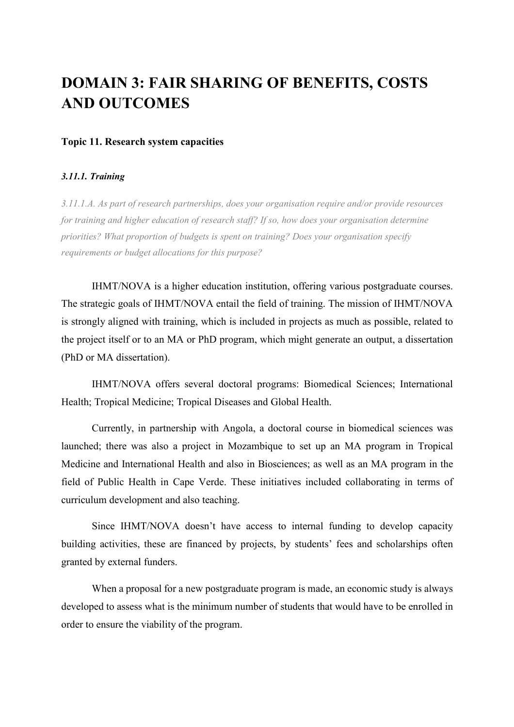# **DOMAIN 3: FAIR SHARING OF BENEFITS, COSTS AND OUTCOMES**

# **Topic 11. Research system capacities**

### *3.11.1. Training*

*3.11.1.A. As part of research partnerships, does your organisation require and/or provide resources for training and higher education of research staff? If so, how does your organisation determine priorities? What proportion of budgets is spent on training? Does your organisation specify requirements or budget allocations for this purpose?* 

IHMT/NOVA is a higher education institution, offering various postgraduate courses. The strategic goals of IHMT/NOVA entail the field of training. The mission of IHMT/NOVA is strongly aligned with training, which is included in projects as much as possible, related to the project itself or to an MA or PhD program, which might generate an output, a dissertation (PhD or MA dissertation).

 IHMT/NOVA offers several doctoral programs: Biomedical Sciences; International Health; Tropical Medicine; Tropical Diseases and Global Health.

 Currently, in partnership with Angola, a doctoral course in biomedical sciences was launched; there was also a project in Mozambique to set up an MA program in Tropical Medicine and International Health and also in Biosciences; as well as an MA program in the field of Public Health in Cape Verde. These initiatives included collaborating in terms of curriculum development and also teaching.

 Since IHMT/NOVA doesn't have access to internal funding to develop capacity building activities, these are financed by projects, by students' fees and scholarships often granted by external funders.

 When a proposal for a new postgraduate program is made, an economic study is always developed to assess what is the minimum number of students that would have to be enrolled in order to ensure the viability of the program.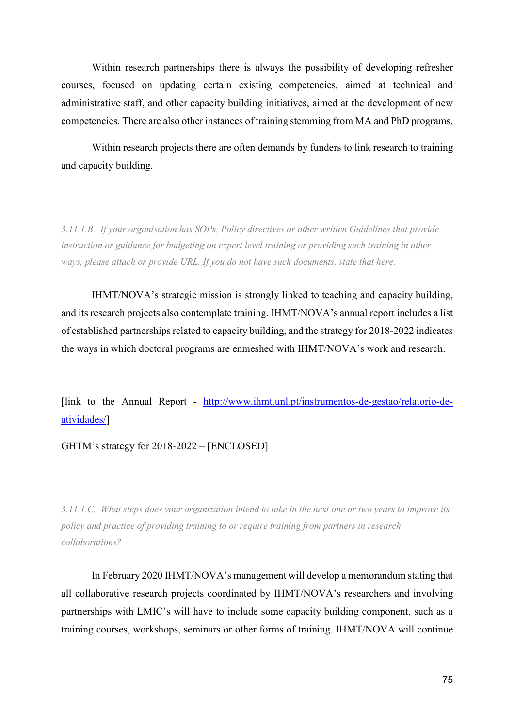Within research partnerships there is always the possibility of developing refresher courses, focused on updating certain existing competencies, aimed at technical and administrative staff, and other capacity building initiatives, aimed at the development of new competencies. There are also other instances of training stemming from MA and PhD programs.

 Within research projects there are often demands by funders to link research to training and capacity building.

*3.11.1.B. If your organisation has SOPs, Policy directives or other written Guidelines that provide instruction or guidance for budgeting on expert level training or providing such training in other ways, please attach or provide URL. If you do not have such documents, state that here.* 

IHMT/NOVA's strategic mission is strongly linked to teaching and capacity building, and its research projects also contemplate training. IHMT/NOVA's annual report includes a list of established partnerships related to capacity building, and the strategy for 2018-2022 indicates the ways in which doctoral programs are enmeshed with IHMT/NOVA's work and research.

[link to the Annual Report - http://www.ihmt.unl.pt/instrumentos-de-gestao/relatorio-deatividades/]

GHTM's strategy for 2018-2022 – [ENCLOSED]

*3.11.1.C. What steps does your organization intend to take in the next one or two years to improve its policy and practice of providing training to or require training from partners in research collaborations?* 

In February 2020 IHMT/NOVA's management will develop a memorandum stating that all collaborative research projects coordinated by IHMT/NOVA's researchers and involving partnerships with LMIC's will have to include some capacity building component, such as a training courses, workshops, seminars or other forms of training. IHMT/NOVA will continue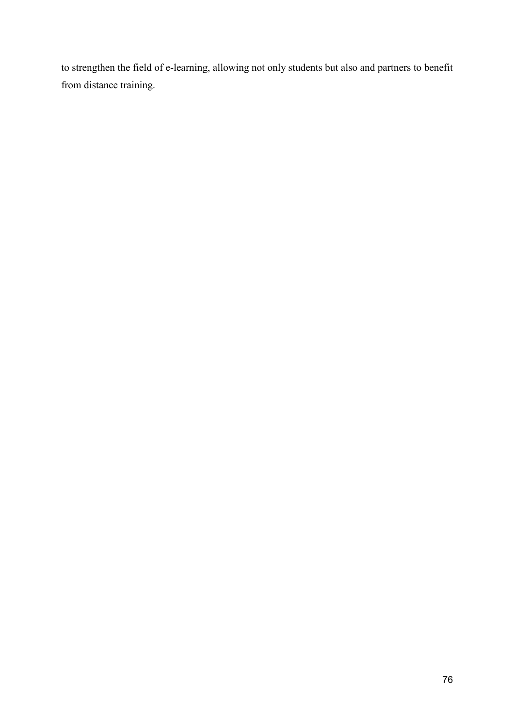to strengthen the field of e-learning, allowing not only students but also and partners to benefit from distance training.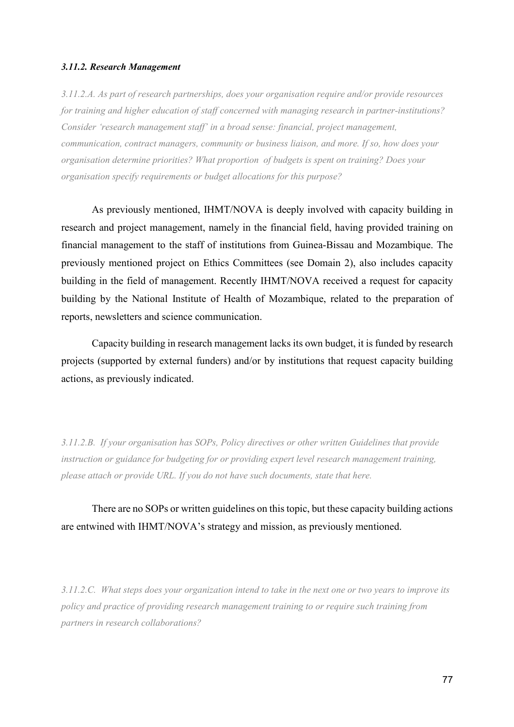#### *3.11.2. Research Management*

*3.11.2.A. As part of research partnerships, does your organisation require and/or provide resources for training and higher education of staff concerned with managing research in partner-institutions? Consider 'research management staff' in a broad sense: financial, project management, communication, contract managers, community or business liaison, and more. If so, how does your organisation determine priorities? What proportion of budgets is spent on training? Does your organisation specify requirements or budget allocations for this purpose?* 

As previously mentioned, IHMT/NOVA is deeply involved with capacity building in research and project management, namely in the financial field, having provided training on financial management to the staff of institutions from Guinea-Bissau and Mozambique. The previously mentioned project on Ethics Committees (see Domain 2), also includes capacity building in the field of management. Recently IHMT/NOVA received a request for capacity building by the National Institute of Health of Mozambique, related to the preparation of reports, newsletters and science communication.

 Capacity building in research management lacks its own budget, it is funded by research projects (supported by external funders) and/or by institutions that request capacity building actions, as previously indicated.

*3.11.2.B. If your organisation has SOPs, Policy directives or other written Guidelines that provide instruction or guidance for budgeting for or providing expert level research management training, please attach or provide URL. If you do not have such documents, state that here.* 

There are no SOPs or written guidelines on this topic, but these capacity building actions are entwined with IHMT/NOVA's strategy and mission, as previously mentioned.

*3.11.2.C. What steps does your organization intend to take in the next one or two years to improve its policy and practice of providing research management training to or require such training from partners in research collaborations?*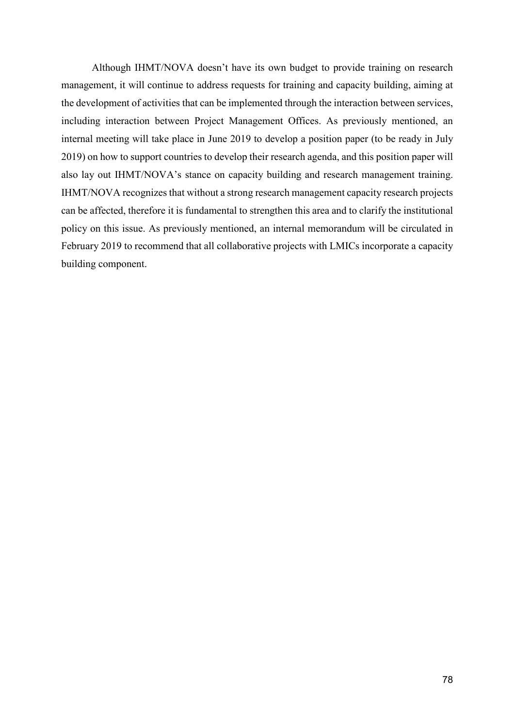Although IHMT/NOVA doesn't have its own budget to provide training on research management, it will continue to address requests for training and capacity building, aiming at the development of activities that can be implemented through the interaction between services, including interaction between Project Management Offices. As previously mentioned, an internal meeting will take place in June 2019 to develop a position paper (to be ready in July 2019) on how to support countries to develop their research agenda, and this position paper will also lay out IHMT/NOVA's stance on capacity building and research management training. IHMT/NOVA recognizes that without a strong research management capacity research projects can be affected, therefore it is fundamental to strengthen this area and to clarify the institutional policy on this issue. As previously mentioned, an internal memorandum will be circulated in February 2019 to recommend that all collaborative projects with LMICs incorporate a capacity building component.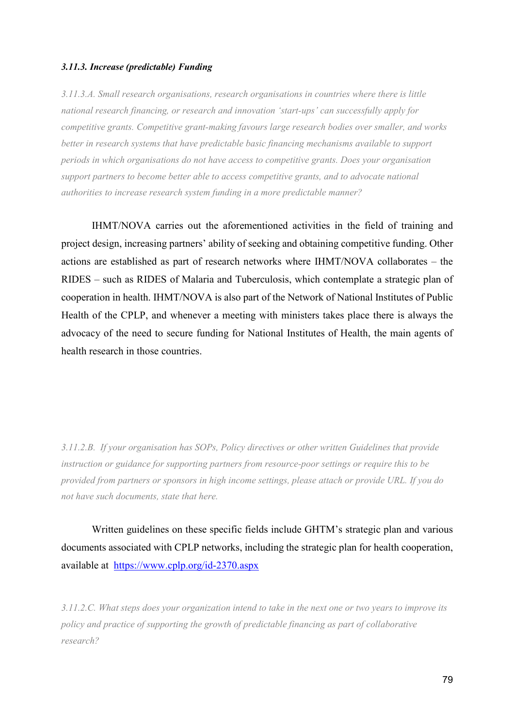#### *3.11.3. Increase (predictable) Funding*

*3.11.3.A. Small research organisations, research organisations in countries where there is little national research financing, or research and innovation 'start-ups' can successfully apply for competitive grants. Competitive grant-making favours large research bodies over smaller, and works better in research systems that have predictable basic financing mechanisms available to support periods in which organisations do not have access to competitive grants. Does your organisation support partners to become better able to access competitive grants, and to advocate national authorities to increase research system funding in a more predictable manner?* 

IHMT/NOVA carries out the aforementioned activities in the field of training and project design, increasing partners' ability of seeking and obtaining competitive funding. Other actions are established as part of research networks where IHMT/NOVA collaborates – the RIDES – such as RIDES of Malaria and Tuberculosis, which contemplate a strategic plan of cooperation in health. IHMT/NOVA is also part of the Network of National Institutes of Public Health of the CPLP, and whenever a meeting with ministers takes place there is always the advocacy of the need to secure funding for National Institutes of Health, the main agents of health research in those countries.

*3.11.2.B. If your organisation has SOPs, Policy directives or other written Guidelines that provide instruction or guidance for supporting partners from resource-poor settings or require this to be provided from partners or sponsors in high income settings, please attach or provide URL. If you do not have such documents, state that here.* 

Written guidelines on these specific fields include GHTM's strategic plan and various documents associated with CPLP networks, including the strategic plan for health cooperation, available at https://www.cplp.org/id-2370.aspx

*3.11.2.C. What steps does your organization intend to take in the next one or two years to improve its policy and practice of supporting the growth of predictable financing as part of collaborative research?*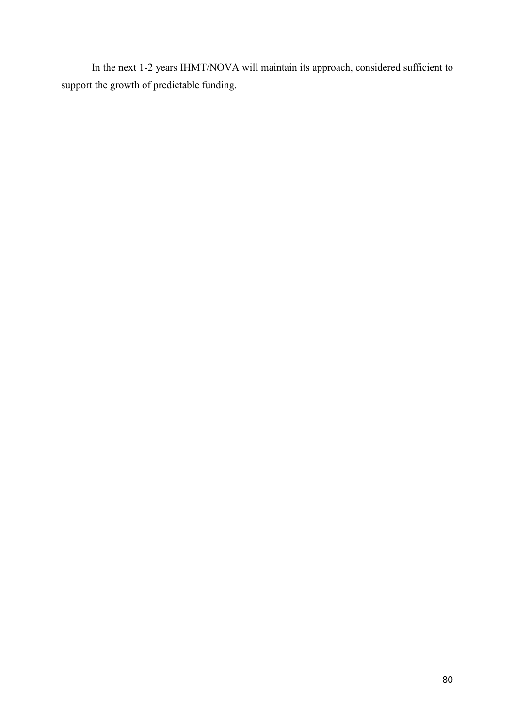In the next 1-2 years IHMT/NOVA will maintain its approach, considered sufficient to support the growth of predictable funding.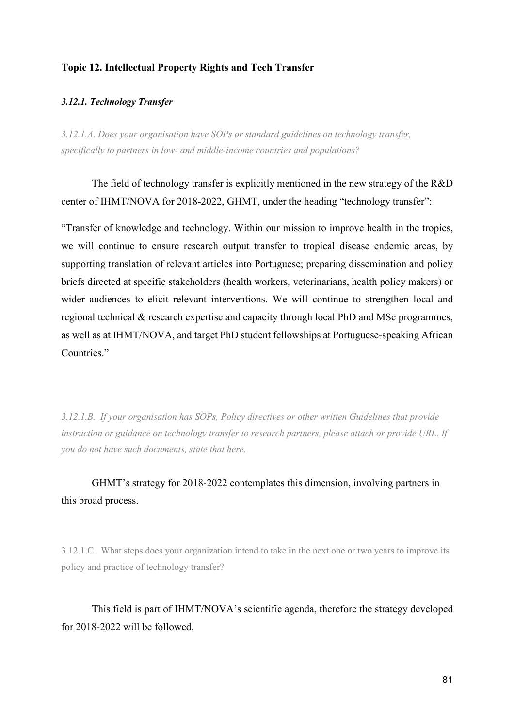# **Topic 12. Intellectual Property Rights and Tech Transfer**

### *3.12.1. Technology Transfer*

*3.12.1.A. Does your organisation have SOPs or standard guidelines on technology transfer, specifically to partners in low- and middle-income countries and populations?* 

The field of technology transfer is explicitly mentioned in the new strategy of the R&D center of IHMT/NOVA for 2018-2022, GHMT, under the heading "technology transfer":

"Transfer of knowledge and technology. Within our mission to improve health in the tropics, we will continue to ensure research output transfer to tropical disease endemic areas, by supporting translation of relevant articles into Portuguese; preparing dissemination and policy briefs directed at specific stakeholders (health workers, veterinarians, health policy makers) or wider audiences to elicit relevant interventions. We will continue to strengthen local and regional technical & research expertise and capacity through local PhD and MSc programmes, as well as at IHMT/NOVA, and target PhD student fellowships at Portuguese-speaking African Countries."

*3.12.1.B. If your organisation has SOPs, Policy directives or other written Guidelines that provide instruction or guidance on technology transfer to research partners, please attach or provide URL. If you do not have such documents, state that here.* 

GHMT's strategy for 2018-2022 contemplates this dimension, involving partners in this broad process.

3.12.1.C. What steps does your organization intend to take in the next one or two years to improve its policy and practice of technology transfer?

This field is part of IHMT/NOVA's scientific agenda, therefore the strategy developed for 2018-2022 will be followed.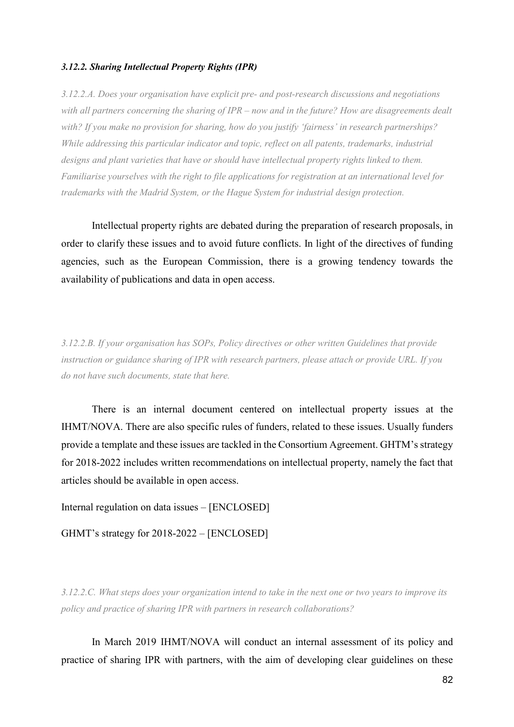## *3.12.2. Sharing Intellectual Property Rights (IPR)*

*3.12.2.A. Does your organisation have explicit pre- and post-research discussions and negotiations with all partners concerning the sharing of IPR – now and in the future? How are disagreements dealt with? If you make no provision for sharing, how do you justify 'fairness' in research partnerships? While addressing this particular indicator and topic, reflect on all patents, trademarks, industrial designs and plant varieties that have or should have intellectual property rights linked to them. Familiarise yourselves with the right to file applications for registration at an international level for trademarks with the Madrid System, or the Hague System for industrial design protection.* 

Intellectual property rights are debated during the preparation of research proposals, in order to clarify these issues and to avoid future conflicts. In light of the directives of funding agencies, such as the European Commission, there is a growing tendency towards the availability of publications and data in open access.

*3.12.2.B. If your organisation has SOPs, Policy directives or other written Guidelines that provide instruction or guidance sharing of IPR with research partners, please attach or provide URL. If you do not have such documents, state that here.* 

There is an internal document centered on intellectual property issues at the IHMT/NOVA. There are also specific rules of funders, related to these issues. Usually funders provide a template and these issues are tackled in the Consortium Agreement. GHTM's strategy for 2018-2022 includes written recommendations on intellectual property, namely the fact that articles should be available in open access.

Internal regulation on data issues – [ENCLOSED]

GHMT's strategy for 2018-2022 – [ENCLOSED]

*3.12.2.C. What steps does your organization intend to take in the next one or two years to improve its policy and practice of sharing IPR with partners in research collaborations?* 

In March 2019 IHMT/NOVA will conduct an internal assessment of its policy and practice of sharing IPR with partners, with the aim of developing clear guidelines on these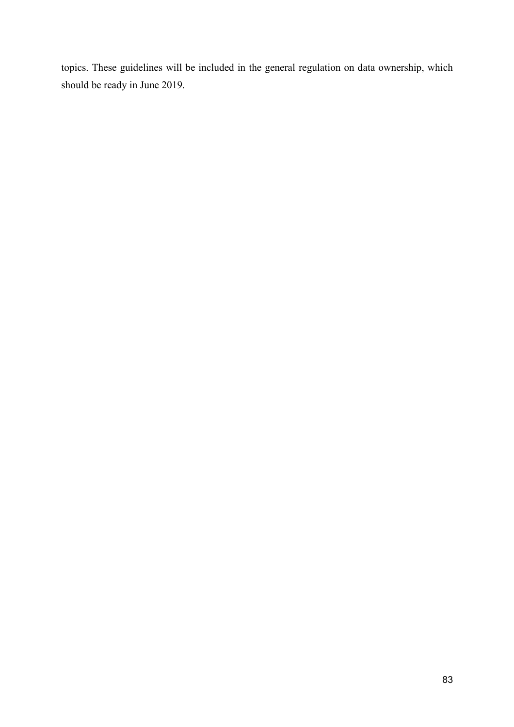topics. These guidelines will be included in the general regulation on data ownership, which should be ready in June 2019.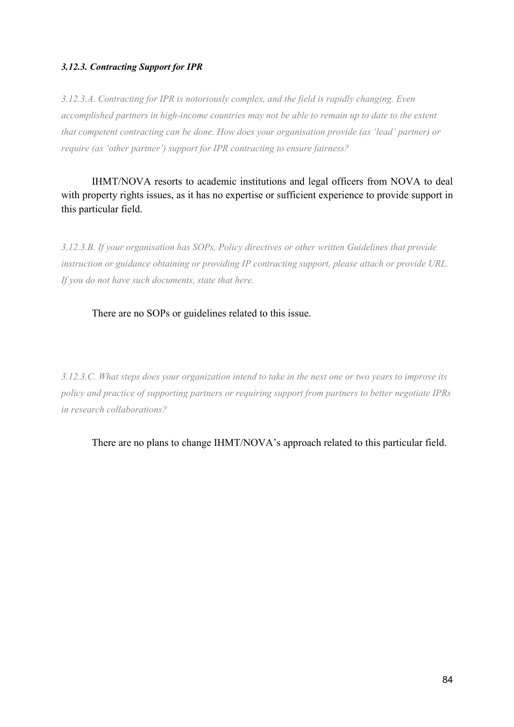# *3.12.3. Contracting Support for IPR*

*3.12.3.A. Contracting for IPR is notoriously complex, and the field is rapidly changing. Even accomplished partners in high-income countries may not be able to remain up to date to the extent that competent contracting can be done. How does your organisation provide (as 'lead' partner) or require (as 'other partner') support for IPR contracting to ensure fairness?* 

IHMT/NOVA resorts to academic institutions and legal officers from NOVA to deal with property rights issues, as it has no expertise or sufficient experience to provide support in this particular field.

*3.12.3.B. If your organisation has SOPs, Policy directives or other written Guidelines that provide instruction or guidance obtaining or providing IP contracting support, please attach or provide URL. If you do not have such documents, state that here.* 

# There are no SOPs or guidelines related to this issue.

*3.12.3.C. What steps does your organization intend to take in the next one or two years to improve its policy and practice of supporting partners or requiring support from partners to better negotiate IPRs in research collaborations?* 

There are no plans to change IHMT/NOVA's approach related to this particular field.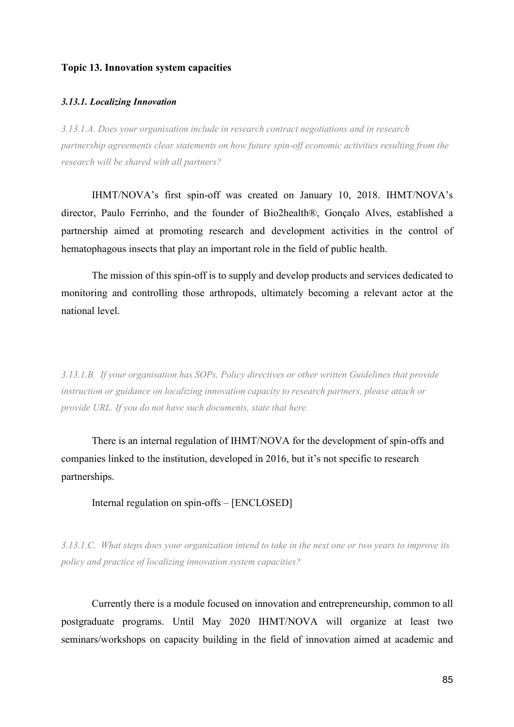# **Topic 13. Innovation system capacities**

#### *3.13.1. Localizing Innovation*

*3.13.1.A. Does your organisation include in research contract negotiations and in research partnership agreements clear statements on how future spin-off economic activities resulting from the research will be shared with all partners?* 

IHMT/NOVA's first spin-off was created on January 10, 2018. IHMT/NOVA's director, Paulo Ferrinho, and the founder of Bio2health®, Gonçalo Alves, established a partnership aimed at promoting research and development activities in the control of hematophagous insects that play an important role in the field of public health.

 The mission of this spin-off is to supply and develop products and services dedicated to monitoring and controlling those arthropods, ultimately becoming a relevant actor at the national level.

*3.13.1.B. If your organisation has SOPs, Policy directives or other written Guidelines that provide instruction or guidance on localizing innovation capacity to research partners, please attach or provide URL. If you do not have such documents, state that here.* 

There is an internal regulation of IHMT/NOVA for the development of spin-offs and companies linked to the institution, developed in 2016, but it's not specific to research partnerships.

Internal regulation on spin-offs – [ENCLOSED]

*3.13.1.C. What steps does your organization intend to take in the next one or two years to improve its policy and practice of localizing innovation system capacities?*

Currently there is a module focused on innovation and entrepreneurship, common to all postgraduate programs. Until May 2020 IHMT/NOVA will organize at least two seminars/workshops on capacity building in the field of innovation aimed at academic and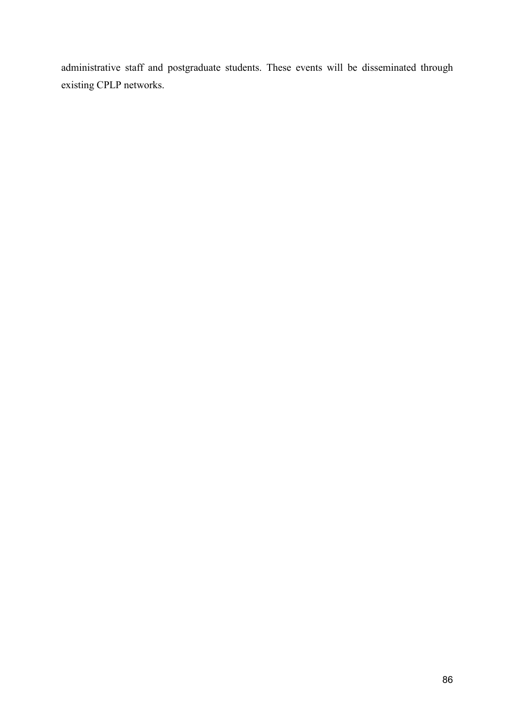administrative staff and postgraduate students. These events will be disseminated through existing CPLP networks.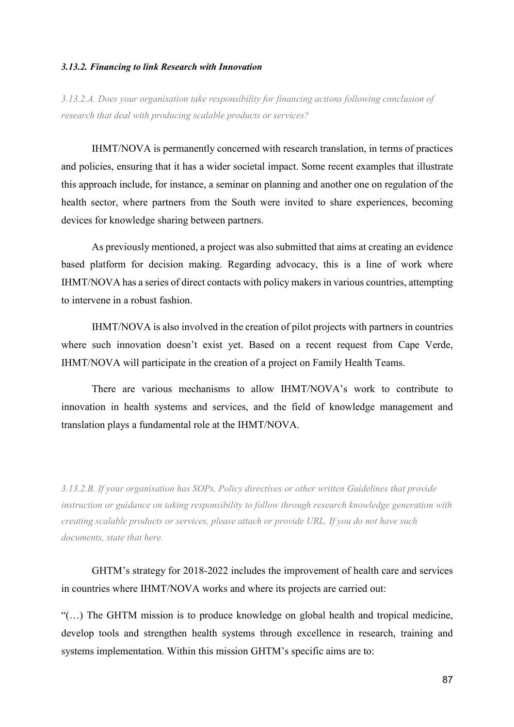#### *3.13.2. Financing to link Research with Innovation*

*3.13.2.A. Does your organisation take responsibility for financing actions following conclusion of research that deal with producing scalable products or services?* 

IHMT/NOVA is permanently concerned with research translation, in terms of practices and policies, ensuring that it has a wider societal impact. Some recent examples that illustrate this approach include, for instance, a seminar on planning and another one on regulation of the health sector, where partners from the South were invited to share experiences, becoming devices for knowledge sharing between partners.

 As previously mentioned, a project was also submitted that aims at creating an evidence based platform for decision making. Regarding advocacy, this is a line of work where IHMT/NOVA has a series of direct contacts with policy makers in various countries, attempting to intervene in a robust fashion.

 IHMT/NOVA is also involved in the creation of pilot projects with partners in countries where such innovation doesn't exist yet. Based on a recent request from Cape Verde, IHMT/NOVA will participate in the creation of a project on Family Health Teams.

 There are various mechanisms to allow IHMT/NOVA's work to contribute to innovation in health systems and services, and the field of knowledge management and translation plays a fundamental role at the IHMT/NOVA.

*3.13.2.B. If your organisation has SOPs, Policy directives or other written Guidelines that provide instruction or guidance on taking responsibility to follow through research knowledge generation with creating scalable products or services, please attach or provide URL. If you do not have such documents, state that here.* 

GHTM's strategy for 2018-2022 includes the improvement of health care and services in countries where IHMT/NOVA works and where its projects are carried out:

"(…) The GHTM mission is to produce knowledge on global health and tropical medicine, develop tools and strengthen health systems through excellence in research, training and systems implementation. Within this mission GHTM's specific aims are to: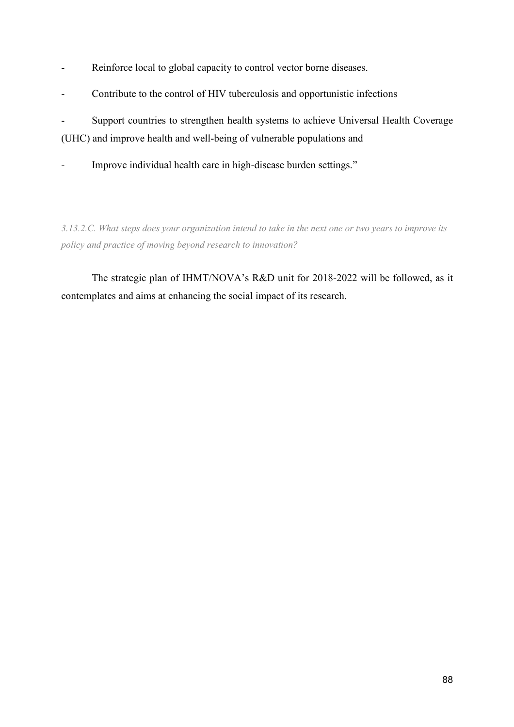- Reinforce local to global capacity to control vector borne diseases.
- Contribute to the control of HIV tuberculosis and opportunistic infections

- Support countries to strengthen health systems to achieve Universal Health Coverage (UHC) and improve health and well-being of vulnerable populations and

Improve individual health care in high-disease burden settings."

*3.13.2.C. What steps does your organization intend to take in the next one or two years to improve its policy and practice of moving beyond research to innovation?* 

The strategic plan of IHMT/NOVA's R&D unit for 2018-2022 will be followed, as it contemplates and aims at enhancing the social impact of its research.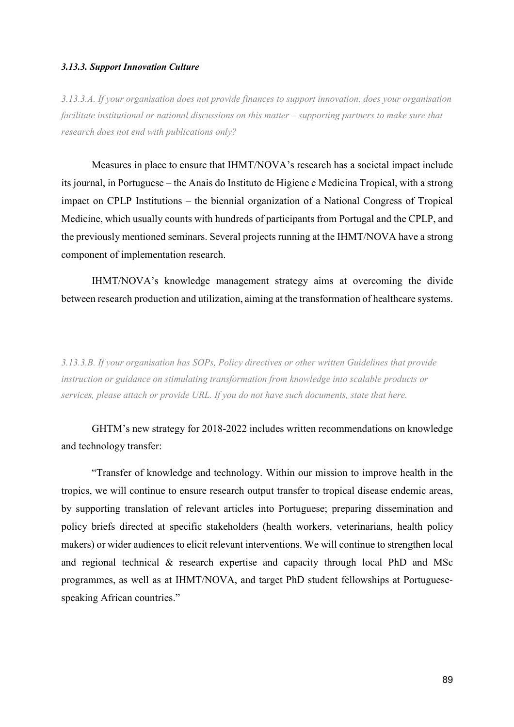#### *3.13.3. Support Innovation Culture*

*3.13.3.A. If your organisation does not provide finances to support innovation, does your organisation facilitate institutional or national discussions on this matter – supporting partners to make sure that research does not end with publications only?* 

Measures in place to ensure that IHMT/NOVA's research has a societal impact include its journal, in Portuguese – the Anais do Instituto de Higiene e Medicina Tropical, with a strong impact on CPLP Institutions – the biennial organization of a National Congress of Tropical Medicine, which usually counts with hundreds of participants from Portugal and the CPLP, and the previously mentioned seminars. Several projects running at the IHMT/NOVA have a strong component of implementation research.

 IHMT/NOVA's knowledge management strategy aims at overcoming the divide between research production and utilization, aiming at the transformation of healthcare systems.

*3.13.3.B. If your organisation has SOPs, Policy directives or other written Guidelines that provide instruction or guidance on stimulating transformation from knowledge into scalable products or services, please attach or provide URL. If you do not have such documents, state that here.* 

GHTM's new strategy for 2018-2022 includes written recommendations on knowledge and technology transfer:

 "Transfer of knowledge and technology. Within our mission to improve health in the tropics, we will continue to ensure research output transfer to tropical disease endemic areas, by supporting translation of relevant articles into Portuguese; preparing dissemination and policy briefs directed at specific stakeholders (health workers, veterinarians, health policy makers) or wider audiences to elicit relevant interventions. We will continue to strengthen local and regional technical & research expertise and capacity through local PhD and MSc programmes, as well as at IHMT/NOVA, and target PhD student fellowships at Portuguesespeaking African countries."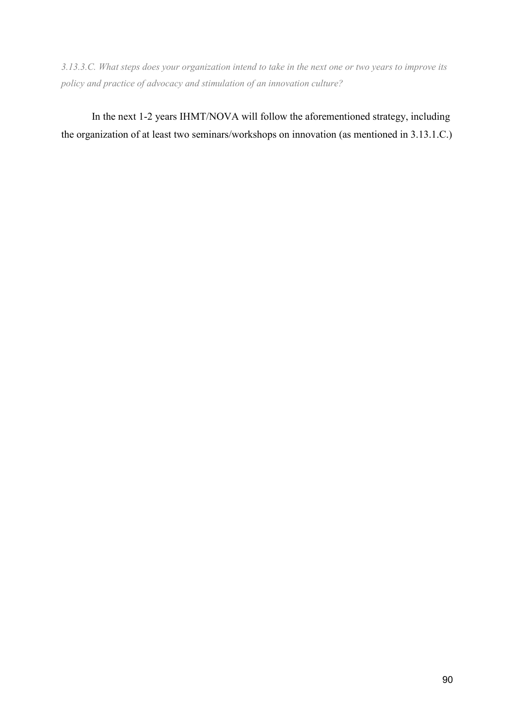*3.13.3.C. What steps does your organization intend to take in the next one or two years to improve its policy and practice of advocacy and stimulation of an innovation culture?* 

In the next 1-2 years IHMT/NOVA will follow the aforementioned strategy, including the organization of at least two seminars/workshops on innovation (as mentioned in 3.13.1.C.)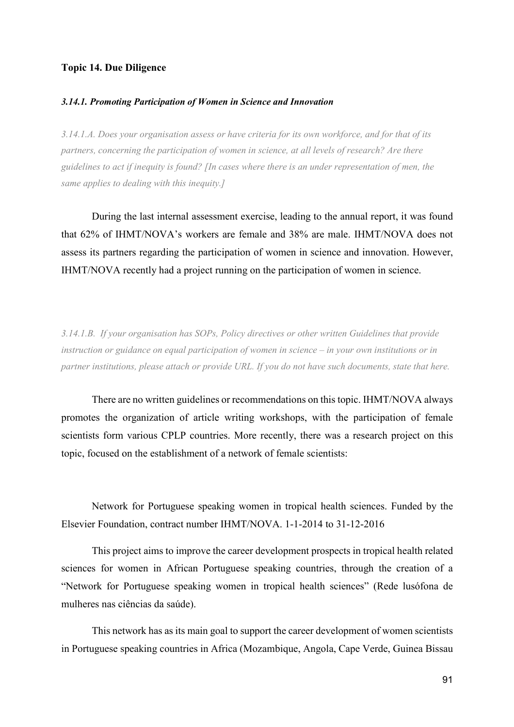#### **Topic 14. Due Diligence**

#### *3.14.1. Promoting Participation of Women in Science and Innovation*

*3.14.1.A. Does your organisation assess or have criteria for its own workforce, and for that of its partners, concerning the participation of women in science, at all levels of research? Are there guidelines to act if inequity is found? [In cases where there is an under representation of men, the same applies to dealing with this inequity.]* 

During the last internal assessment exercise, leading to the annual report, it was found that 62% of IHMT/NOVA's workers are female and 38% are male. IHMT/NOVA does not assess its partners regarding the participation of women in science and innovation. However, IHMT/NOVA recently had a project running on the participation of women in science.

*3.14.1.B. If your organisation has SOPs, Policy directives or other written Guidelines that provide instruction or guidance on equal participation of women in science – in your own institutions or in partner institutions, please attach or provide URL. If you do not have such documents, state that here.* 

There are no written guidelines or recommendations on this topic. IHMT/NOVA always promotes the organization of article writing workshops, with the participation of female scientists form various CPLP countries. More recently, there was a research project on this topic, focused on the establishment of a network of female scientists:

 Network for Portuguese speaking women in tropical health sciences. Funded by the Elsevier Foundation, contract number IHMT/NOVA. 1-1-2014 to 31-12-2016

 This project aims to improve the career development prospects in tropical health related sciences for women in African Portuguese speaking countries, through the creation of a "Network for Portuguese speaking women in tropical health sciences" (Rede lusófona de mulheres nas ciências da saúde).

 This network has as its main goal to support the career development of women scientists in Portuguese speaking countries in Africa (Mozambique, Angola, Cape Verde, Guinea Bissau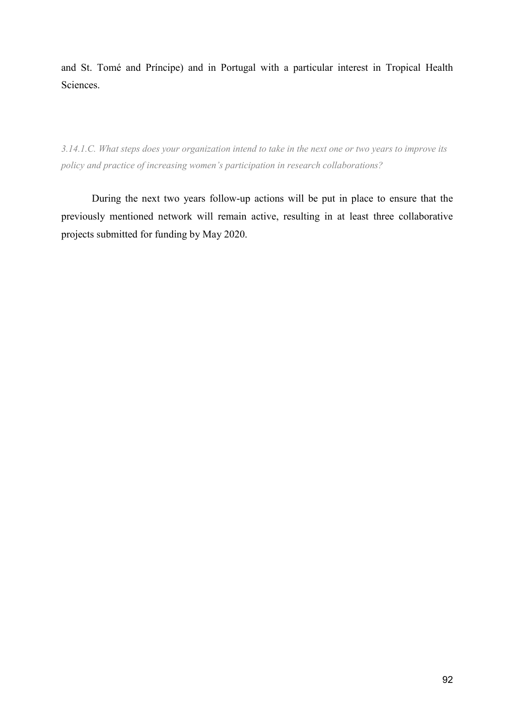and St. Tomé and Príncipe) and in Portugal with a particular interest in Tropical Health Sciences.

*3.14.1.C. What steps does your organization intend to take in the next one or two years to improve its policy and practice of increasing women's participation in research collaborations?* 

During the next two years follow-up actions will be put in place to ensure that the previously mentioned network will remain active, resulting in at least three collaborative projects submitted for funding by May 2020.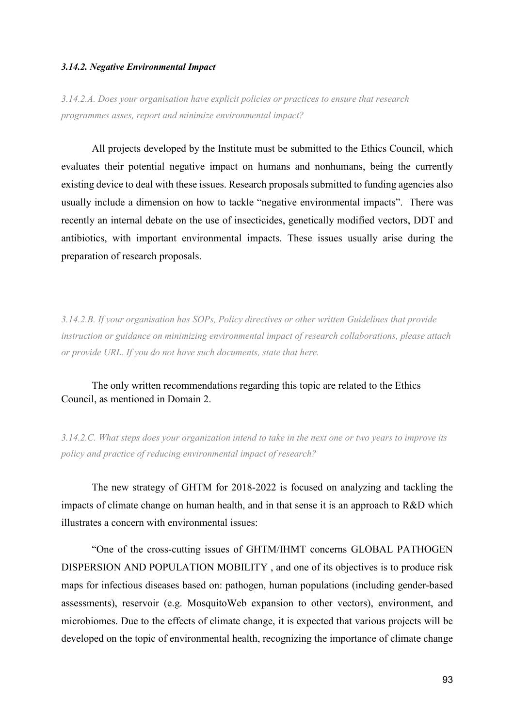#### *3.14.2. Negative Environmental Impact*

*3.14.2.A. Does your organisation have explicit policies or practices to ensure that research programmes asses, report and minimize environmental impact?* 

All projects developed by the Institute must be submitted to the Ethics Council, which evaluates their potential negative impact on humans and nonhumans, being the currently existing device to deal with these issues. Research proposals submitted to funding agencies also usually include a dimension on how to tackle "negative environmental impacts". There was recently an internal debate on the use of insecticides, genetically modified vectors, DDT and antibiotics, with important environmental impacts. These issues usually arise during the preparation of research proposals.

*3.14.2.B. If your organisation has SOPs, Policy directives or other written Guidelines that provide instruction or guidance on minimizing environmental impact of research collaborations, please attach or provide URL. If you do not have such documents, state that here.* 

# The only written recommendations regarding this topic are related to the Ethics Council, as mentioned in Domain 2.

*3.14.2.C. What steps does your organization intend to take in the next one or two years to improve its policy and practice of reducing environmental impact of research?* 

The new strategy of GHTM for 2018-2022 is focused on analyzing and tackling the impacts of climate change on human health, and in that sense it is an approach to R&D which illustrates a concern with environmental issues:

 "One of the cross-cutting issues of GHTM/IHMT concerns GLOBAL PATHOGEN DISPERSION AND POPULATION MOBILITY , and one of its objectives is to produce risk maps for infectious diseases based on: pathogen, human populations (including gender-based assessments), reservoir (e.g. MosquitoWeb expansion to other vectors), environment, and microbiomes. Due to the effects of climate change, it is expected that various projects will be developed on the topic of environmental health, recognizing the importance of climate change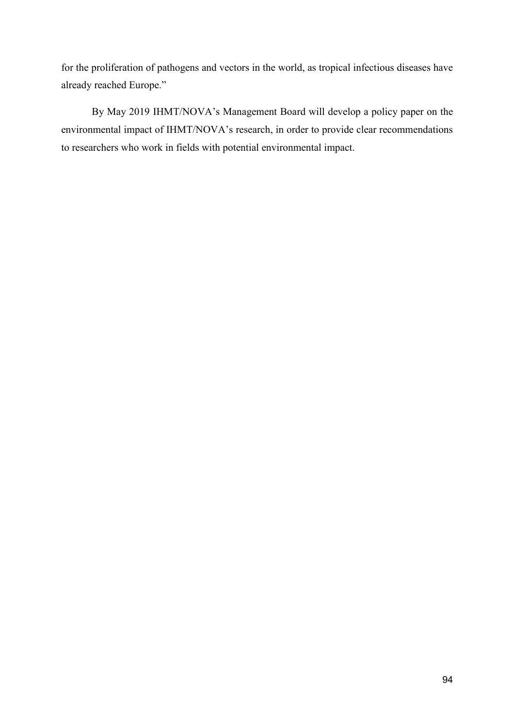for the proliferation of pathogens and vectors in the world, as tropical infectious diseases have already reached Europe."

 By May 2019 IHMT/NOVA's Management Board will develop a policy paper on the environmental impact of IHMT/NOVA's research, in order to provide clear recommendations to researchers who work in fields with potential environmental impact.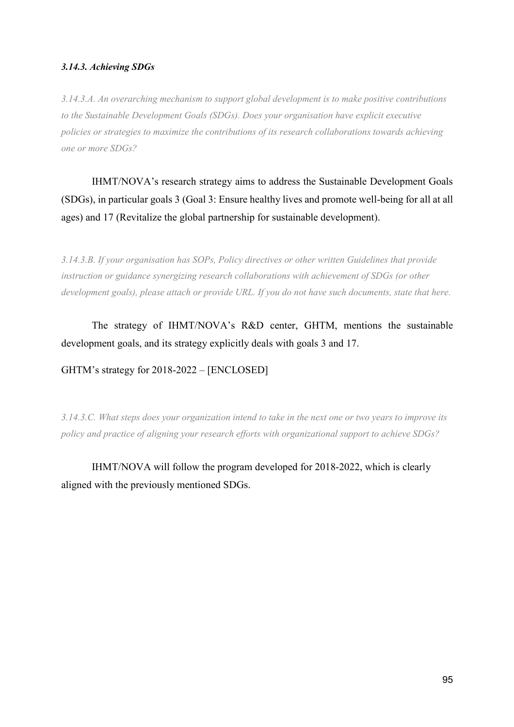# *3.14.3. Achieving SDGs*

*3.14.3.A. An overarching mechanism to support global development is to make positive contributions to the Sustainable Development Goals (SDGs). Does your organisation have explicit executive policies or strategies to maximize the contributions of its research collaborations towards achieving one or more SDGs?* 

IHMT/NOVA's research strategy aims to address the Sustainable Development Goals (SDGs), in particular goals 3 (Goal 3: Ensure healthy lives and promote well-being for all at all ages) and 17 (Revitalize the global partnership for sustainable development).

*3.14.3.B. If your organisation has SOPs, Policy directives or other written Guidelines that provide instruction or guidance synergizing research collaborations with achievement of SDGs (or other development goals), please attach or provide URL. If you do not have such documents, state that here.* 

The strategy of IHMT/NOVA's R&D center, GHTM, mentions the sustainable development goals, and its strategy explicitly deals with goals 3 and 17.

GHTM's strategy for 2018-2022 – [ENCLOSED]

*3.14.3.C. What steps does your organization intend to take in the next one or two years to improve its policy and practice of aligning your research efforts with organizational support to achieve SDGs?* 

IHMT/NOVA will follow the program developed for 2018-2022, which is clearly aligned with the previously mentioned SDGs.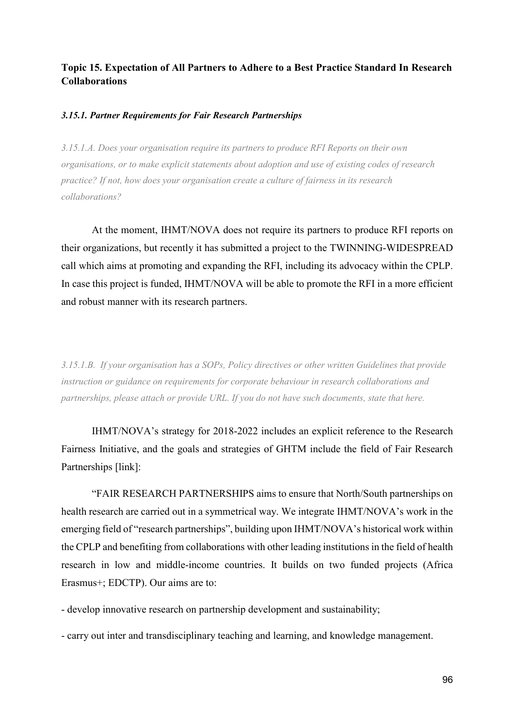# **Topic 15. Expectation of All Partners to Adhere to a Best Practice Standard In Research Collaborations**

# *3.15.1. Partner Requirements for Fair Research Partnerships*

*3.15.1.A. Does your organisation require its partners to produce RFI Reports on their own organisations, or to make explicit statements about adoption and use of existing codes of research practice? If not, how does your organisation create a culture of fairness in its research collaborations?* 

At the moment, IHMT/NOVA does not require its partners to produce RFI reports on their organizations, but recently it has submitted a project to the TWINNING-WIDESPREAD call which aims at promoting and expanding the RFI, including its advocacy within the CPLP. In case this project is funded, IHMT/NOVA will be able to promote the RFI in a more efficient and robust manner with its research partners.

*3.15.1.B. If your organisation has a SOPs, Policy directives or other written Guidelines that provide instruction or guidance on requirements for corporate behaviour in research collaborations and partnerships, please attach or provide URL. If you do not have such documents, state that here.* 

IHMT/NOVA's strategy for 2018-2022 includes an explicit reference to the Research Fairness Initiative, and the goals and strategies of GHTM include the field of Fair Research Partnerships [link]:

 "FAIR RESEARCH PARTNERSHIPS aims to ensure that North/South partnerships on health research are carried out in a symmetrical way. We integrate IHMT/NOVA's work in the emerging field of "research partnerships", building upon IHMT/NOVA's historical work within the CPLP and benefiting from collaborations with other leading institutions in the field of health research in low and middle-income countries. It builds on two funded projects (Africa Erasmus+; EDCTP). Our aims are to:

- develop innovative research on partnership development and sustainability;

- carry out inter and transdisciplinary teaching and learning, and knowledge management.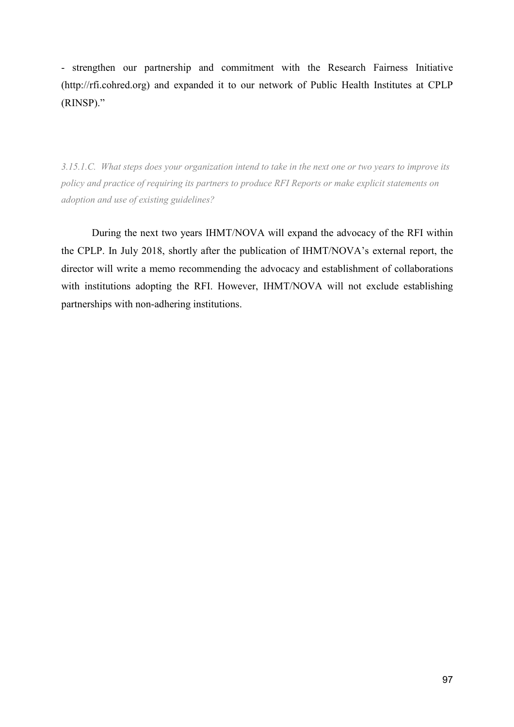- strengthen our partnership and commitment with the Research Fairness Initiative (http://rfi.cohred.org) and expanded it to our network of Public Health Institutes at CPLP (RINSP)."

*3.15.1.C. What steps does your organization intend to take in the next one or two years to improve its policy and practice of requiring its partners to produce RFI Reports or make explicit statements on adoption and use of existing guidelines?* 

During the next two years IHMT/NOVA will expand the advocacy of the RFI within the CPLP. In July 2018, shortly after the publication of IHMT/NOVA's external report, the director will write a memo recommending the advocacy and establishment of collaborations with institutions adopting the RFI. However, IHMT/NOVA will not exclude establishing partnerships with non-adhering institutions.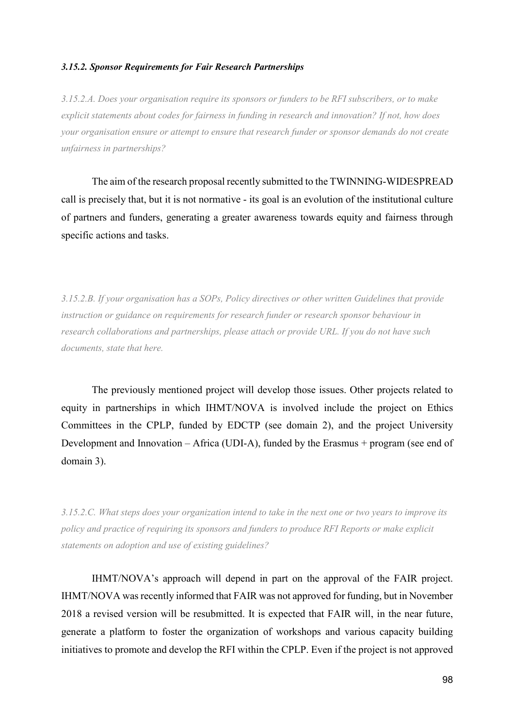#### *3.15.2. Sponsor Requirements for Fair Research Partnerships*

*3.15.2.A. Does your organisation require its sponsors or funders to be RFI subscribers, or to make explicit statements about codes for fairness in funding in research and innovation? If not, how does your organisation ensure or attempt to ensure that research funder or sponsor demands do not create unfairness in partnerships?* 

The aim of the research proposal recently submitted to the TWINNING-WIDESPREAD call is precisely that, but it is not normative - its goal is an evolution of the institutional culture of partners and funders, generating a greater awareness towards equity and fairness through specific actions and tasks.

*3.15.2.B. If your organisation has a SOPs, Policy directives or other written Guidelines that provide instruction or guidance on requirements for research funder or research sponsor behaviour in research collaborations and partnerships, please attach or provide URL. If you do not have such documents, state that here.* 

The previously mentioned project will develop those issues. Other projects related to equity in partnerships in which IHMT/NOVA is involved include the project on Ethics Committees in the CPLP, funded by EDCTP (see domain 2), and the project University Development and Innovation – Africa (UDI-A), funded by the Erasmus + program (see end of domain 3).

*3.15.2.C. What steps does your organization intend to take in the next one or two years to improve its policy and practice of requiring its sponsors and funders to produce RFI Reports or make explicit statements on adoption and use of existing guidelines?* 

IHMT/NOVA's approach will depend in part on the approval of the FAIR project. IHMT/NOVA was recently informed that FAIR was not approved for funding, but in November 2018 a revised version will be resubmitted. It is expected that FAIR will, in the near future, generate a platform to foster the organization of workshops and various capacity building initiatives to promote and develop the RFI within the CPLP. Even if the project is not approved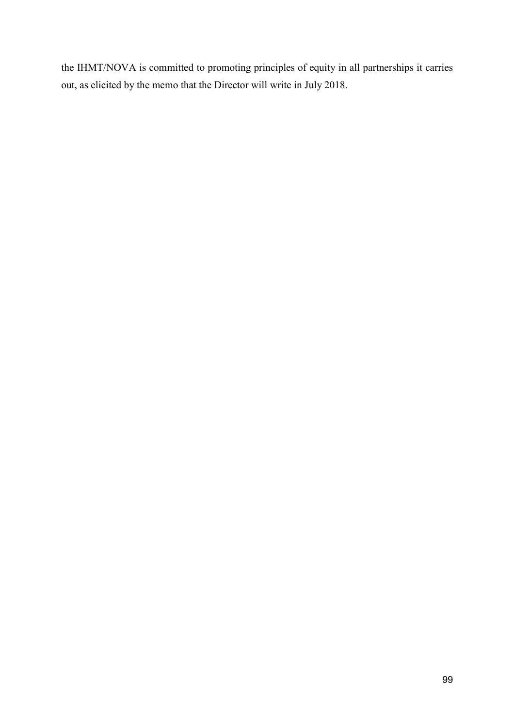the IHMT/NOVA is committed to promoting principles of equity in all partnerships it carries out, as elicited by the memo that the Director will write in July 2018.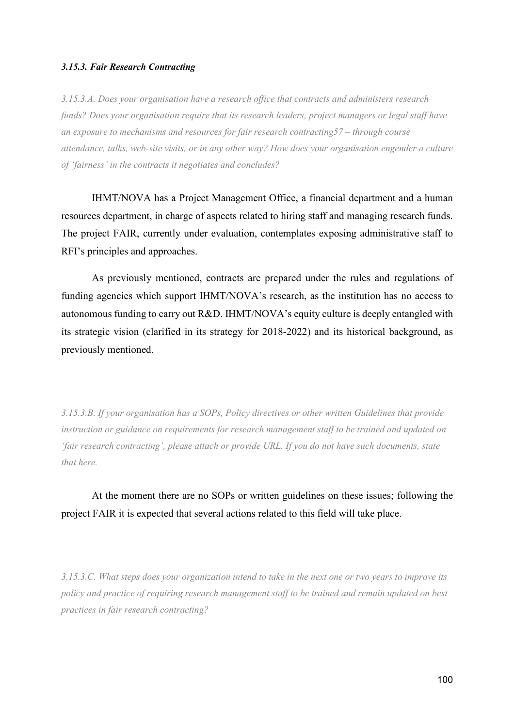#### *3.15.3. Fair Research Contracting*

*3.15.3.A. Does your organisation have a research office that contracts and administers research funds? Does your organisation require that its research leaders, project managers or legal staff have an exposure to mechanisms and resources for fair research contracting57 – through course attendance, talks, web-site visits, or in any other way? How does your organisation engender a culture of 'fairness' in the contracts it negotiates and concludes?* 

IHMT/NOVA has a Project Management Office, a financial department and a human resources department, in charge of aspects related to hiring staff and managing research funds. The project FAIR, currently under evaluation, contemplates exposing administrative staff to RFI's principles and approaches.

 As previously mentioned, contracts are prepared under the rules and regulations of funding agencies which support IHMT/NOVA's research, as the institution has no access to autonomous funding to carry out R&D. IHMT/NOVA's equity culture is deeply entangled with its strategic vision (clarified in its strategy for 2018-2022) and its historical background, as previously mentioned.

*3.15.3.B. If your organisation has a SOPs, Policy directives or other written Guidelines that provide instruction or guidance on requirements for research management staff to be trained and updated on 'fair research contracting', please attach or provide URL. If you do not have such documents, state that here.* 

At the moment there are no SOPs or written guidelines on these issues; following the project FAIR it is expected that several actions related to this field will take place.

*3.15.3.C. What steps does your organization intend to take in the next one or two years to improve its policy and practice of requiring research management staff to be trained and remain updated on best practices in fair research contracting?*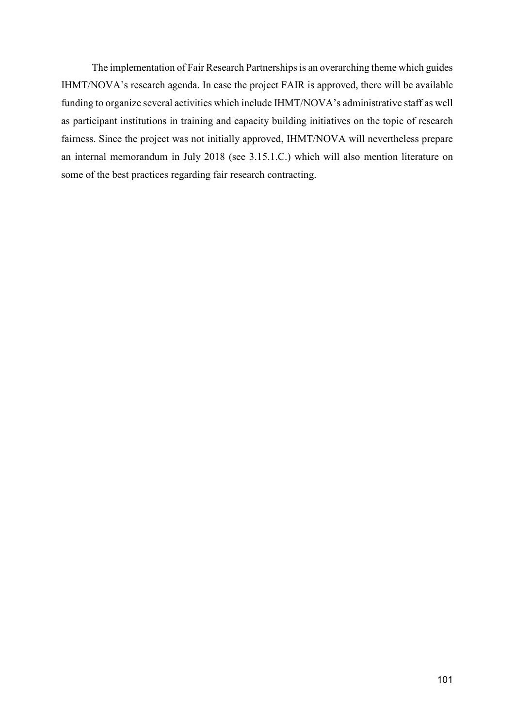The implementation of Fair Research Partnerships is an overarching theme which guides IHMT/NOVA's research agenda. In case the project FAIR is approved, there will be available funding to organize several activities which include IHMT/NOVA's administrative staff as well as participant institutions in training and capacity building initiatives on the topic of research fairness. Since the project was not initially approved, IHMT/NOVA will nevertheless prepare an internal memorandum in July 2018 (see 3.15.1.C.) which will also mention literature on some of the best practices regarding fair research contracting.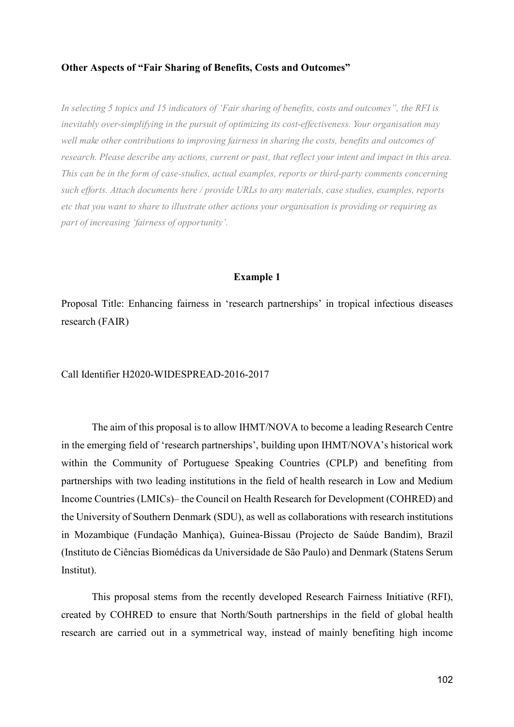## **Other Aspects of "Fair Sharing of Benefits, Costs and Outcomes"**

*In selecting 5 topics and 15 indicators of 'Fair sharing of benefits, costs and outcomes", the RFI is inevitably over-simplifying in the pursuit of optimizing its cost-effectiveness. Your organisation may well make other contributions to improving fairness in sharing the costs, benefits and outcomes of research. Please describe any actions, current or past, that reflect your intent and impact in this area. This can be in the form of case-studies, actual examples, reports or third-party comments concerning such efforts. Attach documents here / provide URLs to any materials, case studies, examples, reports etc that you want to share to illustrate other actions your organisation is providing or requiring as part of increasing 'fairness of opportunity'.* 

#### **Example 1**

Proposal Title: Enhancing fairness in 'research partnerships' in tropical infectious diseases research (FAIR)

Call Identifier H2020-WIDESPREAD-2016-2017

 The aim of this proposal is to allow IHMT/NOVA to become a leading Research Centre in the emerging field of 'research partnerships', building upon IHMT/NOVA's historical work within the Community of Portuguese Speaking Countries (CPLP) and benefiting from partnerships with two leading institutions in the field of health research in Low and Medium Income Countries (LMICs)– the Council on Health Research for Development (COHRED) and the University of Southern Denmark (SDU), as well as collaborations with research institutions in Mozambique (Fundação Manhiça), Guinea-Bissau (Projecto de Saúde Bandim), Brazil (Instituto de Ciências Biomédicas da Universidade de São Paulo) and Denmark (Statens Serum Institut).

 This proposal stems from the recently developed Research Fairness Initiative (RFI), created by COHRED to ensure that North/South partnerships in the field of global health research are carried out in a symmetrical way, instead of mainly benefiting high income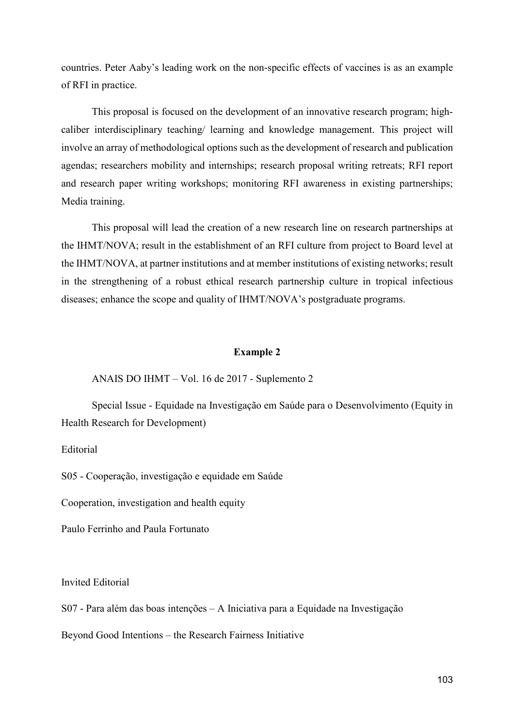countries. Peter Aaby's leading work on the non-specific effects of vaccines is as an example of RFI in practice.

 This proposal is focused on the development of an innovative research program; highcaliber interdisciplinary teaching/ learning and knowledge management. This project will involve an array of methodological options such as the development of research and publication agendas; researchers mobility and internships; research proposal writing retreats; RFI report and research paper writing workshops; monitoring RFI awareness in existing partnerships; Media training.

 This proposal will lead the creation of a new research line on research partnerships at the IHMT/NOVA; result in the establishment of an RFI culture from project to Board level at the IHMT/NOVA, at partner institutions and at member institutions of existing networks; result in the strengthening of a robust ethical research partnership culture in tropical infectious diseases; enhance the scope and quality of IHMT/NOVA's postgraduate programs.

#### **Example 2**

#### ANAIS DO IHMT – Vol. 16 de 2017 - Suplemento 2

Special Issue - Equidade na Investigação em Saúde para o Desenvolvimento (Equity in Health Research for Development)

Editorial

S05 - Cooperação, investigação e equidade em Saúde

Cooperation, investigation and health equity

Paulo Ferrinho and Paula Fortunato

Invited Editorial

S07 - Para além das boas intenções – A Iniciativa para a Equidade na Investigação

Beyond Good Intentions – the Research Fairness Initiative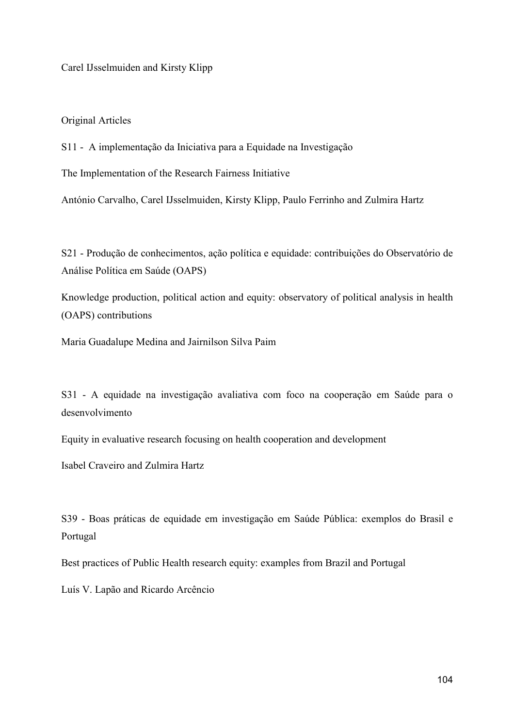Carel IJsselmuiden and Kirsty Klipp

Original Articles

S11 - A implementação da Iniciativa para a Equidade na Investigação

The Implementation of the Research Fairness Initiative

António Carvalho, Carel IJsselmuiden, Kirsty Klipp, Paulo Ferrinho and Zulmira Hartz

S21 - Produção de conhecimentos, ação política e equidade: contribuições do Observatório de Análise Política em Saúde (OAPS)

Knowledge production, political action and equity: observatory of political analysis in health (OAPS) contributions

Maria Guadalupe Medina and Jairnilson Silva Paim

S31 - A equidade na investigação avaliativa com foco na cooperação em Saúde para o desenvolvimento

Equity in evaluative research focusing on health cooperation and development

Isabel Craveiro and Zulmira Hartz

S39 - Boas práticas de equidade em investigação em Saúde Pública: exemplos do Brasil e Portugal

Best practices of Public Health research equity: examples from Brazil and Portugal

Luís V. Lapão and Ricardo Arcêncio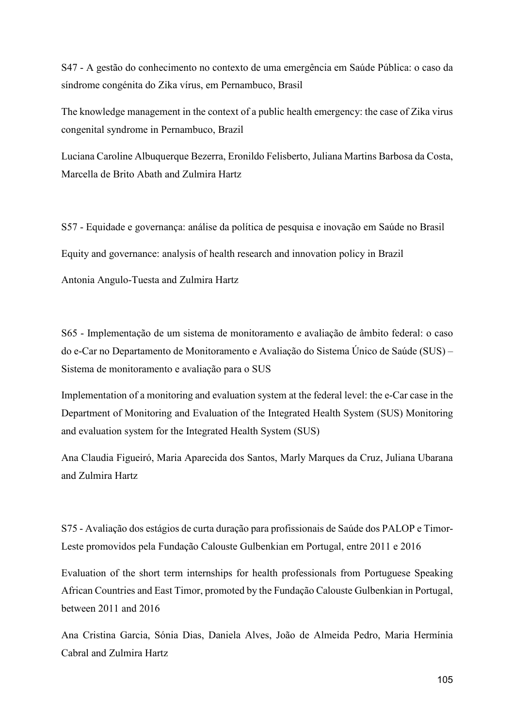S47 - A gestão do conhecimento no contexto de uma emergência em Saúde Pública: o caso da síndrome congénita do Zika vírus, em Pernambuco, Brasil

The knowledge management in the context of a public health emergency: the case of Zika virus congenital syndrome in Pernambuco, Brazil

Luciana Caroline Albuquerque Bezerra, Eronildo Felisberto, Juliana Martins Barbosa da Costa, Marcella de Brito Abath and Zulmira Hartz

S57 - Equidade e governança: análise da política de pesquisa e inovação em Saúde no Brasil Equity and governance: analysis of health research and innovation policy in Brazil Antonia Angulo-Tuesta and Zulmira Hartz

S65 - Implementação de um sistema de monitoramento e avaliação de âmbito federal: o caso do e-Car no Departamento de Monitoramento e Avaliação do Sistema Único de Saúde (SUS) – Sistema de monitoramento e avaliação para o SUS

Implementation of a monitoring and evaluation system at the federal level: the e-Car case in the Department of Monitoring and Evaluation of the Integrated Health System (SUS) Monitoring and evaluation system for the Integrated Health System (SUS)

Ana Claudia Figueiró, Maria Aparecida dos Santos, Marly Marques da Cruz, Juliana Ubarana and Zulmira Hartz

S75 - Avaliação dos estágios de curta duração para profissionais de Saúde dos PALOP e Timor-Leste promovidos pela Fundação Calouste Gulbenkian em Portugal, entre 2011 e 2016

Evaluation of the short term internships for health professionals from Portuguese Speaking African Countries and East Timor, promoted by the Fundação Calouste Gulbenkian in Portugal, between 2011 and 2016

Ana Cristina Garcia, Sónia Dias, Daniela Alves, João de Almeida Pedro, Maria Hermínia Cabral and Zulmira Hartz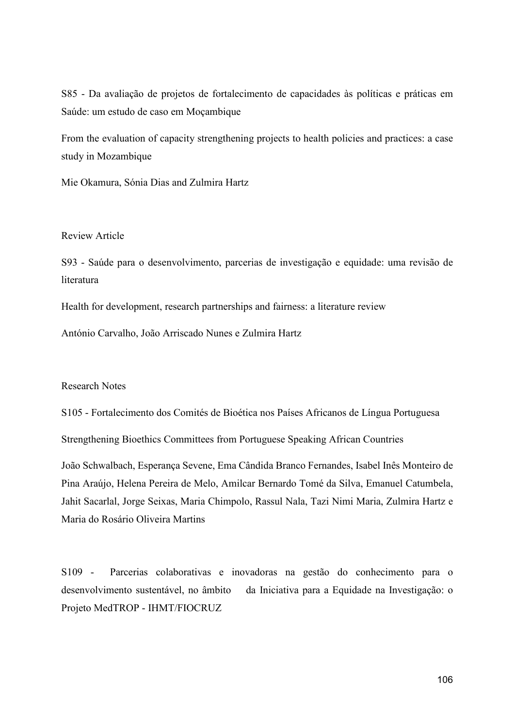S85 - Da avaliação de projetos de fortalecimento de capacidades às políticas e práticas em Saúde: um estudo de caso em Moçambique

From the evaluation of capacity strengthening projects to health policies and practices: a case study in Mozambique

Mie Okamura, Sónia Dias and Zulmira Hartz

# Review Article

S93 - Saúde para o desenvolvimento, parcerias de investigação e equidade: uma revisão de literatura

Health for development, research partnerships and fairness: a literature review

António Carvalho, João Arriscado Nunes e Zulmira Hartz

## Research Notes

S105 - Fortalecimento dos Comités de Bioética nos Países Africanos de Língua Portuguesa

Strengthening Bioethics Committees from Portuguese Speaking African Countries

João Schwalbach, Esperança Sevene, Ema Cândida Branco Fernandes, Isabel Inês Monteiro de Pina Araújo, Helena Pereira de Melo, Amilcar Bernardo Tomé da Silva, Emanuel Catumbela, Jahit Sacarlal, Jorge Seixas, Maria Chimpolo, Rassul Nala, Tazi Nimi Maria, Zulmira Hartz e Maria do Rosário Oliveira Martins

S109 - Parcerias colaborativas e inovadoras na gestão do conhecimento para o desenvolvimento sustentável, no âmbito da Iniciativa para a Equidade na Investigação: o Projeto MedTROP - IHMT/FIOCRUZ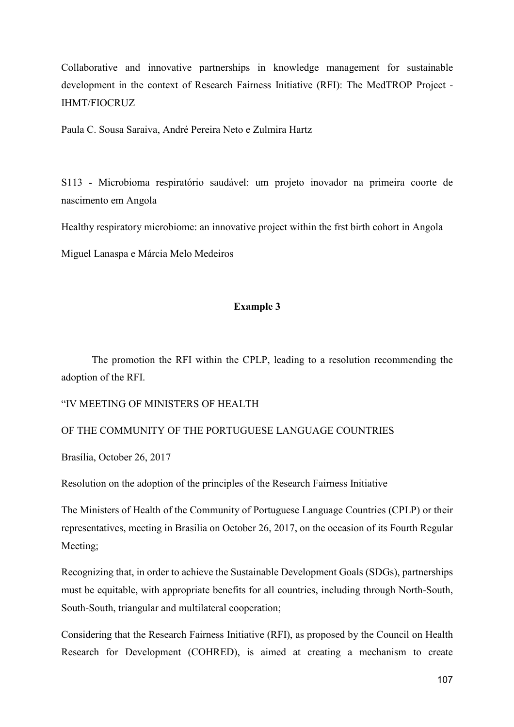Collaborative and innovative partnerships in knowledge management for sustainable development in the context of Research Fairness Initiative (RFI): The MedTROP Project - IHMT/FIOCRUZ

Paula C. Sousa Saraiva, André Pereira Neto e Zulmira Hartz

S113 - Microbioma respiratório saudável: um projeto inovador na primeira coorte de nascimento em Angola

Healthy respiratory microbiome: an innovative project within the frst birth cohort in Angola

Miguel Lanaspa e Márcia Melo Medeiros

# **Example 3**

The promotion the RFI within the CPLP, leading to a resolution recommending the adoption of the RFI.

"IV MEETING OF MINISTERS OF HEALTH

# OF THE COMMUNITY OF THE PORTUGUESE LANGUAGE COUNTRIES

Brasília, October 26, 2017

Resolution on the adoption of the principles of the Research Fairness Initiative

The Ministers of Health of the Community of Portuguese Language Countries (CPLP) or their representatives, meeting in Brasilia on October 26, 2017, on the occasion of its Fourth Regular Meeting;

Recognizing that, in order to achieve the Sustainable Development Goals (SDGs), partnerships must be equitable, with appropriate benefits for all countries, including through North-South, South-South, triangular and multilateral cooperation;

Considering that the Research Fairness Initiative (RFI), as proposed by the Council on Health Research for Development (COHRED), is aimed at creating a mechanism to create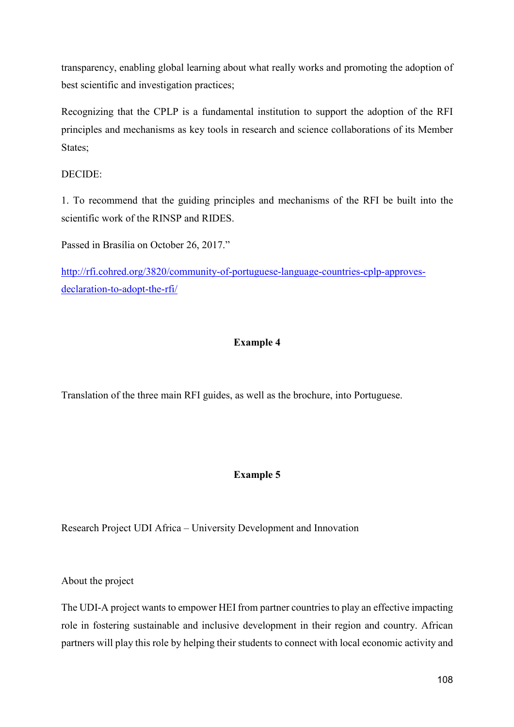transparency, enabling global learning about what really works and promoting the adoption of best scientific and investigation practices;

Recognizing that the CPLP is a fundamental institution to support the adoption of the RFI principles and mechanisms as key tools in research and science collaborations of its Member States;

## DECIDE:

1. To recommend that the guiding principles and mechanisms of the RFI be built into the scientific work of the RINSP and RIDES.

Passed in Brasília on October 26, 2017."

http://rfi.cohred.org/3820/community-of-portuguese-language-countries-cplp-approvesdeclaration-to-adopt-the-rfi/

## **Example 4**

Translation of the three main RFI guides, as well as the brochure, into Portuguese.

## **Example 5**

Research Project UDI Africa – University Development and Innovation

About the project

The UDI-A project wants to empower HEI from partner countries to play an effective impacting role in fostering sustainable and inclusive development in their region and country. African partners will play this role by helping their students to connect with local economic activity and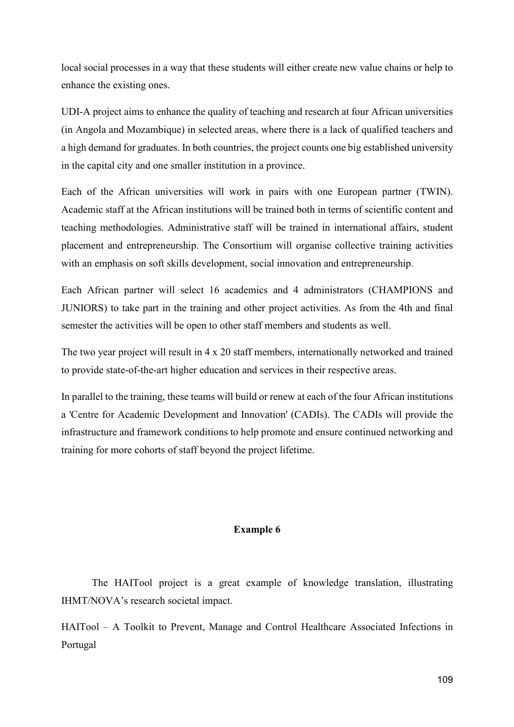local social processes in a way that these students will either create new value chains or help to enhance the existing ones.

UDI-A project aims to enhance the quality of teaching and research at four African universities (in Angola and Mozambique) in selected areas, where there is a lack of qualified teachers and a high demand for graduates. In both countries, the project counts one big established university in the capital city and one smaller institution in a province.

Each of the African universities will work in pairs with one European partner (TWIN). Academic staff at the African institutions will be trained both in terms of scientific content and teaching methodologies. Administrative staff will be trained in international affairs, student placement and entrepreneurship. The Consortium will organise collective training activities with an emphasis on soft skills development, social innovation and entrepreneurship.

Each African partner will select 16 academics and 4 administrators (CHAMPIONS and JUNIORS) to take part in the training and other project activities. As from the 4th and final semester the activities will be open to other staff members and students as well.

The two year project will result in 4 x 20 staff members, internationally networked and trained to provide state-of-the-art higher education and services in their respective areas.

In parallel to the training, these teams will build or renew at each of the four African institutions a 'Centre for Academic Development and Innovation' (CADIs). The CADIs will provide the infrastructure and framework conditions to help promote and ensure continued networking and training for more cohorts of staff beyond the project lifetime.

#### **Example 6**

The HAITool project is a great example of knowledge translation, illustrating IHMT/NOVA's research societal impact.

HAITool – A Toolkit to Prevent, Manage and Control Healthcare Associated Infections in Portugal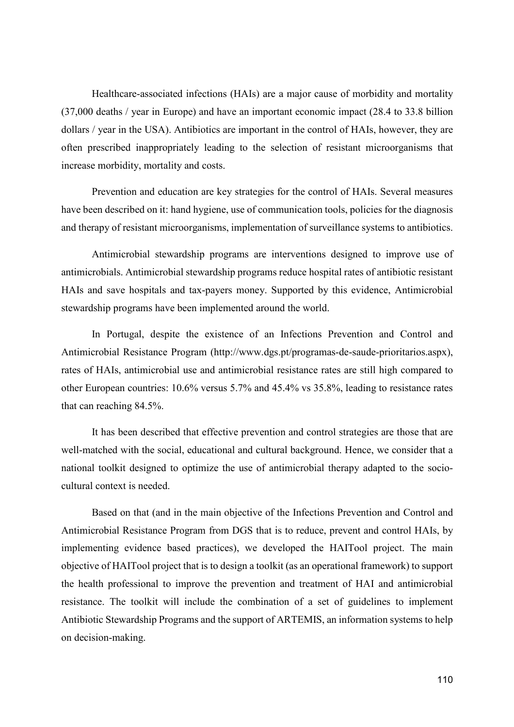Healthcare-associated infections (HAIs) are a major cause of morbidity and mortality (37,000 deaths / year in Europe) and have an important economic impact (28.4 to 33.8 billion dollars / year in the USA). Antibiotics are important in the control of HAIs, however, they are often prescribed inappropriately leading to the selection of resistant microorganisms that increase morbidity, mortality and costs.

Prevention and education are key strategies for the control of HAIs. Several measures have been described on it: hand hygiene, use of communication tools, policies for the diagnosis and therapy of resistant microorganisms, implementation of surveillance systems to antibiotics.

Antimicrobial stewardship programs are interventions designed to improve use of antimicrobials. Antimicrobial stewardship programs reduce hospital rates of antibiotic resistant HAIs and save hospitals and tax-payers money. Supported by this evidence, Antimicrobial stewardship programs have been implemented around the world.

In Portugal, despite the existence of an Infections Prevention and Control and Antimicrobial Resistance Program (http://www.dgs.pt/programas-de-saude-prioritarios.aspx), rates of HAIs, antimicrobial use and antimicrobial resistance rates are still high compared to other European countries: 10.6% versus 5.7% and 45.4% vs 35.8%, leading to resistance rates that can reaching 84.5%.

It has been described that effective prevention and control strategies are those that are well-matched with the social, educational and cultural background. Hence, we consider that a national toolkit designed to optimize the use of antimicrobial therapy adapted to the sociocultural context is needed.

Based on that (and in the main objective of the Infections Prevention and Control and Antimicrobial Resistance Program from DGS that is to reduce, prevent and control HAIs, by implementing evidence based practices), we developed the HAITool project. The main objective of HAITool project that is to design a toolkit (as an operational framework) to support the health professional to improve the prevention and treatment of HAI and antimicrobial resistance. The toolkit will include the combination of a set of guidelines to implement Antibiotic Stewardship Programs and the support of ARTEMIS, an information systems to help on decision-making.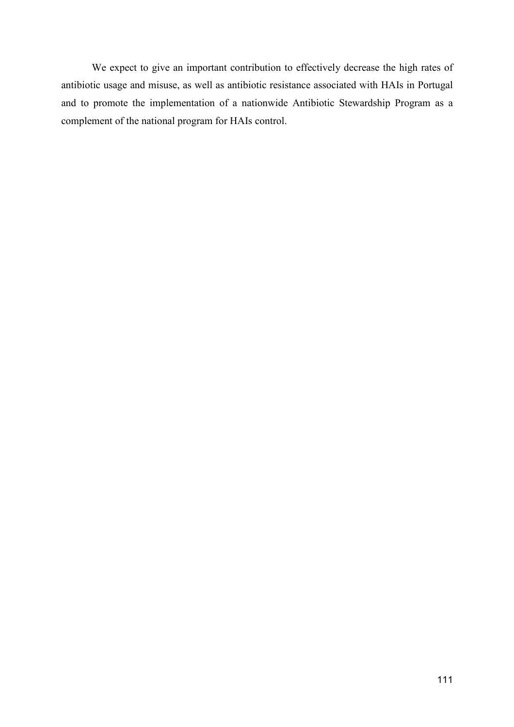We expect to give an important contribution to effectively decrease the high rates of antibiotic usage and misuse, as well as antibiotic resistance associated with HAIs in Portugal and to promote the implementation of a nationwide Antibiotic Stewardship Program as a complement of the national program for HAIs control.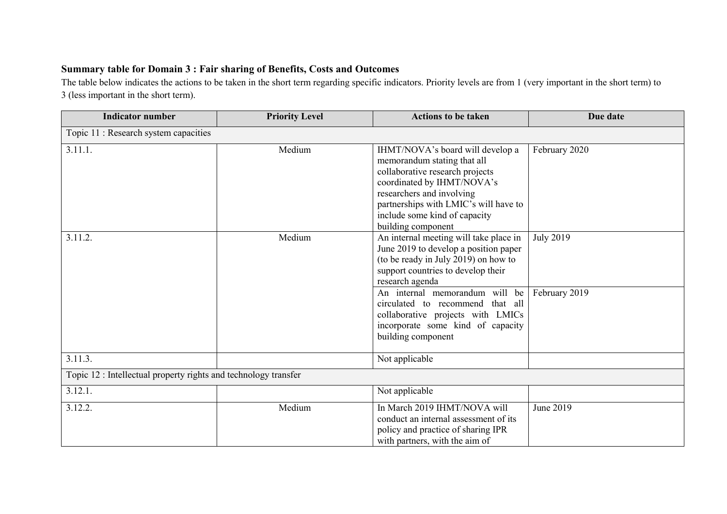## **Summary table for Domain 3 : Fair sharing of Benefits, Costs and Outcomes**

The table below indicates the actions to be taken in the short term regarding specific indicators. Priority levels are from 1 (very important in the short term) to 3 (less important in the short term).

| <b>Indicator number</b>                                         | <b>Priority Level</b> | <b>Actions to be taken</b>                                                                                                                                                                                                                                    | Due date         |
|-----------------------------------------------------------------|-----------------------|---------------------------------------------------------------------------------------------------------------------------------------------------------------------------------------------------------------------------------------------------------------|------------------|
| Topic 11 : Research system capacities                           |                       |                                                                                                                                                                                                                                                               |                  |
| 3.11.1.                                                         | Medium                | IHMT/NOVA's board will develop a<br>memorandum stating that all<br>collaborative research projects<br>coordinated by IHMT/NOVA's<br>researchers and involving<br>partnerships with LMIC's will have to<br>include some kind of capacity<br>building component | February 2020    |
| 3.11.2.                                                         | Medium                | An internal meeting will take place in<br>June 2019 to develop a position paper<br>(to be ready in July 2019) on how to<br>support countries to develop their<br>research agenda                                                                              | <b>July 2019</b> |
|                                                                 |                       | An internal memorandum will be<br>circulated to recommend that all<br>collaborative projects with LMICs<br>incorporate some kind of capacity<br>building component                                                                                            | February 2019    |
| 3.11.3.                                                         |                       | Not applicable                                                                                                                                                                                                                                                |                  |
| Topic 12 : Intellectual property rights and technology transfer |                       |                                                                                                                                                                                                                                                               |                  |
| 3.12.1.                                                         |                       | Not applicable                                                                                                                                                                                                                                                |                  |
| 3.12.2.                                                         | Medium                | In March 2019 IHMT/NOVA will<br>conduct an internal assessment of its<br>policy and practice of sharing IPR<br>with partners, with the aim of                                                                                                                 | June 2019        |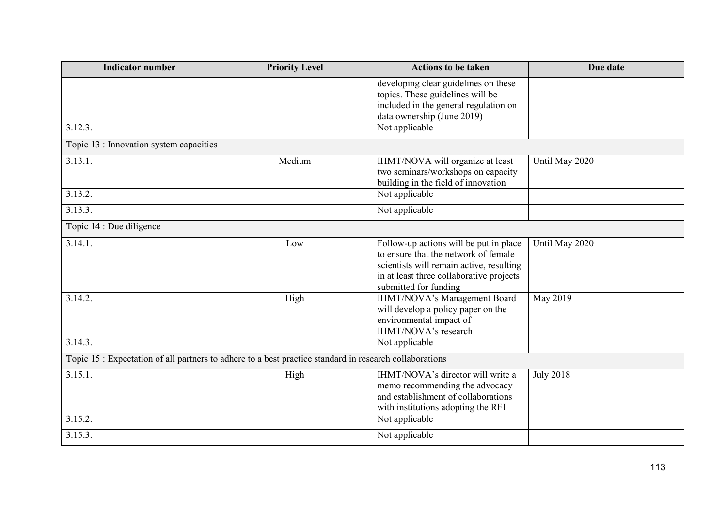| <b>Indicator number</b>                 | <b>Priority Level</b>                                                                                   | <b>Actions to be taken</b>                                               | Due date         |
|-----------------------------------------|---------------------------------------------------------------------------------------------------------|--------------------------------------------------------------------------|------------------|
|                                         |                                                                                                         | developing clear guidelines on these<br>topics. These guidelines will be |                  |
|                                         |                                                                                                         | included in the general regulation on                                    |                  |
|                                         |                                                                                                         | data ownership (June 2019)                                               |                  |
| 3.12.3.                                 |                                                                                                         | Not applicable                                                           |                  |
| Topic 13 : Innovation system capacities |                                                                                                         |                                                                          |                  |
| 3.13.1.                                 | Medium                                                                                                  | IHMT/NOVA will organize at least                                         | Until May 2020   |
|                                         |                                                                                                         | two seminars/workshops on capacity                                       |                  |
|                                         |                                                                                                         | building in the field of innovation                                      |                  |
| 3.13.2.                                 |                                                                                                         | Not applicable                                                           |                  |
| 3.13.3.                                 |                                                                                                         | Not applicable                                                           |                  |
| Topic 14 : Due diligence                |                                                                                                         |                                                                          |                  |
| 3.14.1.                                 | Low                                                                                                     | Follow-up actions will be put in place                                   | Until May 2020   |
|                                         |                                                                                                         | to ensure that the network of female                                     |                  |
|                                         |                                                                                                         | scientists will remain active, resulting                                 |                  |
|                                         |                                                                                                         | in at least three collaborative projects                                 |                  |
|                                         |                                                                                                         | submitted for funding                                                    |                  |
| 3.14.2.                                 | High                                                                                                    | IHMT/NOVA's Management Board                                             | May 2019         |
|                                         |                                                                                                         | will develop a policy paper on the                                       |                  |
|                                         |                                                                                                         | environmental impact of                                                  |                  |
|                                         |                                                                                                         | IHMT/NOVA's research                                                     |                  |
| 3.14.3.                                 |                                                                                                         | Not applicable                                                           |                  |
|                                         | Topic 15 : Expectation of all partners to adhere to a best practice standard in research collaborations |                                                                          |                  |
| 3.15.1.                                 | High                                                                                                    | IHMT/NOVA's director will write a                                        | <b>July 2018</b> |
|                                         |                                                                                                         | memo recommending the advocacy                                           |                  |
|                                         |                                                                                                         | and establishment of collaborations                                      |                  |
|                                         |                                                                                                         | with institutions adopting the RFI                                       |                  |
| 3.15.2.                                 |                                                                                                         | Not applicable                                                           |                  |
| 3.15.3.                                 |                                                                                                         | Not applicable                                                           |                  |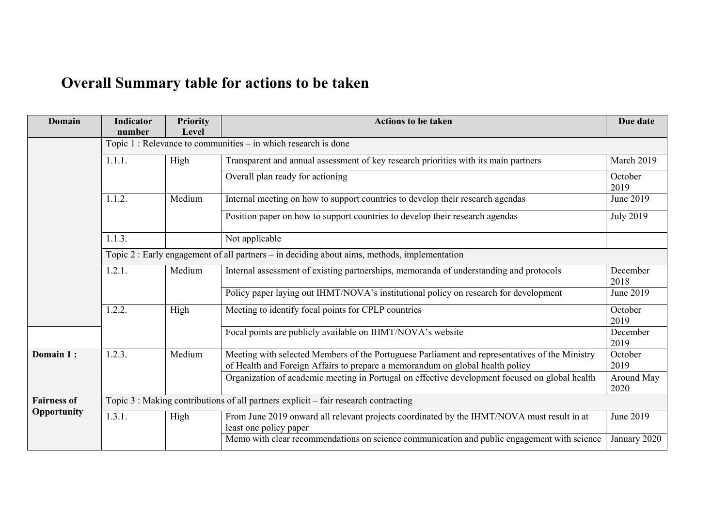## **Overall Summary table for actions to be taken**

| Domain             | <b>Indicator</b><br>number                                                                   | <b>Priority</b><br>Level | <b>Actions to be taken</b>                                                                                                                                                      | Due date           |  |  |
|--------------------|----------------------------------------------------------------------------------------------|--------------------------|---------------------------------------------------------------------------------------------------------------------------------------------------------------------------------|--------------------|--|--|
|                    | Topic 1: Relevance to communities – in which research is done                                |                          |                                                                                                                                                                                 |                    |  |  |
|                    | 1.1.1.<br>High                                                                               |                          | Transparent and annual assessment of key research priorities with its main partners                                                                                             | March 2019         |  |  |
|                    |                                                                                              |                          | Overall plan ready for actioning                                                                                                                                                | October<br>2019    |  |  |
|                    | 1.1.2.                                                                                       | Medium                   | Internal meeting on how to support countries to develop their research agendas                                                                                                  | June 2019          |  |  |
|                    |                                                                                              |                          | Position paper on how to support countries to develop their research agendas                                                                                                    | <b>July 2019</b>   |  |  |
|                    | 1.1.3.                                                                                       |                          | Not applicable                                                                                                                                                                  |                    |  |  |
|                    | Topic 2 : Early engagement of all partners – in deciding about aims, methods, implementation |                          |                                                                                                                                                                                 |                    |  |  |
|                    | 1.2.1.                                                                                       | Medium                   | Internal assessment of existing partnerships, memoranda of understanding and protocols                                                                                          | December<br>2018   |  |  |
|                    |                                                                                              |                          | Policy paper laying out IHMT/NOVA's institutional policy on research for development                                                                                            | June 2019          |  |  |
|                    | 1.2.2.                                                                                       | High                     | Meeting to identify focal points for CPLP countries                                                                                                                             | October<br>2019    |  |  |
|                    |                                                                                              |                          | Focal points are publicly available on IHMT/NOVA's website                                                                                                                      | December<br>2019   |  |  |
| Domain 1:          | 1.2.3.                                                                                       | Medium                   | Meeting with selected Members of the Portuguese Parliament and representatives of the Ministry<br>of Health and Foreign Affairs to prepare a memorandum on global health policy | October<br>2019    |  |  |
|                    |                                                                                              |                          | Organization of academic meeting in Portugal on effective development focused on global health                                                                                  | Around May<br>2020 |  |  |
| <b>Fairness of</b> | Topic 3 : Making contributions of all partners explicit - fair research contracting          |                          |                                                                                                                                                                                 |                    |  |  |
| Opportunity        | 1.3.1.                                                                                       | High                     | From June 2019 onward all relevant projects coordinated by the IHMT/NOVA must result in at<br>least one policy paper                                                            | June 2019          |  |  |
|                    |                                                                                              |                          | Memo with clear recommendations on science communication and public engagement with science                                                                                     | January 2020       |  |  |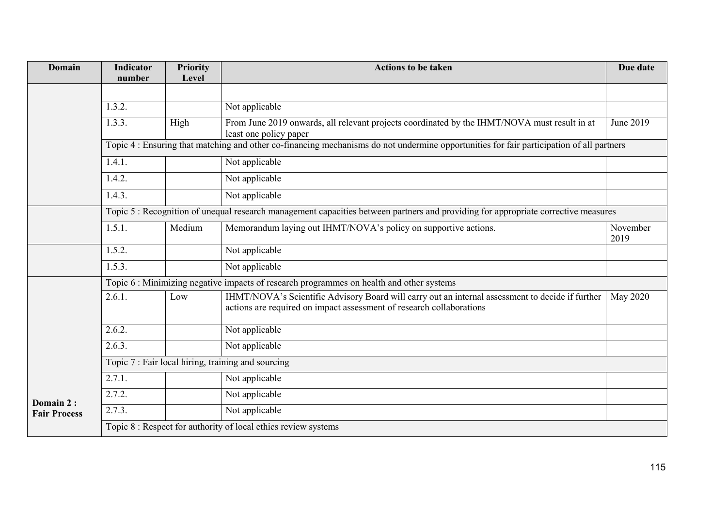| Domain                           | <b>Indicator</b><br>number                                                                                                               | <b>Priority</b><br>Level | <b>Actions to be taken</b>                                                                                                                                               | Due date         |  |  |  |
|----------------------------------|------------------------------------------------------------------------------------------------------------------------------------------|--------------------------|--------------------------------------------------------------------------------------------------------------------------------------------------------------------------|------------------|--|--|--|
|                                  |                                                                                                                                          |                          |                                                                                                                                                                          |                  |  |  |  |
|                                  | 1.3.2.                                                                                                                                   |                          | Not applicable                                                                                                                                                           |                  |  |  |  |
|                                  | 1.3.3.                                                                                                                                   | High                     | From June 2019 onwards, all relevant projects coordinated by the IHMT/NOVA must result in at<br>least one policy paper                                                   | June 2019        |  |  |  |
|                                  | Topic 4 : Ensuring that matching and other co-financing mechanisms do not undermine opportunities for fair participation of all partners |                          |                                                                                                                                                                          |                  |  |  |  |
|                                  | 1.4.1.                                                                                                                                   |                          | Not applicable                                                                                                                                                           |                  |  |  |  |
|                                  | 1.4.2.                                                                                                                                   |                          | Not applicable                                                                                                                                                           |                  |  |  |  |
|                                  | 1.4.3.                                                                                                                                   |                          | Not applicable                                                                                                                                                           |                  |  |  |  |
|                                  | Topic 5: Recognition of unequal research management capacities between partners and providing for appropriate corrective measures        |                          |                                                                                                                                                                          |                  |  |  |  |
|                                  | 1.5.1.                                                                                                                                   | Medium                   | Memorandum laying out IHMT/NOVA's policy on supportive actions.                                                                                                          | November<br>2019 |  |  |  |
|                                  | 1.5.2.                                                                                                                                   |                          | Not applicable                                                                                                                                                           |                  |  |  |  |
|                                  | 1.5.3.                                                                                                                                   |                          | Not applicable                                                                                                                                                           |                  |  |  |  |
|                                  | Topic 6 : Minimizing negative impacts of research programmes on health and other systems                                                 |                          |                                                                                                                                                                          |                  |  |  |  |
|                                  | 2.6.1.                                                                                                                                   | Low                      | IHMT/NOVA's Scientific Advisory Board will carry out an internal assessment to decide if further<br>actions are required on impact assessment of research collaborations | May 2020         |  |  |  |
|                                  | 2.6.2.                                                                                                                                   |                          | Not applicable                                                                                                                                                           |                  |  |  |  |
|                                  | 2.6.3.                                                                                                                                   |                          | Not applicable                                                                                                                                                           |                  |  |  |  |
|                                  | Topic 7 : Fair local hiring, training and sourcing                                                                                       |                          |                                                                                                                                                                          |                  |  |  |  |
|                                  | 2.7.1.                                                                                                                                   |                          | Not applicable                                                                                                                                                           |                  |  |  |  |
| Domain 2:<br><b>Fair Process</b> | 2.7.2.                                                                                                                                   |                          | Not applicable                                                                                                                                                           |                  |  |  |  |
|                                  | 2.7.3.                                                                                                                                   |                          | Not applicable                                                                                                                                                           |                  |  |  |  |
|                                  | Topic 8 : Respect for authority of local ethics review systems                                                                           |                          |                                                                                                                                                                          |                  |  |  |  |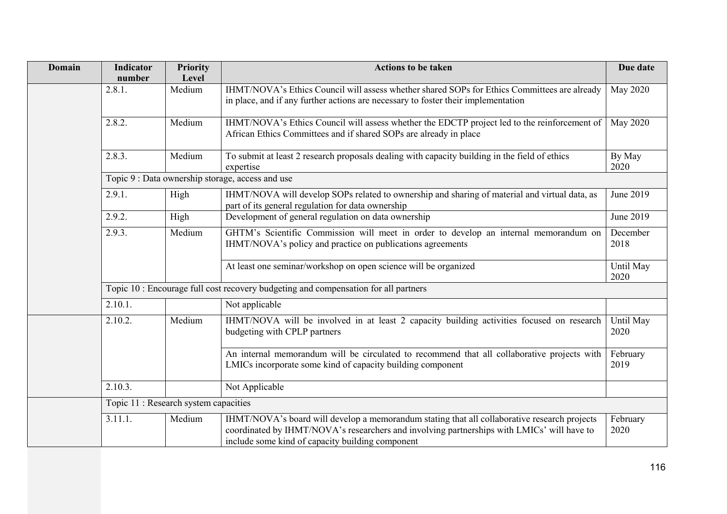| <b>Domain</b> | <b>Indicator</b><br>number                                                          | <b>Priority</b><br>Level | <b>Actions to be taken</b>                                                                                                                                                                                                                     | Due date          |  |
|---------------|-------------------------------------------------------------------------------------|--------------------------|------------------------------------------------------------------------------------------------------------------------------------------------------------------------------------------------------------------------------------------------|-------------------|--|
|               | 2.8.1.                                                                              | Medium                   | IHMT/NOVA's Ethics Council will assess whether shared SOPs for Ethics Committees are already<br>in place, and if any further actions are necessary to foster their implementation                                                              | <b>May 2020</b>   |  |
|               | 2.8.2.                                                                              | Medium                   | IHMT/NOVA's Ethics Council will assess whether the EDCTP project led to the reinforcement of<br>African Ethics Committees and if shared SOPs are already in place                                                                              | <b>May 2020</b>   |  |
|               | 2.8.3.                                                                              | Medium                   | To submit at least 2 research proposals dealing with capacity building in the field of ethics<br>expertise                                                                                                                                     | By May<br>2020    |  |
|               |                                                                                     |                          | Topic 9 : Data ownership storage, access and use                                                                                                                                                                                               |                   |  |
|               | 2.9.1.                                                                              | High                     | IHMT/NOVA will develop SOPs related to ownership and sharing of material and virtual data, as<br>part of its general regulation for data ownership                                                                                             | June 2019         |  |
|               | 2.9.2.                                                                              | High                     | Development of general regulation on data ownership                                                                                                                                                                                            | June 2019         |  |
|               | 2.9.3.                                                                              | Medium                   | GHTM's Scientific Commission will meet in order to develop an internal memorandum on<br>IHMT/NOVA's policy and practice on publications agreements                                                                                             | December<br>2018  |  |
|               |                                                                                     |                          | At least one seminar/workshop on open science will be organized                                                                                                                                                                                | Until May<br>2020 |  |
|               | Topic 10 : Encourage full cost recovery budgeting and compensation for all partners |                          |                                                                                                                                                                                                                                                |                   |  |
|               | 2.10.1.                                                                             |                          | Not applicable                                                                                                                                                                                                                                 |                   |  |
|               | 2.10.2.                                                                             | Medium                   | IHMT/NOVA will be involved in at least 2 capacity building activities focused on research<br>budgeting with CPLP partners                                                                                                                      | Until May<br>2020 |  |
|               |                                                                                     |                          | An internal memorandum will be circulated to recommend that all collaborative projects with<br>LMICs incorporate some kind of capacity building component                                                                                      | February<br>2019  |  |
|               | 2.10.3.                                                                             |                          | Not Applicable                                                                                                                                                                                                                                 |                   |  |
|               | Topic 11 : Research system capacities                                               |                          |                                                                                                                                                                                                                                                |                   |  |
|               | 3.11.1.                                                                             | Medium                   | IHMT/NOVA's board will develop a memorandum stating that all collaborative research projects<br>coordinated by IHMT/NOVA's researchers and involving partnerships with LMICs' will have to<br>include some kind of capacity building component | February<br>2020  |  |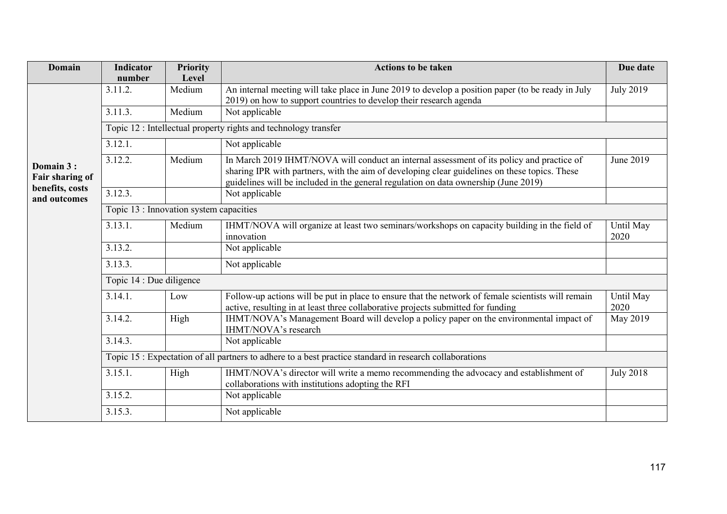| <b>Domain</b>                                                   | <b>Indicator</b>                                                                                        | <b>Priority</b> | <b>Actions to be taken</b>                                                                                                                                                                                                                                                        | Due date          |  |  |  |
|-----------------------------------------------------------------|---------------------------------------------------------------------------------------------------------|-----------------|-----------------------------------------------------------------------------------------------------------------------------------------------------------------------------------------------------------------------------------------------------------------------------------|-------------------|--|--|--|
|                                                                 | number                                                                                                  | Level           |                                                                                                                                                                                                                                                                                   |                   |  |  |  |
| Domain 3:<br>Fair sharing of<br>benefits, costs<br>and outcomes | 3.11.2.                                                                                                 | Medium          | An internal meeting will take place in June 2019 to develop a position paper (to be ready in July<br>2019) on how to support countries to develop their research agenda                                                                                                           | <b>July 2019</b>  |  |  |  |
|                                                                 | 3.11.3.                                                                                                 | Medium          | Not applicable                                                                                                                                                                                                                                                                    |                   |  |  |  |
|                                                                 | Topic 12 : Intellectual property rights and technology transfer                                         |                 |                                                                                                                                                                                                                                                                                   |                   |  |  |  |
|                                                                 | 3.12.1.                                                                                                 |                 | Not applicable                                                                                                                                                                                                                                                                    |                   |  |  |  |
|                                                                 | 3.12.2.                                                                                                 | Medium          | In March 2019 IHMT/NOVA will conduct an internal assessment of its policy and practice of<br>sharing IPR with partners, with the aim of developing clear guidelines on these topics. These<br>guidelines will be included in the general regulation on data ownership (June 2019) | June 2019         |  |  |  |
|                                                                 | 3.12.3.                                                                                                 |                 | Not applicable                                                                                                                                                                                                                                                                    |                   |  |  |  |
|                                                                 | Topic 13 : Innovation system capacities                                                                 |                 |                                                                                                                                                                                                                                                                                   |                   |  |  |  |
|                                                                 | 3.13.1.                                                                                                 | Medium          | IHMT/NOVA will organize at least two seminars/workshops on capacity building in the field of<br>innovation                                                                                                                                                                        | Until May<br>2020 |  |  |  |
|                                                                 | 3.13.2.                                                                                                 |                 | Not applicable                                                                                                                                                                                                                                                                    |                   |  |  |  |
|                                                                 | 3.13.3.                                                                                                 |                 | Not applicable                                                                                                                                                                                                                                                                    |                   |  |  |  |
|                                                                 | Topic 14 : Due diligence                                                                                |                 |                                                                                                                                                                                                                                                                                   |                   |  |  |  |
|                                                                 | 3.14.1.                                                                                                 | Low             | Follow-up actions will be put in place to ensure that the network of female scientists will remain<br>active, resulting in at least three collaborative projects submitted for funding                                                                                            | Until May<br>2020 |  |  |  |
|                                                                 | 3.14.2.                                                                                                 | High            | IHMT/NOVA's Management Board will develop a policy paper on the environmental impact of<br>IHMT/NOVA's research                                                                                                                                                                   | May 2019          |  |  |  |
|                                                                 | 3.14.3.                                                                                                 |                 | Not applicable                                                                                                                                                                                                                                                                    |                   |  |  |  |
|                                                                 | Topic 15 : Expectation of all partners to adhere to a best practice standard in research collaborations |                 |                                                                                                                                                                                                                                                                                   |                   |  |  |  |
|                                                                 | 3.15.1.                                                                                                 | High            | IHMT/NOVA's director will write a memo recommending the advocacy and establishment of<br>collaborations with institutions adopting the RFI                                                                                                                                        | <b>July 2018</b>  |  |  |  |
|                                                                 | 3.15.2.                                                                                                 |                 | Not applicable                                                                                                                                                                                                                                                                    |                   |  |  |  |
|                                                                 | 3.15.3.                                                                                                 |                 | Not applicable                                                                                                                                                                                                                                                                    |                   |  |  |  |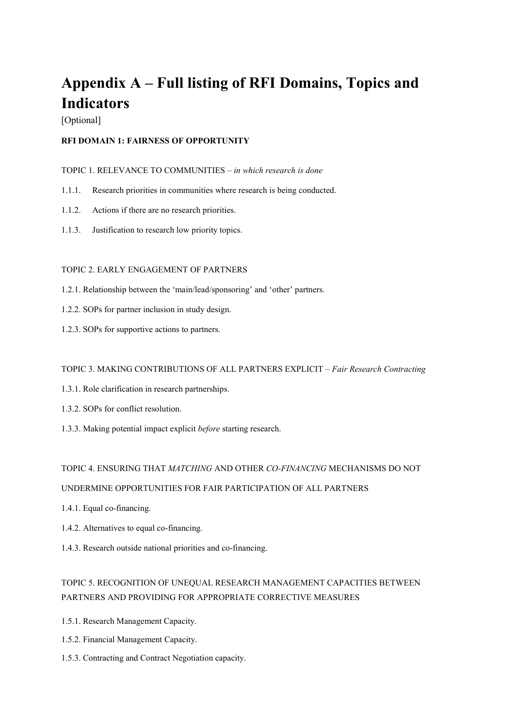# **Appendix A – Full listing of RFI Domains, Topics and Indicators**

[Optional]

#### **RFI DOMAIN 1: FAIRNESS OF OPPORTUNITY**

#### TOPIC 1. RELEVANCE TO COMMUNITIES – *in which research is done*

- 1.1.1. Research priorities in communities where research is being conducted.
- 1.1.2. Actions if there are no research priorities.
- 1.1.3. Justification to research low priority topics.

#### TOPIC 2. EARLY ENGAGEMENT OF PARTNERS

- 1.2.1. Relationship between the 'main/lead/sponsoring' and 'other' partners.
- 1.2.2. SOPs for partner inclusion in study design.
- 1.2.3. SOPs for supportive actions to partners.

#### TOPIC 3. MAKING CONTRIBUTIONS OF ALL PARTNERS EXPLICIT – *Fair Research Contracting*

- 1.3.1. Role clarification in research partnerships.
- 1.3.2. SOPs for conflict resolution.
- 1.3.3. Making potential impact explicit *before* starting research.

#### TOPIC 4. ENSURING THAT *MATCHING* AND OTHER *CO-FINANCING* MECHANISMS DO NOT

#### UNDERMINE OPPORTUNITIES FOR FAIR PARTICIPATION OF ALL PARTNERS

- 1.4.1. Equal co-financing.
- 1.4.2. Alternatives to equal co-financing.
- 1.4.3. Research outside national priorities and co-financing.

## TOPIC 5. RECOGNITION OF UNEQUAL RESEARCH MANAGEMENT CAPACITIES BETWEEN PARTNERS AND PROVIDING FOR APPROPRIATE CORRECTIVE MEASURES

- 1.5.1. Research Management Capacity.
- 1.5.2. Financial Management Capacity.
- 1.5.3. Contracting and Contract Negotiation capacity.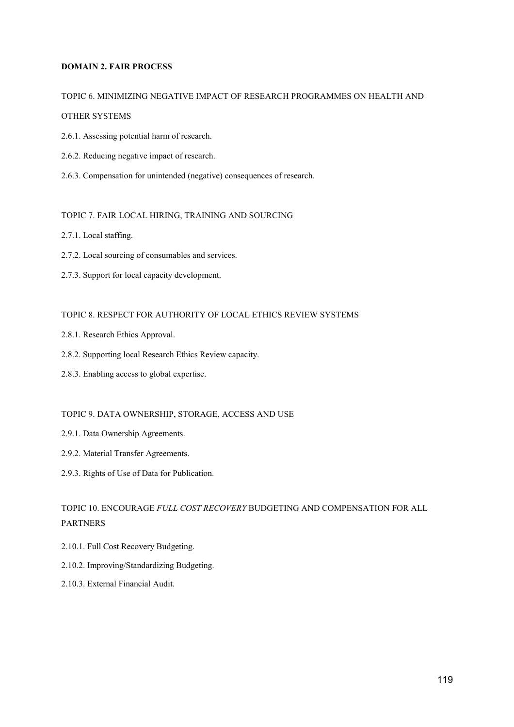#### **DOMAIN 2. FAIR PROCESS**

#### TOPIC 6. MINIMIZING NEGATIVE IMPACT OF RESEARCH PROGRAMMES ON HEALTH AND

#### OTHER SYSTEMS

- 2.6.1. Assessing potential harm of research.
- 2.6.2. Reducing negative impact of research.
- 2.6.3. Compensation for unintended (negative) consequences of research.

#### TOPIC 7. FAIR LOCAL HIRING, TRAINING AND SOURCING

- 2.7.1. Local staffing.
- 2.7.2. Local sourcing of consumables and services.
- 2.7.3. Support for local capacity development.

#### TOPIC 8. RESPECT FOR AUTHORITY OF LOCAL ETHICS REVIEW SYSTEMS

- 2.8.1. Research Ethics Approval.
- 2.8.2. Supporting local Research Ethics Review capacity.
- 2.8.3. Enabling access to global expertise.

#### TOPIC 9. DATA OWNERSHIP, STORAGE, ACCESS AND USE

- 2.9.1. Data Ownership Agreements.
- 2.9.2. Material Transfer Agreements.
- 2.9.3. Rights of Use of Data for Publication.

### TOPIC 10. ENCOURAGE *FULL COST RECOVERY* BUDGETING AND COMPENSATION FOR ALL PARTNERS

- 2.10.1. Full Cost Recovery Budgeting.
- 2.10.2. Improving/Standardizing Budgeting.
- 2.10.3. External Financial Audit.